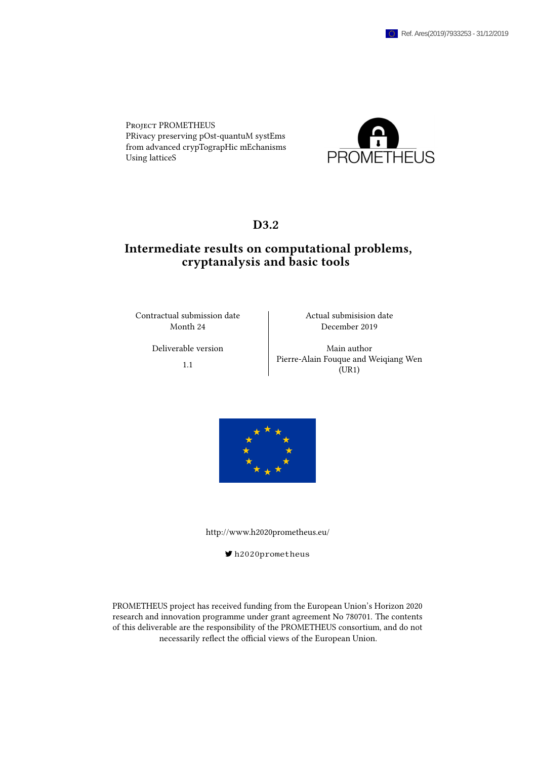Project PROMETHEUS PRivacy preserving pOst-quantuM systEms from advanced crypTograpHic mEchanisms Using latticeS



### D3.2

## Intermediate results on computational problems, cryptanalysis and basic tools

Contractual submission date Actual submisision date

Month 24 December 2019

Deliverable version Main author 1.1 Pierre-Alain Fouque and Weiqiang Wen (UR1)



<http://www.h2020prometheus.eu/>

[h2020prometheus](https://twitter.com/h2020prometheus)

PROMETHEUS project has received funding from the European Union's Horizon 2020 research and innovation programme under grant agreement No 780701. The contents of this deliverable are the responsibility of the PROMETHEUS consortium, and do not necessarily reflect the official views of the European Union.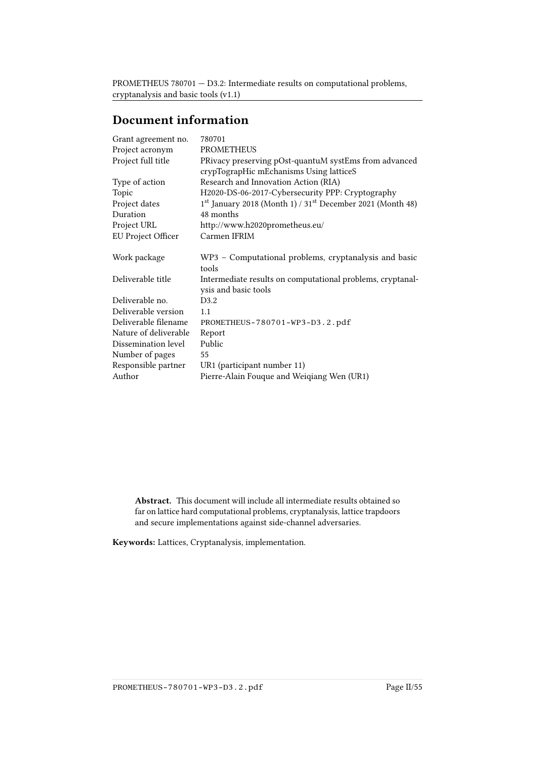## Document information

| Grant agreement no.       | 780701                                                                             |
|---------------------------|------------------------------------------------------------------------------------|
| Project acronym           | <b>PROMETHEUS</b>                                                                  |
| Project full title        | PRivacy preserving pOst-quantuM systEms from advanced                              |
|                           | crypTograpHic mEchanisms Using latticeS                                            |
| Type of action            | Research and Innovation Action (RIA)                                               |
| Topic                     | H2020-DS-06-2017-Cybersecurity PPP: Cryptography                                   |
| Project dates             | 1st January 2018 (Month 1) / 31st December 2021 (Month 48)                         |
| Duration                  | 48 months                                                                          |
| Project URL               | http://www.h2020prometheus.eu/                                                     |
| <b>EU Project Officer</b> | Carmen IFRIM                                                                       |
| Work package              | WP3 - Computational problems, cryptanalysis and basic<br>tools                     |
| Deliverable title         | Intermediate results on computational problems, cryptanal-<br>ysis and basic tools |
| Deliverable no.           | D3.2                                                                               |
| Deliverable version       | 1.1                                                                                |
| Deliverable filename      | PROMETHEUS-780701-WP3-D3.2.pdf                                                     |
| Nature of deliverable     | Report                                                                             |
| Dissemination level       | Public                                                                             |
| Number of pages           | 55                                                                                 |
| Responsible partner       | UR1 (participant number 11)                                                        |
| Author                    | Pierre-Alain Fouque and Weiqiang Wen (UR1)                                         |
|                           |                                                                                    |

Abstract. This document will include all intermediate results obtained so far on lattice hard computational problems, cryptanalysis, lattice trapdoors and secure implementations against side-channel adversaries.

Keywords: Lattices, Cryptanalysis, implementation.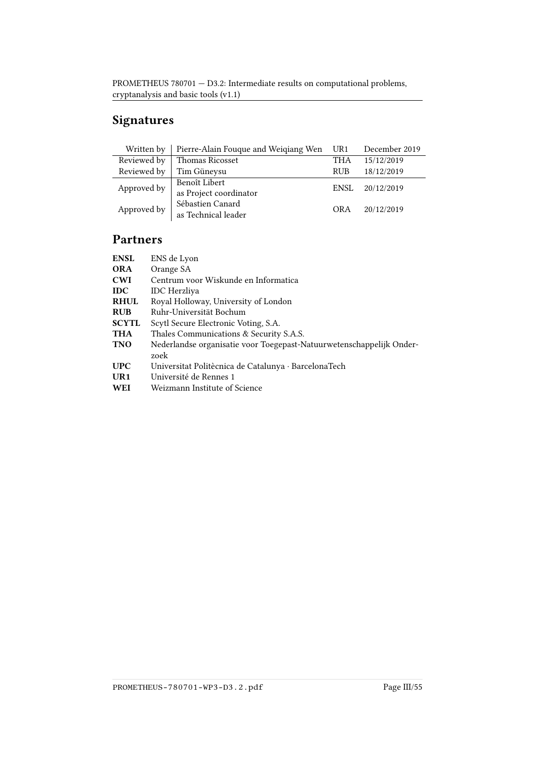# Signatures

| Written by                            | Pierre-Alain Fouque and Weiqiang Wen | UR1         | December 2019 |
|---------------------------------------|--------------------------------------|-------------|---------------|
| Reviewed by<br><b>Thomas Ricosset</b> |                                      | <b>THA</b>  | 15/12/2019    |
| Reviewed by                           | Tim Güneysu                          | <b>RUB</b>  | 18/12/2019    |
| Approved by                           | Benoît Libert                        | <b>ENSL</b> | 20/12/2019    |
|                                       | as Project coordinator               |             |               |
| Approved by                           | Sébastien Canard                     | <b>ORA</b>  | 20/12/2019    |
|                                       | as Technical leader                  |             |               |

## Partners

| <b>ENSL</b>     | ENS de Lyon                                                                  |  |
|-----------------|------------------------------------------------------------------------------|--|
| <b>ORA</b>      | Orange SA                                                                    |  |
| <b>CWI</b>      | Centrum voor Wiskunde en Informatica                                         |  |
| <b>IDC</b>      | <b>IDC</b> Herzliya                                                          |  |
| <b>RHUL</b>     | Royal Holloway, University of London                                         |  |
| <b>RUB</b>      | Ruhr-Universität Bochum                                                      |  |
| <b>SCYTL</b>    | Scytl Secure Electronic Voting, S.A.                                         |  |
| <b>THA</b>      | Thales Communications & Security S.A.S.                                      |  |
| <b>TNO</b>      | Nederlandse organisatie voor Toegepast-Natuurwetenschappelijk Onder-<br>zoek |  |
| <b>UPC</b>      | Universitat Politècnica de Catalunya · BarcelonaTech                         |  |
| UR <sub>1</sub> | Université de Rennes 1                                                       |  |
| WEI             | Weizmann Institute of Science                                                |  |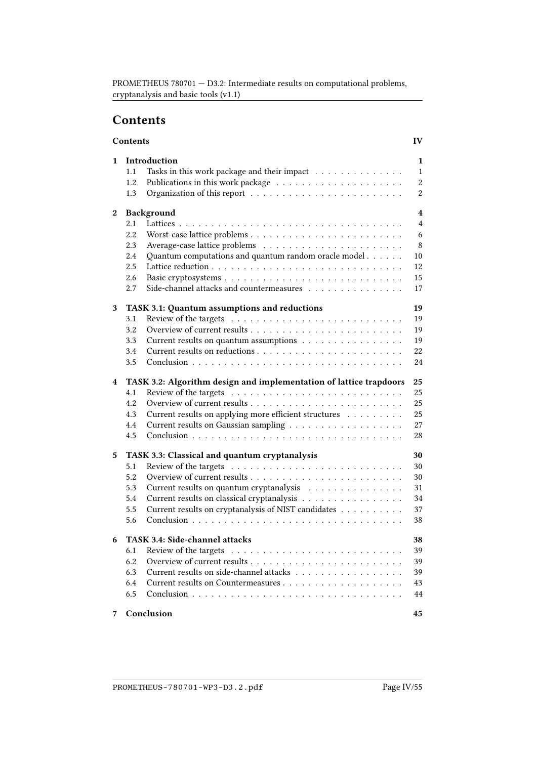## <span id="page-3-0"></span>**Contents**

|   | Contents                                                                         | IV               |
|---|----------------------------------------------------------------------------------|------------------|
| 1 | Introduction                                                                     | 1                |
|   | Tasks in this work package and their impact<br>1.1                               | $\mathbf{1}$     |
|   | 1.2                                                                              | $\boldsymbol{2}$ |
|   | 1.3                                                                              | $\boldsymbol{2}$ |
|   |                                                                                  |                  |
| 2 | Background                                                                       | 4                |
|   | 2.1                                                                              | $\overline{4}$   |
|   | 2.2                                                                              | 6                |
|   | 2.3                                                                              | 8                |
|   | Quantum computations and quantum random oracle model<br>2.4                      | 10               |
|   | 2.5                                                                              | 12               |
|   | 2.6                                                                              | 15               |
|   | Side-channel attacks and countermeasures $\dots\dots\dots\dots\dots\dots$<br>2.7 | 17               |
| 3 | TASK 3.1: Quantum assumptions and reductions                                     | 19               |
|   | 3.1                                                                              | 19               |
|   | 3.2                                                                              | 19               |
|   | 3.3<br>Current results on quantum assumptions                                    | 19               |
|   | 3.4                                                                              | 22               |
|   | 3.5                                                                              | 24               |
| 4 | TASK 3.2: Algorithm design and implementation of lattice trapdoors               | 25               |
|   | 4.1                                                                              | 25               |
|   | 4.2                                                                              | 25               |
|   | Current results on applying more efficient structures<br>4.3                     | 25               |
|   | 4.4                                                                              | 27               |
|   | 4.5                                                                              | 28               |
| 5 | TASK 3.3: Classical and quantum cryptanalysis                                    | 30               |
|   | 5.1                                                                              | 30               |
|   | 5.2                                                                              | 30               |
|   | 5.3<br>Current results on quantum cryptanalysis                                  | 31               |
|   | 5.4<br>Current results on classical cryptanalysis                                | 34               |
|   | Current results on cryptanalysis of NIST candidates<br>5.5                       | 37               |
|   | 5.6                                                                              | 38               |
|   |                                                                                  |                  |
|   | TASK 3.4: Side-channel attacks                                                   | 38               |
|   | 6.1                                                                              | 39               |
|   | 6.2                                                                              | 39               |
|   | Current results on side-channel attacks<br>6.3                                   | 39               |
|   | 6.4                                                                              | 43               |
|   | 6.5                                                                              | 44               |
| 7 | Conclusion                                                                       | 45               |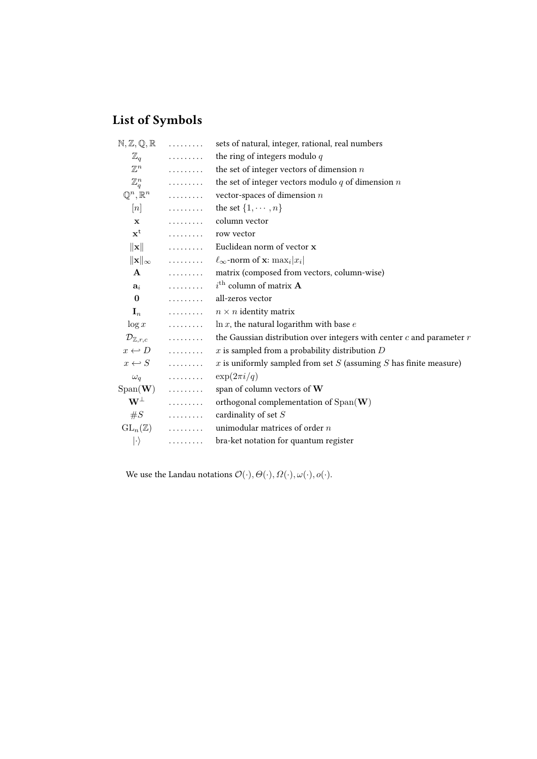# List of Symbols

| $N, Z, Q, R$    |                                | sets of natural, integer, rational, real numbers                             |  |
|-----------------|--------------------------------|------------------------------------------------------------------------------|--|
|                 | $\mathbb{Z}_q$                 | the ring of integers modulo $q$                                              |  |
|                 | $\mathbb{Z}^n$                 | the set of integer vectors of dimension $n$                                  |  |
|                 | $\mathbb{Z}_q^n$               | the set of integer vectors modulo $q$ of dimension $\boldsymbol{n}$          |  |
|                 |                                | $\mathbb{Q}^n, \mathbb{R}^n$ vector-spaces of dimension <i>n</i>             |  |
|                 |                                | [ <i>n</i> ] $\dots \dots$ the set $\{1, \dots, n\}$                         |  |
| $\mathbf x$     |                                | . column vector                                                              |  |
|                 | $x^t$ row vector               |                                                                              |  |
|                 |                                | $\ \mathbf{x}\ $ Euclidean norm of vector <b>x</b>                           |  |
|                 |                                | $\ \mathbf{x}\ _{\infty}$ $\ell_{\infty}$ -norm of <b>x</b> : $\max_i  x_i $ |  |
|                 |                                | A  matrix (composed from vectors, column-wise)                               |  |
|                 |                                | $a_i$ i <sup>th</sup> column of matrix <b>A</b>                              |  |
| $\bf{0}$        |                                | all-zeros vector                                                             |  |
|                 |                                | $\mathbf{I}_n$ $n \times n$ identity matrix                                  |  |
|                 |                                | $\log x$ $\ln x$ , the natural logarithm with base <i>e</i>                  |  |
|                 | $\mathcal{D}_{\mathbb{Z},r,c}$ | the Gaussian distribution over integers with center $c$ and parameter $r$    |  |
|                 | $x \leftrightarrow D$          | $\boldsymbol{x}$ is sampled from a probability distribution $D$              |  |
|                 | $x \leftrightarrow S$          | $x$ is uniformly sampled from set $S$ (assuming $S$ has finite measure)      |  |
|                 | $\omega_q$                     | $\exp(2\pi i/q)$                                                             |  |
|                 | $Span(\mathbf{W})$             | span of column vectors of W                                                  |  |
|                 | $\mathbf{W}^{\perp}$           | orthogonal complementation of $Span(\mathbf{W})$                             |  |
|                 | $\#S$                          | cardinality of set $S$                                                       |  |
|                 | $\mathrm{GL}_n(\mathbb{Z})$    | unimodular matrices of order $n$                                             |  |
| $ \cdot\rangle$ |                                | bra-ket notation for quantum register                                        |  |
|                 |                                |                                                                              |  |

We use the Landau notations  $\mathcal{O}(\cdot),\varTheta(\cdot),\varOmega(\cdot),\omega(\cdot),o(\cdot).$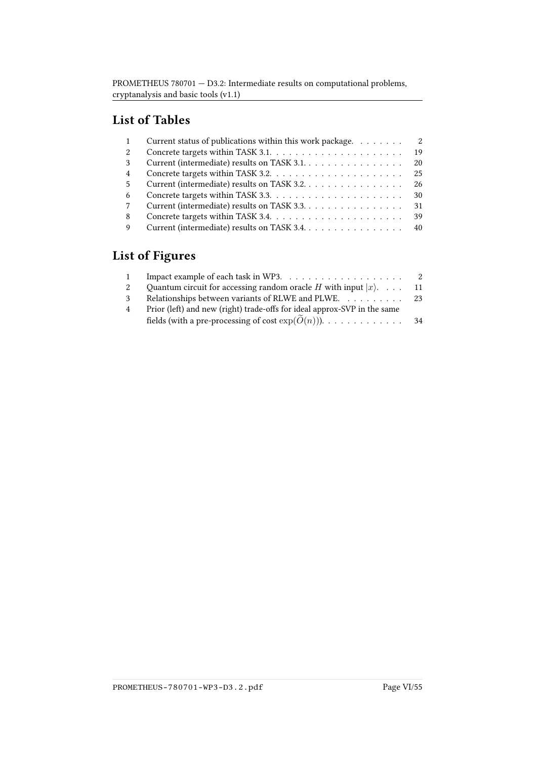## List of Tables

|   | Current status of publications within this work package. | 2  |
|---|----------------------------------------------------------|----|
|   |                                                          | 19 |
| 3 | Current (intermediate) results on TASK 3.1.              | 20 |
| 4 |                                                          | 25 |
| 5 | Current (intermediate) results on TASK 3.2.              | 26 |
| 6 |                                                          | 30 |
|   | Current (intermediate) results on TASK 3.3.              | 31 |
| 8 |                                                          | 39 |
| Q | Current (intermediate) results on TASK 3.4.              | 40 |
|   |                                                          |    |

# List of Figures

| $\mathbf{1}$   |                                                                               |      |
|----------------|-------------------------------------------------------------------------------|------|
| 2              | Ouantum circuit for accessing random oracle <i>H</i> with input $ x\rangle$ . | - 11 |
| 3              | Relationships between variants of RLWE and PLWE. 23                           |      |
| $\overline{4}$ | Prior (left) and new (right) trade-offs for ideal approx-SVP in the same      |      |
|                | fields (with a pre-processing of cost $exp(O(n))$ ). 34                       |      |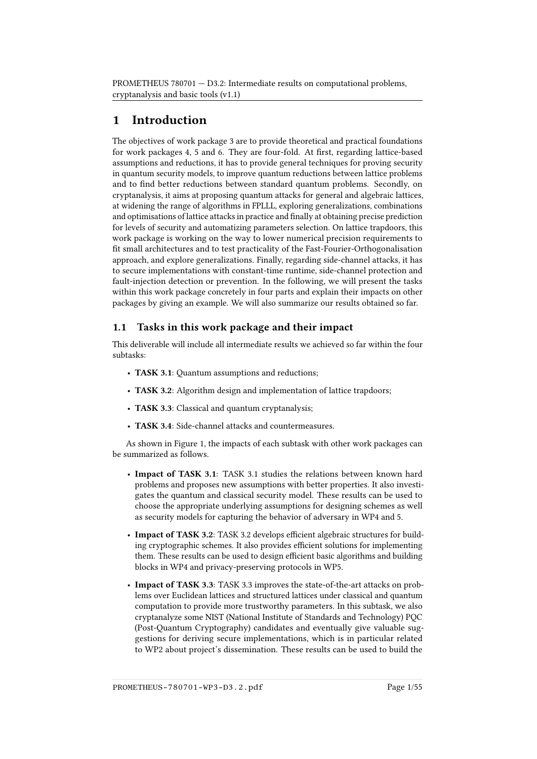## <span id="page-6-0"></span>1 Introduction

The objectives of work package 3 are to provide theoretical and practical foundations for work packages 4, 5 and 6. They are four-fold. At first, regarding lattice-based assumptions and reductions, it has to provide general techniques for proving security in quantum security models, to improve quantum reductions between lattice problems and to find better reductions between standard quantum problems. Secondly, on cryptanalysis, it aims at proposing quantum attacks for general and algebraic lattices, at widening the range of algorithms in FPLLL, exploring generalizations, combinations and optimisations of lattice attacks in practice and finally at obtaining precise prediction for levels of security and automatizing parameters selection. On lattice trapdoors, this work package is working on the way to lower numerical precision requirements to fit small architectures and to test practicality of the Fast-Fourier-Orthogonalisation approach, and explore generalizations. Finally, regarding side-channel attacks, it has to secure implementations with constant-time runtime, side-channel protection and fault-injection detection or prevention. In the following, we will present the tasks within this work package concretely in four parts and explain their impacts on other packages by giving an example. We will also summarize our results obtained so far.

## <span id="page-6-1"></span>1.1 Tasks in this work package and their impact

This deliverable will include all intermediate results we achieved so far within the four subtasks:

- TASK 3.1: Quantum assumptions and reductions;
- TASK 3.2: Algorithm design and implementation of lattice trapdoors;
- TASK 3.3: Classical and quantum cryptanalysis;
- TASK 3.4: Side-channel attacks and countermeasures.

As shown in Figure [1,](#page-7-3) the impacts of each subtask with other work packages can be summarized as follows.

- Impact of TASK 3.1: TASK 3.1 studies the relations between known hard problems and proposes new assumptions with better properties. It also investigates the quantum and classical security model. These results can be used to choose the appropriate underlying assumptions for designing schemes as well as security models for capturing the behavior of adversary in WP4 and 5.
- Impact of TASK 3.2: TASK 3.2 develops efficient algebraic structures for building cryptographic schemes. It also provides efficient solutions for implementing them. These results can be used to design efficient basic algorithms and building blocks in WP4 and privacy-preserving protocols in WP5.
- Impact of TASK 3.3: TASK 3.3 improves the state-of-the-art attacks on problems over Euclidean lattices and structured lattices under classical and quantum computation to provide more trustworthy parameters. In this subtask, we also cryptanalyze some NIST (National Institute of Standards and Technology) PQC (Post-Quantum Cryptography) candidates and eventually give valuable suggestions for deriving secure implementations, which is in particular related to WP2 about project's dissemination. These results can be used to build the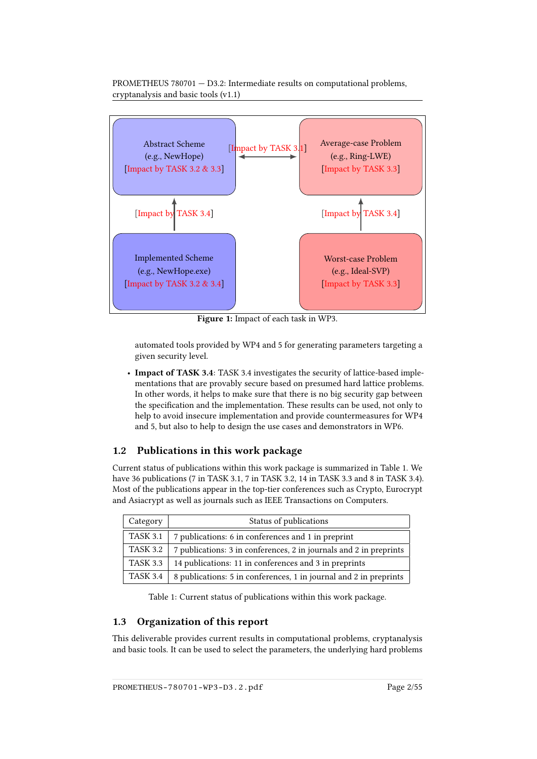

Figure 1: Impact of each task in WP3.

<span id="page-7-3"></span>automated tools provided by WP4 and 5 for generating parameters targeting a given security level.

• Impact of TASK 3.4: TASK 3.4 investigates the security of lattice-based implementations that are provably secure based on presumed hard lattice problems. In other words, it helps to make sure that there is no big security gap between the specification and the implementation. These results can be used, not only to help to avoid insecure implementation and provide countermeasures for WP4 and 5, but also to help to design the use cases and demonstrators in WP6.

## <span id="page-7-0"></span>1.2 Publications in this work package

Current status of publications within this work package is summarized in Table [1.](#page-7-2) We have 36 publications (7 in TASK 3.1, 7 in TASK 3.2, 14 in TASK 3.3 and 8 in TASK 3.4). Most of the publications appear in the top-tier conferences such as Crypto, Eurocrypt and Asiacrypt as well as journals such as IEEE Transactions on Computers.

| Category        | Status of publications                                             |  |
|-----------------|--------------------------------------------------------------------|--|
| <b>TASK 3.1</b> | 7 publications: 6 in conferences and 1 in preprint                 |  |
| <b>TASK 3.2</b> | 7 publications: 3 in conferences, 2 in journals and 2 in preprints |  |
| <b>TASK 3.3</b> | 14 publications: 11 in conferences and 3 in preprints              |  |
| <b>TASK 3.4</b> | 8 publications: 5 in conferences, 1 in journal and 2 in preprints  |  |

<span id="page-7-2"></span>Table 1: Current status of publications within this work package.

## <span id="page-7-1"></span>1.3 Organization of this report

This deliverable provides current results in computational problems, cryptanalysis and basic tools. It can be used to select the parameters, the underlying hard problems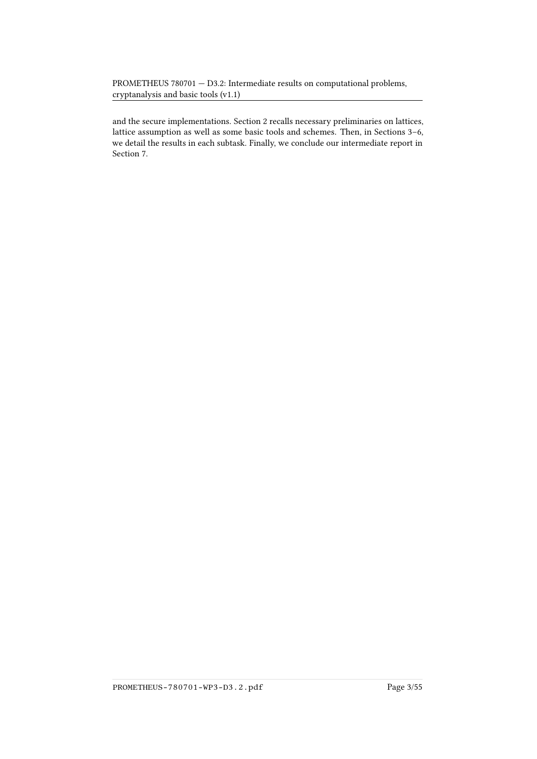and the secure implementations. Section [2](#page-9-0) recalls necessary preliminaries on lattices, lattice assumption as well as some basic tools and schemes. Then, in Sections 3–6, we detail the results in each subtask. Finally, we conclude our intermediate report in Section [7.](#page-50-0)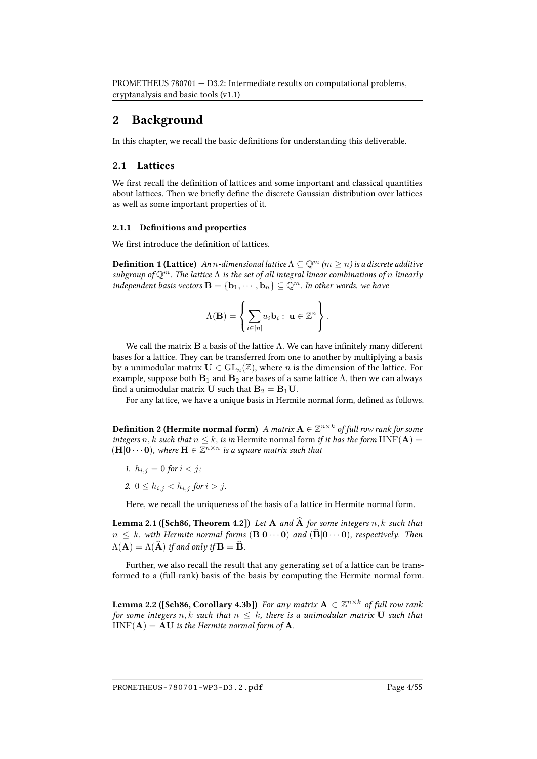## <span id="page-9-0"></span>2 Background

In this chapter, we recall the basic definitions for understanding this deliverable.

#### <span id="page-9-1"></span>2.1 Lattices

We first recall the definition of lattices and some important and classical quantities about lattices. Then we briefly define the discrete Gaussian distribution over lattices as well as some important properties of it.

#### 2.1.1 Definitions and properties

We first introduce the definition of lattices.

**Definition 1 (Lattice)** An n-dimensional lattice  $\Lambda \subseteq \mathbb{Q}^m$  ( $m \geq n$ ) is a discrete additive subgroup of  $\mathbb{Q}^m$ . The lattice  $\Lambda$  is the set of all integral linear combinations of n linearly independent basis vectors  $\mathbf{B} = \{\mathbf{b}_1, \cdots, \mathbf{b}_n\} \subseteq \mathbb{Q}^m$ . In other words, we have

$$
\Lambda(\mathbf{B}) = \left\{ \sum_{i \in [n]} u_i \mathbf{b}_i : \ \mathbf{u} \in \mathbb{Z}^n \right\}.
$$

We call the matrix  $\bf{B}$  a basis of the lattice  $\Lambda$ . We can have infinitely many different bases for a lattice. They can be transferred from one to another by multiplying a basis by a unimodular matrix  $U \in GL_n(\mathbb{Z})$ , where *n* is the dimension of the lattice. For example, suppose both  $B_1$  and  $B_2$  are bases of a same lattice  $\Lambda$ , then we can always find a unimodular matrix U such that  $B_2 = B_1 U$ .

For any lattice, we have a unique basis in Hermite normal form, defined as follows.

**Definition 2 (Hermite normal form)** A matrix  $A \in \mathbb{Z}^{n \times k}$  of full row rank for some integers n, k such that  $n \leq k$ , is in Hermite normal form if it has the form HNF( $A$ ) =  $(\mathbf{H}|\mathbf{0}\cdots\mathbf{0}),$  where  $\mathbf{H}\in\mathbb{Z}^{n\times n}$  is a square matrix such that

- 1.  $h_{i,j} = 0$  for  $i < j$ ;
- 2.  $0 \le h_{i,j} < h_{i,j}$  for  $i > j$ .

Here, we recall the uniqueness of the basis of a lattice in Hermite normal form.

**Lemma 2.1 ([\[Sch86,](#page-60-0) Theorem 4.2])** Let A and  $\widehat{A}$  for some integers n, k such that  $n \leq k$ , with Hermite normal forms  $(B|0 \cdots 0)$  and  $(\widehat{B}|0 \cdots 0)$ , respectively. Then  $\Lambda(\mathbf{A}) = \Lambda(\widehat{\mathbf{A}})$  if and only if  $\mathbf{B} = \widehat{\mathbf{B}}$ .

<span id="page-9-2"></span>Further, we also recall the result that any generating set of a lattice can be transformed to a (full-rank) basis of the basis by computing the Hermite normal form.

**Lemma 2.2 ([\[Sch86,](#page-60-0) Corollary 4.3b])** For any matrix  $A \in \mathbb{Z}^{n \times k}$  of full row rank for some integers n, k such that  $n \leq k$ , there is a unimodular matrix U such that  $HNF(A) = AU$  is the Hermite normal form of A.

PROMETHEUS-780701-WP3-D3.2.pdf Page 4/55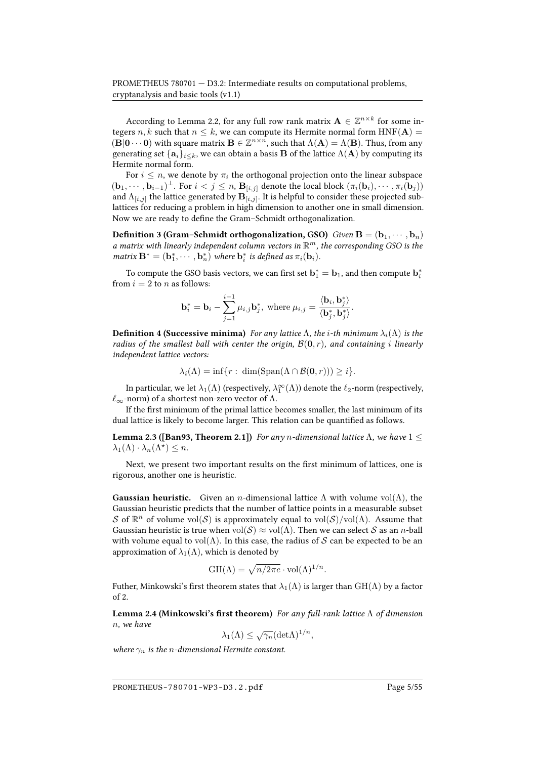According to Lemma [2.2,](#page-9-2) for any full row rank matrix  $\mathbf{A} \in \mathbb{Z}^{n \times k}$  for some integers n, k such that  $n \leq k$ , we can compute its Hermite normal form  $HNF(A) =$  $(\mathbf{B}|\mathbf{0}\cdots\mathbf{0})$  with square matrix  $\mathbf{B} \in \mathbb{Z}^{n \times n}$ , such that  $\Lambda(\mathbf{A}) = \Lambda(\mathbf{B})$ . Thus, from any generating set  $\{a_i\}_{i\leq k}$ , we can obtain a basis **B** of the lattice  $\Lambda(A)$  by computing its Hermite normal form.

For  $i \leq n$ , we denote by  $\pi_i$  the orthogonal projection onto the linear subspace  $(\mathbf{b}_1, \cdots, \mathbf{b}_{i-1})^{\perp}$ . For  $i < j \leq n$ ,  $\mathbf{B}_{[i,j]}$  denote the local block  $(\pi_i(\mathbf{b}_i), \cdots, \pi_i(\mathbf{b}_j))$ and  $\Lambda_{[i,j]}$  the lattice generated by  ${\bf B}_{[i,j]}.$  It is helpful to consider these projected sublattices for reducing a problem in high dimension to another one in small dimension. Now we are ready to define the Gram–Schmidt orthogonalization.

**Definition 3 (Gram–Schmidt orthogonalization, GSO)** Given  $B = (b_1, \dots, b_n)$ a matrix with linearly independent column vectors in  $\mathbb{R}^m$ , the corresponding GSO is the matrix  $\mathbf{B}^* = (\mathbf{b}_1^*, \cdots, \mathbf{b}_n^*)$  where  $\mathbf{b}_i^*$  is defined as  $\pi_i(\mathbf{b}_i)$ .

To compute the GSO basis vectors, we can first set  $\mathbf{b}_1^* = \mathbf{b}_1$ , and then compute  $\mathbf{b}_i^*$ from  $i = 2$  to n as follows:

$$
\mathbf{b}_{i}^{*} = \mathbf{b}_{i} - \sum_{j=1}^{i-1} \mu_{i,j} \mathbf{b}_{j}^{*}, \text{ where } \mu_{i,j} = \frac{\langle \mathbf{b}_{i}, \mathbf{b}_{j}^{*} \rangle}{\langle \mathbf{b}_{j}^{*}, \mathbf{b}_{j}^{*} \rangle}.
$$

**Definition 4 (Successive minima)** For any lattice  $\Lambda$ , the i-th minimum  $\lambda_i(\Lambda)$  is the radius of the smallest ball with center the origin,  $\mathcal{B}(0,r)$ , and containing *i* linearly independent lattice vectors:

$$
\lambda_i(\Lambda) = \inf\{r : \dim(\text{Span}(\Lambda \cap \mathcal{B}(\mathbf{0}, r))) \geq i\}.
$$

In particular, we let  $\lambda_1(\Lambda)$  (respectively,  $\lambda_1^{\infty}(\Lambda)$ ) denote the  $\ell_2$ -norm (respectively,  $\ell_{\infty}$ -norm) of a shortest non-zero vector of Λ.

If the first minimum of the primal lattice becomes smaller, the last minimum of its dual lattice is likely to become larger. This relation can be quantified as follows.

**Lemma 2.3 ([\[Ban93,](#page-51-0) Theorem 2.1])** For any *n*-dimensional lattice  $\Lambda$ , we have  $1 \leq$  $\lambda_1(\Lambda) \cdot \lambda_n(\Lambda^*) \leq n.$ 

Next, we present two important results on the first minimum of lattices, one is rigorous, another one is heuristic.

**Gaussian heuristic.** Given an *n*-dimensional lattice  $\Lambda$  with volume vol $(\Lambda)$ , the Gaussian heuristic predicts that the number of lattice points in a measurable subset S of  $\mathbb{R}^n$  of volume  $\text{vol}(\mathcal{S})$  is approximately equal to  $\text{vol}(\mathcal{S})/\text{vol}(\Lambda)$ . Assume that Gaussian heuristic is true when  $vol(S) \approx vol(\Lambda)$ . Then we can select S as an *n*-ball with volume equal to  $vol(\Lambda)$ . In this case, the radius of S can be expected to be an approximation of  $\lambda_1(\Lambda)$ , which is denoted by

$$
GH(\Lambda) = \sqrt{n/2\pi e} \cdot \text{vol}(\Lambda)^{1/n}.
$$

Futher, Minkowski's first theorem states that  $\lambda_1(\Lambda)$  is larger than  $GH(\Lambda)$  by a factor of 2.

Lemma 2.4 (Minkowski's first theorem) For any full-rank lattice  $\Lambda$  of dimension n, we have

$$
\lambda_1(\Lambda) \le \sqrt{\gamma_n} (\text{det}\Lambda)^{1/n},
$$

where  $\gamma_n$  is the *n*-dimensional Hermite constant.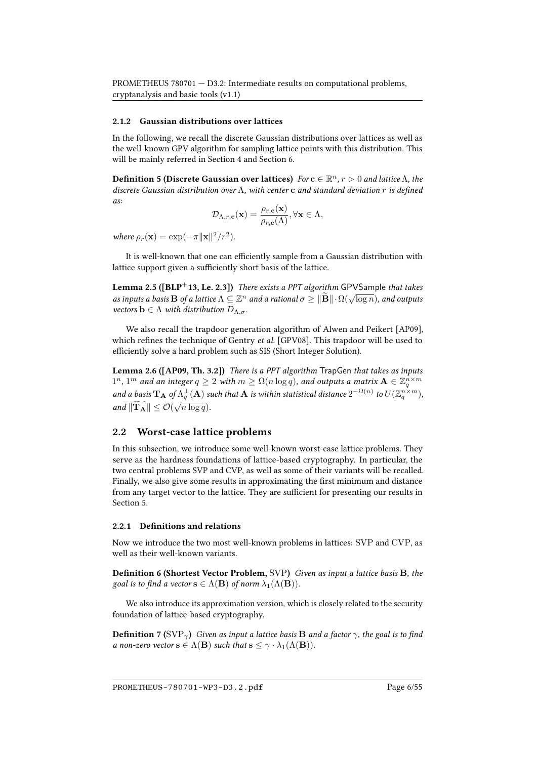#### 2.1.2 Gaussian distributions over lattices

In the following, we recall the discrete Gaussian distributions over lattices as well as the well-known GPV algorithm for sampling lattice points with this distribution. This will be mainly referred in Section [4](#page-30-0) and Section [6.](#page-43-1)

**Definition 5 (Discrete Gaussian over lattices)**  $\text{For } \mathbf{c} \in \mathbb{R}^n, r > 0$  and lattice  $\Lambda$ , the discrete Gaussian distribution over  $\Lambda$ , with center c and standard deviation r is defined  $a$ 

$$
\mathcal{D}_{\Lambda,r,\mathbf{c}}(\mathbf{x}) = \frac{\rho_{r,\mathbf{c}}(\mathbf{x})}{\rho_{r,\mathbf{c}}(\Lambda)}, \forall \mathbf{x} \in \Lambda,
$$

where  $\rho_r(\mathbf{x}) = \exp(-\pi ||\mathbf{x}||^2/r^2)$ .

It is well-known that one can efficiently sample from a Gaussian distribution with lattice support given a sufficiently short basis of the lattice.

**Lemma 2.5 ([\[BLP](#page-53-0)+13, Le. 2.3])** There exists a PPT algorithm GPVSample that takes as inputs a basis **B** of a lattice  $\Lambda \subseteq \mathbb{Z}^n$  and a rational  $\sigma \ge ||\widetilde{\mathbf{B}}|| \cdot \Omega(\sqrt{\log n})$ , and outputs vectors  $\mathbf{b} \in \Lambda$  with distribution  $D_{\Lambda,\sigma}$ .

We also recall the trapdoor generation algorithm of Alwen and Peikert [\[AP09\]](#page-51-1), which refines the technique of Gentry et al. [\[GPV08\]](#page-56-0). This trapdoor will be used to efficiently solve a hard problem such as SIS (Short Integer Solution).

<span id="page-11-1"></span>Lemma 2.6 ([\[AP09,](#page-51-1) Th. 3.2]) There is a PPT algorithm TrapGen that takes as inputs  $1^n, 1^m$  and an integer  $q \ge 2$  with  $m \ge \Omega(n \log q)$ , and outputs a matrix  $\mathbf{A} \in \mathbb{Z}_q^{n \times m}$ and a basis  ${\bf T_A}$  of  $\Lambda^{\perp}_q({\bf A})$  such that  ${\bf A}$  is within statistical distance  $2^{-\Omega(n)}$  to  $U(\Z_q^{n\times m}),$ and  $\|\widetilde{\mathbf{T_A}}\| \leq \mathcal{O}(\sqrt{n \log q}).$ 

#### <span id="page-11-0"></span>2.2 Worst-case lattice problems

In this subsection, we introduce some well-known worst-case lattice problems. They serve as the hardness foundations of lattice-based cryptography. In particular, the two central problems SVP and CVP, as well as some of their variants will be recalled. Finally, we also give some results in approximating the first minimum and distance from any target vector to the lattice. They are sufficient for presenting our results in Section [5.](#page-35-0)

#### 2.2.1 Definitions and relations

Now we introduce the two most well-known problems in lattices: SVP and CVP, as well as their well-known variants.

Definition 6 (Shortest Vector Problem, SVP) Given as input a lattice basis B, the goal is to find a vector  $\mathbf{s} \in \Lambda(\mathbf{B})$  of norm  $\lambda_1(\Lambda(\mathbf{B})).$ 

We also introduce its approximation version, which is closely related to the security foundation of lattice-based cryptography.

**Definition** 7 (SVP<sub> $\gamma$ </sub>) Given as input a lattice basis **B** and a factor  $\gamma$ , the goal is to find a non-zero vector  $\mathbf{s} \in \Lambda(\mathbf{B})$  such that  $\mathbf{s} \leq \gamma \cdot \lambda_1(\Lambda(\mathbf{B})).$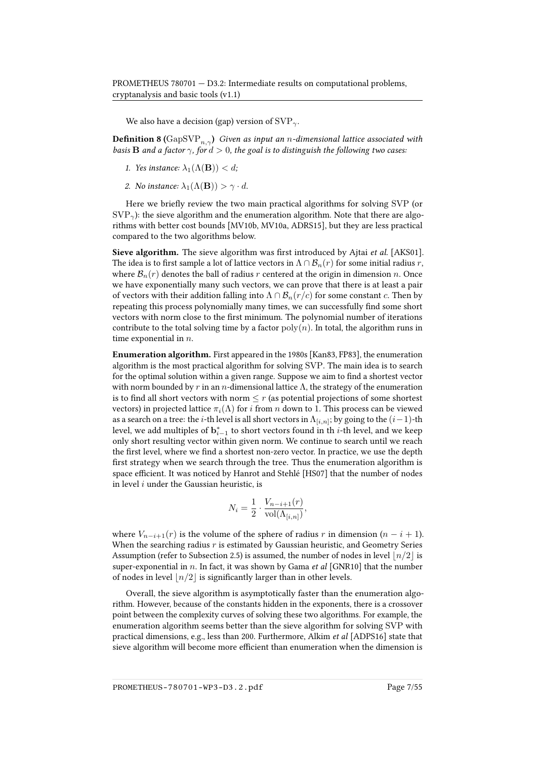We also have a decision (gap) version of  $SVP_{\gamma}$ .

**Definition 8** (GapSVP<sub>n, $\gamma$ </sub>) Given as input an n-dimensional lattice associated with basis **B** and a factor  $\gamma$ , for  $d > 0$ , the goal is to distinguish the following two cases:

- 1. Yes instance:  $\lambda_1(\Lambda(\mathbf{B})) < d$ ;
- 2. No instance:  $\lambda_1(\Lambda(\mathbf{B})) > \gamma \cdot d$ .

Here we briefly review the two main practical algorithms for solving SVP (or  $SVP_{\gamma}$ ): the sieve algorithm and the enumeration algorithm. Note that there are algorithms with better cost bounds [\[MV10b,](#page-58-0) [MV10a,](#page-58-1) [ADRS15\]](#page-51-2), but they are less practical compared to the two algorithms below.

Sieve algorithm. The sieve algorithm was first introduced by Ajtai *et al.* [\[AKS01\]](#page-51-3). The idea is to first sample a lot of lattice vectors in  $\Lambda \cap \mathcal{B}_n(r)$  for some initial radius r, where  $\mathcal{B}_n(r)$  denotes the ball of radius r centered at the origin in dimension n. Once we have exponentially many such vectors, we can prove that there is at least a pair of vectors with their addition falling into  $\Lambda \cap \mathcal{B}_n(r/c)$  for some constant c. Then by repeating this process polynomially many times, we can successfully find some short vectors with norm close to the first minimum. The polynomial number of iterations contribute to the total solving time by a factor  $poly(n)$ . In total, the algorithm runs in time exponential in  $n$ .

Enumeration algorithm. First appeared in the 1980s [\[Kan83,](#page-57-0) [FP83\]](#page-55-0), the enumeration algorithm is the most practical algorithm for solving SVP. The main idea is to search for the optimal solution within a given range. Suppose we aim to find a shortest vector with norm bounded by r in an n-dimensional lattice  $\Lambda$ , the strategy of the enumeration is to find all short vectors with norm  $\leq r$  (as potential projections of some shortest vectors) in projected lattice  $\pi_i(\Lambda)$  for i from n down to 1. This process can be viewed as a search on a tree: the *i*-th level is all short vectors in  $\Lambda_{[i,n]}$ ; by going to the  $(i-1)$ -th level, we add multiples of  $\mathbf{b}^*_{i-1}$  to short vectors found in th  $i$ -th level, and we keep only short resulting vector within given norm. We continue to search until we reach the first level, where we find a shortest non-zero vector. In practice, we use the depth first strategy when we search through the tree. Thus the enumeration algorithm is space efficient. It was noticed by Hanrot and Stehlé [\[HS07\]](#page-56-1) that the number of nodes in level  $i$  under the Gaussian heuristic, is

$$
N_i = \frac{1}{2} \cdot \frac{V_{n-i+1}(r)}{\text{vol}(\Lambda_{[i,n]})},
$$

where  $V_{n-i+1}(r)$  is the volume of the sphere of radius r in dimension  $(n-i+1)$ . When the searching radius  $r$  is estimated by Gaussian heuristic, and Geometry Series Assumption (refer to Subsection [2.5\)](#page-17-0) is assumed, the number of nodes in level  $\lfloor n/2 \rfloor$  is super-exponential in  $n$ . In fact, it was shown by Gama et al [\[GNR10\]](#page-56-2) that the number of nodes in level  $\lfloor n/2 \rfloor$  is significantly larger than in other levels.

Overall, the sieve algorithm is asymptotically faster than the enumeration algorithm. However, because of the constants hidden in the exponents, there is a crossover point between the complexity curves of solving these two algorithms. For example, the enumeration algorithm seems better than the sieve algorithm for solving SVP with practical dimensions, e.g., less than 200. Furthermore, Alkim et al [\[ADPS16\]](#page-51-4) state that sieve algorithm will become more efficient than enumeration when the dimension is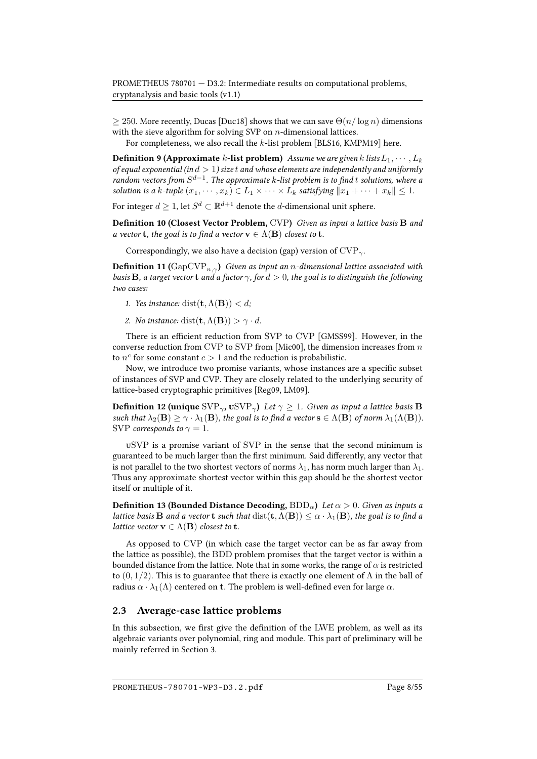$\geq$  250. More recently, Ducas [\[Duc18\]](#page-55-1) shows that we can save  $\Theta(n/\log n)$  dimensions with the sieve algorithm for solving SVP on  $n$ -dimensional lattices.

For completeness, we also recall the k-list problem [\[BLS16,](#page-53-1) [KMPM19\]](#page-57-1) here.

**Definition 9 (Approximate** k-list problem) Assume we are given k lists  $L_1, \dots, L_k$ of equal exponential (in  $d>1$ ) size $\,t$  and whose elements are independently and uniformly random vectors from  $S^{d-1}$ . The approximate k-list problem is to find  $t$  solutions, where a solution is a k-tuple  $(x_1, \dots, x_k) \in L_1 \times \dots \times L_k$  satisfying  $||x_1 + \dots + x_k|| \leq 1$ .

For integer  $d \geq 1$ , let  $S^d \subset \mathbb{R}^{d+1}$  denote the  $d$ -dimensional unit sphere.

Definition 10 (Closest Vector Problem, CVP) Given as input a lattice basis B and a vector **t**, the goal is to find a vector  $\mathbf{v} \in \Lambda(\mathbf{B})$  closest to **t**.

Correspondingly, we also have a decision (gap) version of  $CVP_{\gamma}$ .

**Definition 11** (GapCVP<sub>n, $\gamma$ </sub>) Given as input an n-dimensional lattice associated with basis **B**, a target vector **t** and a factor  $\gamma$ , for  $d > 0$ , the goal is to distinguish the following two cases:

- 1. Yes instance: dist( $\mathbf{t}, \Lambda(\mathbf{B})$ )  $< d$ ;
- 2. No instance: dist $(\mathbf{t}, \Lambda(\mathbf{B})) > \gamma \cdot d$ .

There is an efficient reduction from SVP to CVP [\[GMSS99\]](#page-56-3). However, in the converse reduction from CVP to SVP from [\[Mic00\]](#page-58-2), the dimension increases from  $n$ to  $n^c$  for some constant  $c > 1$  and the reduction is probabilistic.

Now, we introduce two promise variants, whose instances are a specific subset of instances of SVP and CVP. They are closely related to the underlying security of lattice-based cryptographic primitives [\[Reg09,](#page-59-0) [LM09\]](#page-57-2).

**Definition 12 (unique**  $SVP_{\gamma}$ ,  $USVP_{\gamma}$ ) Let  $\gamma \geq 1$ . Given as input a lattice basis **B** such that  $\lambda_2(\mathbf{B}) \geq \gamma \cdot \lambda_1(\mathbf{B})$ , the goal is to find a vector  $\mathbf{s} \in \Lambda(\mathbf{B})$  of norm  $\lambda_1(\Lambda(\mathbf{B}))$ . SVP corresponds to  $\gamma = 1$ .

uSVP is a promise variant of SVP in the sense that the second minimum is guaranteed to be much larger than the first minimum. Said differently, any vector that is not parallel to the two shortest vectors of norms  $\lambda_1$ , has norm much larger than  $\lambda_1$ . Thus any approximate shortest vector within this gap should be the shortest vector itself or multiple of it.

**Definition 13 (Bounded Distance Decoding,** BDD<sub> $\alpha$ </sub>) Let  $\alpha > 0$ . Given as inputs a lattice basis **B** and a vector **t** such that  $dist(t, \Lambda(B)) \leq \alpha \cdot \lambda_1(B)$ , the goal is to find a *lattice vector*  $\mathbf{v} \in \Lambda(\mathbf{B})$  *closest to t.* 

As opposed to CVP (in which case the target vector can be as far away from the lattice as possible), the BDD problem promises that the target vector is within a bounded distance from the lattice. Note that in some works, the range of  $\alpha$  is restricted to  $(0, 1/2)$ . This is to guarantee that there is exactly one element of Λ in the ball of radius  $\alpha \cdot \lambda_1(\Lambda)$  centered on t. The problem is well-defined even for large  $\alpha$ .

#### <span id="page-13-0"></span>2.3 Average-case lattice problems

In this subsection, we first give the definition of the LWE problem, as well as its algebraic variants over polynomial, ring and module. This part of preliminary will be mainly referred in Section [3.](#page-24-0)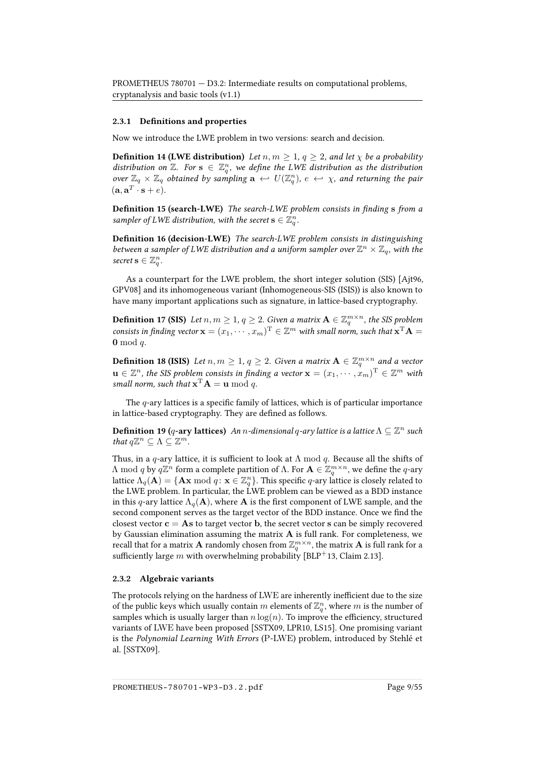#### 2.3.1 Definitions and properties

Now we introduce the LWE problem in two versions: search and decision.

**Definition 14 (LWE distribution)** Let  $n, m \geq 1, q \geq 2$ , and let  $\chi$  be a probability distribution on  $\mathbb{Z}$ . For  $s \in \mathbb{Z}_q^n$ , we define the LWE distribution as the distribution over  $\mathbb{Z}_q \times \mathbb{Z}_q$  obtained by sampling  $\mathbf{a} \leftrightarrow U(\mathbb{Z}_q^n)$ ,  $e \leftrightarrow \chi$ , and returning the pair  $(\mathbf{a}, \mathbf{a}^T \cdot \mathbf{s} + e).$ 

**Definition 15 (search-LWE)** The search-LWE problem consists in finding s from a sampler of LWE distribution, with the secret  $\mathbf{s}\in\mathbb{Z}_q^n$ .

Definition 16 (decision-LWE) The search-LWE problem consists in distinguishing between a sampler of LWE distribution and a uniform sampler over  $\mathbb{Z}^n\times\mathbb{Z}_q$ , with the secret  $\mathbf{s} \in \mathbb{Z}_q^n$ .

As a counterpart for the LWE problem, the short integer solution (SIS) [\[Ajt96,](#page-51-5) [GPV08\]](#page-56-0) and its inhomogeneous variant (Inhomogeneous-SIS (ISIS)) is also known to have many important applications such as signature, in lattice-based cryptography.

**Definition 17 (SIS)** Let  $n, m \geq 1, q \geq 2$ . Given a matrix  $\mathbf{A} \in \mathbb{Z}_q^{m \times n}$ , the SIS problem consists in finding vector  $\mathbf{x} = (x_1, \dots, x_m)^{\mathrm{T}} \in \mathbb{Z}^m$  with small norm, such that  $\mathbf{x}^{\mathrm{T}} \mathbf{A} =$  $\mathbf{0} \bmod q$ .

**Definition 18 (ISIS)** Let  $n, m \geq 1, q \geq 2$ . Given a matrix  $\mathbf{A} \in \mathbb{Z}_q^{m \times n}$  and a vector  $\mathbf{u} \in \mathbb{Z}^n$ , the SIS problem consists in finding a vector  $\mathbf{x} = (x_1, \dots, x_m)^\mathrm{T} \in \mathbb{Z}^m$  with small norm, such that  $\mathbf{x}^{\mathrm{T}}\mathbf{A} = \mathbf{u} \bmod q$ .

The  $q$ -ary lattices is a specific family of lattices, which is of particular importance in lattice-based cryptography. They are defined as follows.

**Definition 19** (q-ary lattices) An n-dimensional q-ary lattice is a lattice  $\Lambda \subseteq \mathbb{Z}^n$  such that  $q\mathbb{Z}^n\subseteq \Lambda\subseteq \mathbb{Z}^m$ .

Thus, in a q-ary lattice, it is sufficient to look at  $\Lambda$  mod q. Because all the shifts of Λ mod q by  $q\mathbb{Z}^n$  form a complete partition of Λ. For  $\mathbf{A}\in\mathbb{Z}_q^{m\times n}$ , we define the q-ary lattice  $\Lambda_q(\mathbf{A}) = \{ \mathbf{A} \mathbf{x} \bmod q : \mathbf{x} \in \mathbb{Z}_q^n \}$ . This specific q-ary lattice is closely related to the LWE problem. In particular, the LWE problem can be viewed as a BDD instance in this q-ary lattice  $\Lambda_q(A)$ , where A is the first component of LWE sample, and the second component serves as the target vector of the BDD instance. Once we find the closest vector  $c = As$  to target vector b, the secret vector s can be simply recovered by Gaussian elimination assuming the matrix  $A$  is full rank. For completeness, we recall that for a matrix **A** randomly chosen from  $\mathbb{Z}_q^{m \times n}$ , the matrix **A** is full rank for a sufficiently large m with overwhelming probability [\[BLP](#page-53-0)+13, Claim 2.13].

#### 2.3.2 Algebraic variants

The protocols relying on the hardness of LWE are inherently inefficient due to the size of the public keys which usually contain  $m$  elements of  $\mathbb{Z}_q^n$ , where  $m$  is the number of samples which is usually larger than  $n \log(n)$ . To improve the efficiency, structured variants of LWE have been proposed [\[SSTX09,](#page-60-1) [LPR10,](#page-58-3) [LS15\]](#page-58-4). One promising variant is the Polynomial Learning With Errors (P-LWE) problem, introduced by Stehlé et al. [\[SSTX09\]](#page-60-1).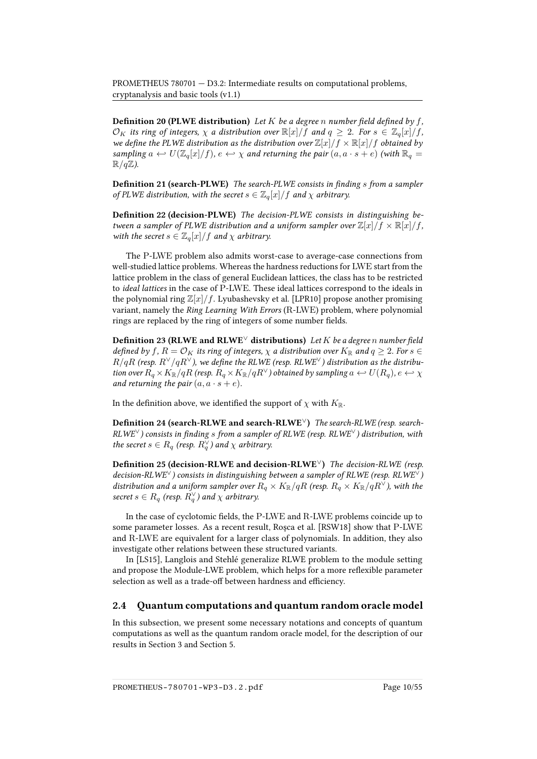**Definition 20 (PLWE distribution)** Let K be a degree n number field defined by f,  $\mathcal{O}_K$  its ring of integers,  $\chi$  a distribution over  $\mathbb{R}[x]/f$  and  $q \geq 2$ . For  $s \in \mathbb{Z}_q[x]/f$ , we define the PLWE distribution as the distribution over  $\mathbb{Z}[x]/f \times \mathbb{R}[x]/f$  obtained by sampling  $a \leftrightarrow U(\mathbb{Z}_q[x]/f)$ ,  $e \leftrightarrow \chi$  and returning the pair  $(a, a \cdot s + e)$  (with  $\mathbb{R}_q =$  $\mathbb{R}/q\mathbb{Z}$ ).

**Definition 21 (search-PLWE)** The search-PLWE consists in finding s from a sampler of PLWE distribution, with the secret  $s \in \mathbb{Z}_q[x]/f$  and  $\chi$  arbitrary.

Definition 22 (decision-PLWE) The decision-PLWE consists in distinguishing between a sampler of PLWE distribution and a uniform sampler over  $\mathbb{Z}[x]/f \times \mathbb{R}[x]/f$ , with the secret  $s \in \mathbb{Z}_q[x]/f$  and  $\chi$  arbitrary.

The P-LWE problem also admits worst-case to average-case connections from well-studied lattice problems. Whereas the hardness reductions for LWE start from the lattice problem in the class of general Euclidean lattices, the class has to be restricted to ideal lattices in the case of P-LWE. These ideal lattices correspond to the ideals in the polynomial ring  $\mathbb{Z}[x]/f$ . Lyubashevsky et al. [\[LPR10\]](#page-58-3) propose another promising variant, namely the Ring Learning With Errors (R-LWE) problem, where polynomial rings are replaced by the ring of integers of some number fields.

Definition 23 (RLWE and RLWE<sup> $\lor$ </sup> distributions) Let K be a degree n number field defined by f,  $R = \mathcal{O}_K$  its ring of integers,  $\chi$  a distribution over  $K_{\mathbb{R}}$  and  $q \geq 2$ . For  $s \in$  $R/qR$  (resp.  $R^\vee/qR^\vee$ ), we define the RLWE (resp. RLWE<sup> $\vee$ </sup>) distribution as the distribution over  $R_q \times K_\mathbb{R}/qR$  (resp.  $R_q \times K_\mathbb{R}/qR^\vee$ ) obtained by sampling  $a \leftrightarrow U(R_q), e \leftrightarrow \chi$ and returning the pair  $(a, a \cdot s + e)$ .

In the definition above, we identified the support of  $\chi$  with  $K_{\mathbb{R}}$ .

Definition 24 (search-RLWE and search-RLWE<sup>√</sup>) The search-RLWE (resp. search- $RLWE^{\vee}$ ) consists in finding s from a sampler of RLWE (resp. RLWE $\vee$ ) distribution, with the secret  $s \in R_q$  (resp.  $R_q^{\vee}$ ) and  $\chi$  arbitrary.

Definition 25 (decision-RLWE and decision-RLWE $\vee$ ) The decision-RLWE (resp. decision-RLWE<sup> $\vee$ </sup>) consists in distinguishing between a sampler of RLWE (resp. RLWE<sup> $\vee$ </sup>) distribution and a uniform sampler over  $R_q \times K_{\mathbb{R}}/qR$  (resp.  $R_q \times K_{\mathbb{R}}/qR^{\vee}$ ), with the secret  $s \in R_q$  (resp.  $R_q^{\vee}$ ) and  $\chi$  arbitrary.

In the case of cyclotomic fields, the P-LWE and R-LWE problems coincide up to some parameter losses. As a recent result, Roşca et al. [\[RSW18\]](#page-60-2) show that P-LWE and R-LWE are equivalent for a larger class of polynomials. In addition, they also investigate other relations between these structured variants.

In [\[LS15\]](#page-58-4), Langlois and Stehlé generalize RLWE problem to the module setting and propose the Module-LWE problem, which helps for a more reflexible parameter selection as well as a trade-off between hardness and efficiency.

#### <span id="page-15-0"></span>2.4 Quantum computations and quantum random oracle model

In this subsection, we present some necessary notations and concepts of quantum computations as well as the quantum random oracle model, for the description of our results in Section [3](#page-24-0) and Section [5.](#page-35-0)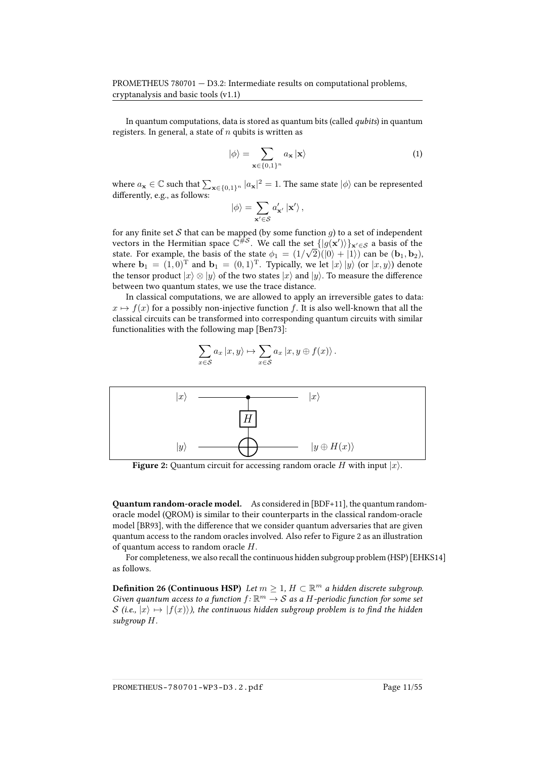In quantum computations, data is stored as quantum bits (called qubits) in quantum registers. In general, a state of  $n$  qubits is written as

$$
|\phi\rangle = \sum_{\mathbf{x} \in \{0,1\}^n} a_{\mathbf{x}} |\mathbf{x}\rangle
$$
 (1)

where  $a_{\mathbf{x}} \in \mathbb{C}$  such that  $\sum_{\mathbf{x} \in \{0,1\}^n} |a_{\mathbf{x}}|^2 = 1$ . The same state  $|\phi\rangle$  can be represented differently, e.g., as follows:

$$
|\phi\rangle = \sum_{\mathbf{x}' \in \mathcal{S}} a'_{\mathbf{x}'} | \mathbf{x}' \rangle ,
$$

for any finite set S that can be mapped (by some function  $g$ ) to a set of independent vectors in the Hermitian space  $\mathbb{C}^{\#S}$ . We call the set  $\{|g(\mathbf{x}')\rangle\}_{\mathbf{x}'\in\mathcal{S}}$  a basis of the state. For example, the basis of the state  $\phi_1 = (1/\sqrt{2})(|0\rangle + |1\rangle)$  can be  $(b_1, b_2)$ , where  $\mathbf{b}_1 = (1, 0)^T$  and  $\mathbf{b}_1 = (0, 1)^T$ . Typically, we let  $|x\rangle |y\rangle$  (or  $|x, y\rangle$ ) denote the tensor product  $|x\rangle \otimes |y\rangle$  of the two states  $|x\rangle$  and  $|y\rangle$ . To measure the difference between two quantum states, we use the trace distance.

In classical computations, we are allowed to apply an irreversible gates to data:  $x \mapsto f(x)$  for a possibly non-injective function f. It is also well-known that all the classical circuits can be transformed into corresponding quantum circuits with similar functionalities with the following map [\[Ben73\]](#page-52-0):

<span id="page-16-0"></span>
$$
\sum_{x \in S} a_x |x, y\rangle \mapsto \sum_{x \in S} a_x |x, y \oplus f(x)\rangle.
$$



**Figure 2:** Quantum circuit for accessing random oracle H with input  $|x\rangle$ .

Quantum random-oracle model. As considered in [BDF+11], the quantum randomoracle model (QROM) is similar to their counterparts in the classical random-oracle model [BR93], with the difference that we consider quantum adversaries that are given quantum access to the random oracles involved. Also refer to Figure [2](#page-16-0) as an illustration of quantum access to random oracle  $H$ .

For completeness, we also recall the continuous hidden subgroup problem (HSP) [\[EHKS14\]](#page-55-2) as follows.

**Definition 26 (Continuous HSP)** Let  $m \geq 1$ ,  $H \subset \mathbb{R}^m$  a hidden discrete subgroup. Given quantum access to a function  $f: \mathbb{R}^m \to \mathcal{S}$  as a H-periodic function for some set S (i.e.,  $|x\rangle \mapsto |f(x)\rangle$ ), the continuous hidden subgroup problem is to find the hidden subgroup H.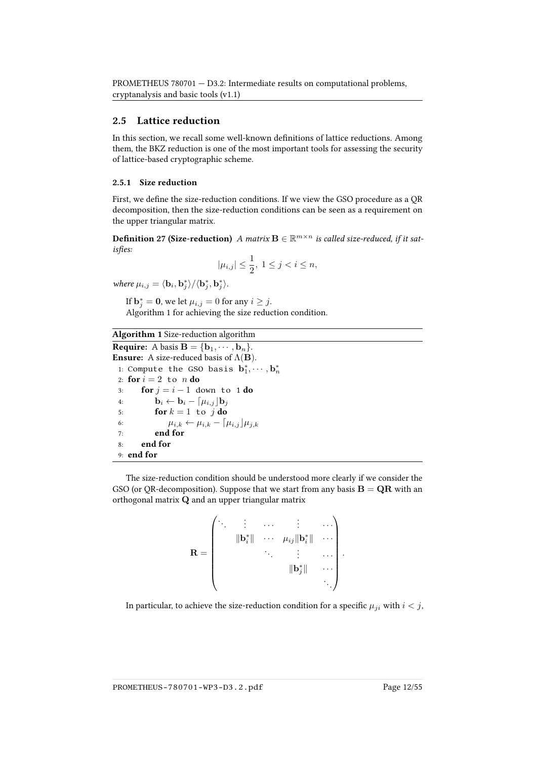#### <span id="page-17-0"></span>2.5 Lattice reduction

In this section, we recall some well-known definitions of lattice reductions. Among them, the BKZ reduction is one of the most important tools for assessing the security of lattice-based cryptographic scheme.

#### 2.5.1 Size reduction

First, we define the size-reduction conditions. If we view the GSO procedure as a QR decomposition, then the size-reduction conditions can be seen as a requirement on the upper triangular matrix.

**Definition 27 (Size-reduction)** A matrix  $\mathbf{B} \in \mathbb{R}^{m \times n}$  is called size-reduced, if it satisfies:

$$
|\mu_{i,j}| \le \frac{1}{2}, 1 \le j < i \le n,
$$

where  $\mu_{i,j} = \langle \mathbf{b}_i, \mathbf{b}_j^* \rangle / \langle \mathbf{b}_j^*, \mathbf{b}_j^* \rangle$ .

If  $\mathbf{b}_j^* = \mathbf{0}$ , we let  $\mu_{i,j} = 0$  for any  $i \geq j$ . Algorithm [1](#page-17-1) for achieving the size reduction condition.

Algorithm 1 Size-reduction algorithm

<span id="page-17-1"></span>**Require:** A basis  $\mathbf{B} = \{\mathbf{b}_1, \cdots, \mathbf{b}_n\}.$ **Ensure:** A size-reduced basis of  $\Lambda$ (**B**). 1: Compute the GSO basis  $\mathbf{b}_1^*, \cdots, \mathbf{b}_n^*$ 2: for  $i = 2$  to  $n$  do 3: **for**  $j = i - 1$  down to 1 **do**<br>4: **b**<sub>i</sub> ← **b**<sub>i</sub> –  $\lceil \mu_{i,i} \rceil$ **b**<sub>i</sub> 4:  $\mathbf{b}_i \leftarrow \mathbf{b}_i - \left[\mu_{i,j}\right] \mathbf{b}_j$ <br>5.  $\mathbf{for} k = 1$ ,  $\mathbf{to} i$ ,  $\mathbf{do}$ for  $k = 1$  to j do 6:  $\mu_{i,k} \leftarrow \mu_{i,k} - \left[\mu_{i,j}\right]\mu_{j,k}$ <br>7. **end for** end for 8: end for 9: end for

The size-reduction condition should be understood more clearly if we consider the GSO (or QR-decomposition). Suppose that we start from any basis  $B = QR$  with an orthogonal matrix Q and an upper triangular matrix

$$
\mathbf{R} = \begin{pmatrix} \ddots & \vdots & \dots & \vdots & \dots \\ & \|\mathbf{b}_{i}^{*}\| & \dots & \mu_{ij}\|\mathbf{b}_{i}^{*}\| & \dots \\ & & \ddots & \vdots & \dots \\ & & & \|\mathbf{b}_{j}^{*}\| & \dots \\ & & & & \ddots \end{pmatrix}.
$$

In particular, to achieve the size-reduction condition for a specific  $\mu_{ji}$  with  $i < j$ ,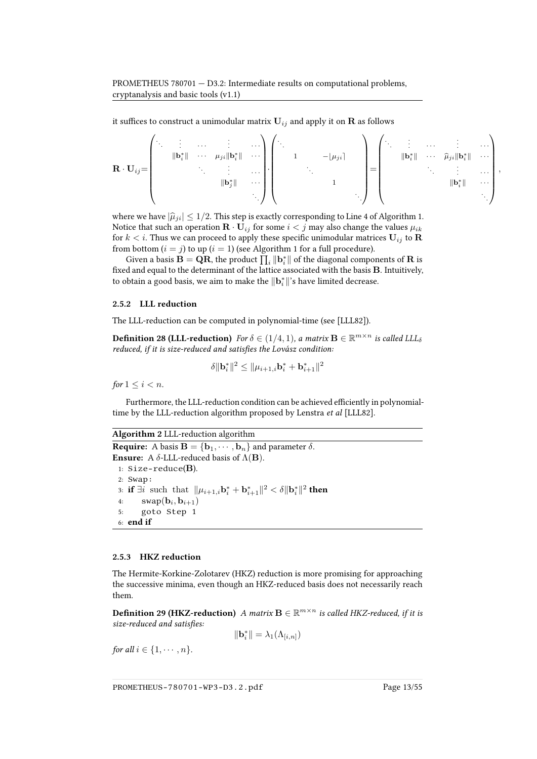it suffices to construct a unimodular matrix  $\mathbf{U}_{ij}$  and apply it on  $\mathbf{R}$  as follows

$$
\mathbf{R} \cdot \mathbf{U}_{ij} = \begin{pmatrix} \ddots & \vdots & \dots & \vdots & \dots \\ & \|\mathbf{b}_{i}^{*}\| & \cdots & \mu_{ji}\|\mathbf{b}_{i}^{*}\| & \cdots \\ & & \vdots & \dots & \vdots \\ & & & \|\mathbf{b}_{j}^{*}\| & \cdots \\ & & & & \ddots \end{pmatrix} \begin{pmatrix} \ddots & & & & & \dots & \vdots & \dots \\ & 1 & & & & & \mathbf{b}_{ij} \\ & & \ddots & & & & \mathbf{b}_{ij} \\ & & & & 1 & \\ & & & & & \ddots \end{pmatrix} = \begin{pmatrix} \ddots & \vdots & \dots & \vdots & \dots \\ & \|\mathbf{b}_{i}^{*}\| & \cdots & \widehat{\mu}_{ji}\|\mathbf{b}_{i}^{*}\| & \cdots \\ & & & & \vdots & \dots \\ & & & & \mathbf{b}_{i}^{*}\| & \cdots \\ & & & & & \ddots \end{pmatrix},
$$

where we have  $|\hat{\mu}_{ii}| \leq 1/2$ . This step is exactly corresponding to Line 4 of Algorithm [1.](#page-17-1) Notice that such an operation  $\mathbf{R} \cdot \mathbf{U}_{ij}$  for some  $i < j$  may also change the values  $\mu_{ik}$ for  $k < i$ . Thus we can proceed to apply these specific unimodular matrices  $U_{ij}$  to R from bottom  $(i = j)$  to up  $(i = 1)$  $(i = 1)$  $(i = 1)$  (see Algorithm 1 for a full procedure).

Given a basis  $\mathbf{B} = \mathbf{Q}\mathbf{R}$ , the product  $\prod_i \|\mathbf{b}_i^*\|$  of the diagonal components of  $\mathbf{R}$  is fixed and equal to the determinant of the lattice associated with the basis **B**. Intuitively, to obtain a good basis, we aim to make the  $\|\mathbf{b}_i^*\|$ 's have limited decrease.

#### 2.5.2 LLL reduction

The LLL-reduction can be computed in polynomial-time (see [\[LLL82\]](#page-57-3)).

**Definition 28 (LLL-reduction)** For  $\delta \in (1/4, 1)$ , a matrix  $\mathbf{B} \in \mathbb{R}^{m \times n}$  is called LLL $_{\delta}$ reduced, if it is size-reduced and satisfies the Lovász condition:

$$
\delta \|\mathbf{b}_{i}^{*}\|^{2} \leq \|\mu_{i+1,i}\mathbf{b}_{i}^{*} + \mathbf{b}_{i+1}^{*}\|^{2}
$$

for  $1 \leq i < n$ .

Furthermore, the LLL-reduction condition can be achieved efficiently in polynomial-time by the LLL-reduction algorithm proposed by Lenstra et al [\[LLL82\]](#page-57-3).

```
Algorithm 2 LLL-reduction algorithm
Require: A basis \mathbf{B} = {\mathbf{b}_1, \cdots, \mathbf{b}_n} and parameter \delta.
Ensure: A \delta-LLL-reduced basis of \Lambda(B).
 1: Size-reduce(B).
 2: Swap:
  3: if \exists i such that ||\mu_{i+1,i} \mathbf{b}_i^* + \mathbf{b}_{i+1}^*||^2 < \delta ||\mathbf{b}_i^*||^2 then
  4: swap(b_i, b_{i+1})5: goto Step 1
 6: end if
```
#### 2.5.3 HKZ reduction

The Hermite-Korkine-Zolotarev (HKZ) reduction is more promising for approaching the successive minima, even though an HKZ-reduced basis does not necessarily reach them.

**Definition 29 (HKZ-reduction)** A matrix  $\mathbf{B} \in \mathbb{R}^{m \times n}$  is called HKZ-reduced, if it is size-reduced and satisfies:

$$
\|\mathbf{b}_i^*\| = \lambda_1(\Lambda_{[i,n]})
$$

for all  $i \in \{1, \cdots, n\}$ .

PROMETHEUS-780701-WP3-D3.2.pdf Page 13/55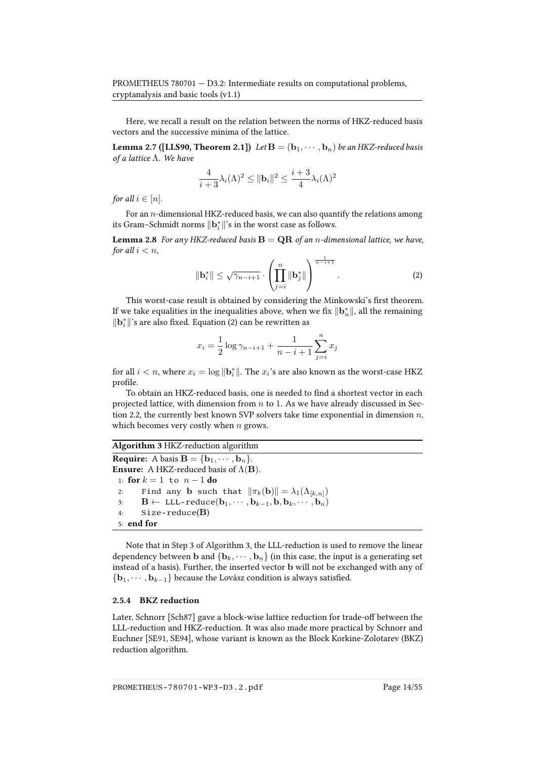Here, we recall a result on the relation between the norms of HKZ-reduced basis vectors and the successive minima of the lattice.

**Lemma 2.7 ([\[LLS90,](#page-57-4) Theorem 2.1])** Let  $B = (b_1, \dots, b_n)$  be an HKZ-reduced basis of a lattice Λ. We have

$$
\frac{4}{i+3}\lambda_i(\Lambda)^2 \le ||\mathbf{b}_i||^2 \le \frac{i+3}{4}\lambda_i(\Lambda)^2
$$

for all  $i \in [n]$ .

For an  $n$ -dimensional HKZ-reduced basis, we can also quantify the relations among its Gram–Schmidt norms  $\|\mathbf{b}_i^*\|$ 's in the worst case as follows.

**Lemma 2.8** For any HKZ-reduced basis  $B = QR$  of an n-dimensional lattice, we have, for all  $i < n$ ,

<span id="page-19-0"></span>
$$
\|\mathbf{b}_{i}^{*}\| \leq \sqrt{\gamma_{n-i+1}} \cdot \left(\prod_{j=i}^{n} \|\mathbf{b}_{j}^{*}\|\right)^{\frac{1}{n-i+1}}.
$$
 (2)

This worst-case result is obtained by considering the Minkowski's first theorem. If we take equalities in the inequalities above, when we fix  $\|\mathbf{b}_n^*\|$ , all the remaining  $\|\mathbf{b}_i^*\|$  's are also fixed. Equation [\(2\)](#page-19-0) can be rewritten as

$$
x_i = \frac{1}{2} \log \gamma_{n-i+1} + \frac{1}{n-i+1} \sum_{j=i}^{n} x_j
$$

for all  $i < n$ , where  $x_i = \log \|\mathbf{b}_i^*\|$ . The  $x_i$ 's are also known as the worst-case HKZ profile.

To obtain an HKZ-reduced basis, one is needed to find a shortest vector in each projected lattice, with dimension from  $n$  to 1. As we have already discussed in Sec-tion [2.2,](#page-11-0) the currently best known SVP solvers take time exponential in dimension  $n$ , which becomes very costly when  $n$  grows.

```
Algorithm 3 HKZ-reduction algorithm
Require: A basis \mathbf{B} = \{\mathbf{b}_1, \cdots, \mathbf{b}_n\}.Ensure: A HKZ-reduced basis of \Lambda(B).
  1: for k = 1 to n - 1 do<br>2: Find any b such
  2: Find any b such that \|\pi_k(\mathbf{b})\| = \lambda_1(\Lambda_{[k,n]})<br>
\mathbf{B} \leftarrow \text{LLL-reduce}(\mathbf{b}_1, \dots, \mathbf{b}_{k-1}, \mathbf{b}_k, \dots, \mathbf{b}_n)3: \mathbf{B} \leftarrow \text{LLL-reduce}(\mathbf{b}_1, \cdots, \mathbf{b}_{k-1}, \mathbf{b}, \mathbf{b}_k, \cdots, \mathbf{b}_n)<br>4: Size-reduce(B)
              size-reduce(B)5: end for
```
Note that in Step 3 of Algorithm [3,](#page-19-1) the LLL-reduction is used to remove the linear dependency between **b** and  ${\bf \{b_k, \cdots, b_n\}}$  (in this case, the input is a generating set instead of a basis). Further, the inserted vector b will not be exchanged with any of  ${b_1, \dots, b_{k-1}}$  because the Lovász condition is always satisfied.

#### 2.5.4 BKZ reduction

Later, Schnorr [\[Sch87\]](#page-60-3) gave a block-wise lattice reduction for trade-off between the LLL-reduction and HKZ-reduction. It was also made more practical by Schnorr and Euchner [\[SE91,](#page-60-4) [SE94\]](#page-60-5), whose variant is known as the Block Korkine-Zolotarev (BKZ) reduction algorithm.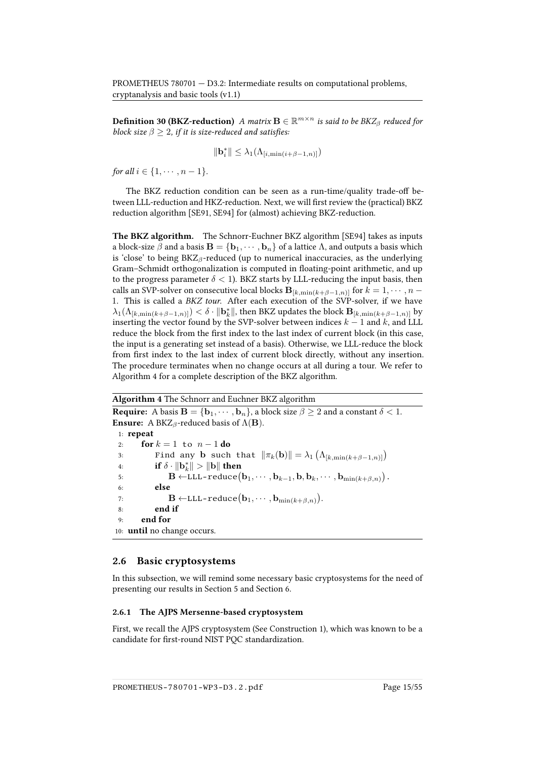**Definition 30 (BKZ-reduction)** A matrix  $\mathbf{B} \in \mathbb{R}^{m \times n}$  is said to be  $BKZ_{\beta}$  reduced for block size  $\beta \geq 2$ , if it is size-reduced and satisfies:

$$
\|\mathbf{b}_{i}^{*}\| \leq \lambda_{1}(\Lambda_{[i,\min(i+\beta-1,n)]})
$$

for all  $i \in \{1, \cdots, n-1\}$ .

The BKZ reduction condition can be seen as a run-time/quality trade-off between LLL-reduction and HKZ-reduction. Next, we will first review the (practical) BKZ reduction algorithm [\[SE91,](#page-60-4) [SE94\]](#page-60-5) for (almost) achieving BKZ-reduction.

The BKZ algorithm. The Schnorr-Euchner BKZ algorithm [\[SE94\]](#page-60-5) takes as inputs a block-size  $\beta$  and a basis  $\mathbf{B} = \{\mathbf{b}_1, \cdots, \mathbf{b}_n\}$  of a lattice  $\Lambda$ , and outputs a basis which is 'close' to being  $BKZ_\beta$ -reduced (up to numerical inaccuracies, as the underlying Gram-Schmidt orthogonalization is computed in floating-point arithmetic, and up to the progress parameter  $\delta$  < 1). BKZ starts by LLL-reducing the input basis, then calls an SVP-solver on consecutive local blocks  ${\bf B}_{[k,\min(k+\beta-1,n)]}$  for  $k=1,\cdots,n-1$ 1. This is called a BKZ tour. After each execution of the SVP-solver, if we have  $\lambda_1(\Lambda_{[k,\min(k+\beta-1,n)]})<\delta\cdot\|\mathbf{b}_k^*\|,$  then BKZ updates the block  $\mathbf{B}_{[k,\min(k+\beta-1,n)]}$  by inserting the vector found by the SVP-solver between indices  $k - 1$  and k, and LLL reduce the block from the first index to the last index of current block (in this case, the input is a generating set instead of a basis). Otherwise, we LLL-reduce the block from first index to the last index of current block directly, without any insertion. The procedure terminates when no change occurs at all during a tour. We refer to Algorithm [4](#page-20-1) for a complete description of the BKZ algorithm.

Algorithm 4 The Schnorr and Euchner BKZ algorithm

<span id="page-20-1"></span>**Require:** A basis  $\mathbf{B} = \{\mathbf{b}_1, \dots, \mathbf{b}_n\}$ , a block size  $\beta \geq 2$  and a constant  $\delta < 1$ . **Ensure:** A BKZ<sub>β</sub>-reduced basis of  $\Lambda$ (**B**). 1: repeat 2: **for**  $k = 1$  to  $n - 1$  **do**<br>3: **Find any b** such 3: Find any **b** such that  $\|\pi_k(\mathbf{b})\| = \lambda_1 \left( \Lambda_{[k,\min(k+\beta-1,n)]} \right)$ 4: if  $\delta \cdot ||\mathbf{b}_k^*|| > ||\mathbf{b}||$  then 5:  $\mathbf{B} \leftarrow \text{LLL-reduce}\big(\mathbf{b}_1, \cdots, \mathbf{b}_{k-1}, \mathbf{b}, \mathbf{b}_k, \cdots, \mathbf{b}_{\min(k+\beta,n)}\big).$ 6: else 7:  $\mathbf{B} \leftarrow \text{LLL-reduce}(\mathbf{b}_1, \cdots, \mathbf{b}_{\min(k+\beta,n)}).$ 8: end if 9: end for 10: until no change occurs.

#### <span id="page-20-0"></span>2.6 Basic cryptosystems

In this subsection, we will remind some necessary basic cryptosystems for the need of presenting our results in Section [5](#page-35-0) and Section [6.](#page-43-1)

#### 2.6.1 The AJPS Mersenne-based cryptosystem

First, we recall the AJPS cryptosystem (See Construction 1), which was known to be a candidate for first-round NIST PQC standardization.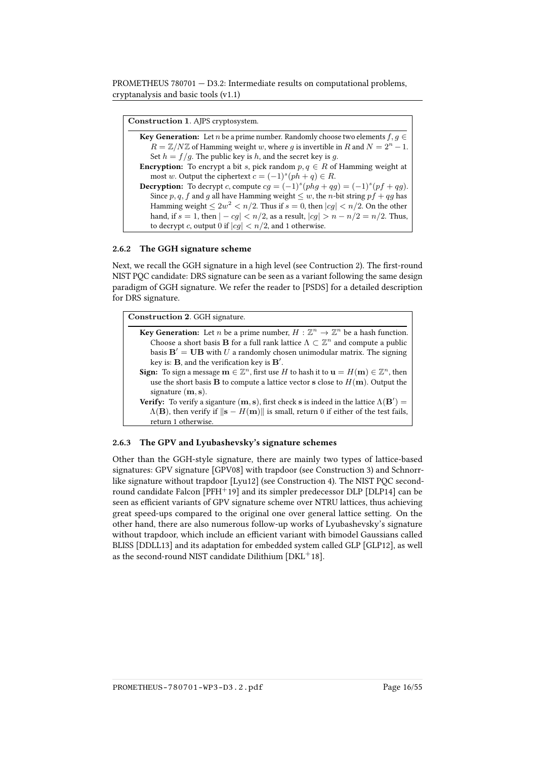Construction 1. AJPS cryptosystem.

| <b>Key Generation:</b> Let <i>n</i> be a prime number. Randomly choose two elements $f, q \in$  |  |
|-------------------------------------------------------------------------------------------------|--|
| $R = \mathbb{Z}/N\mathbb{Z}$ of Hamming weight w, where g is invertible in R and $N = 2n - 1$ . |  |
| Set $h = f/g$ . The public key is h, and the secret key is g.                                   |  |
| <b>Encryption:</b> To encrypt a bit s, pick random $p, q \in R$ of Hamming weight at            |  |
| most w. Output the ciphertext $c = (-1)^s (ph + q) \in R$ .                                     |  |
| <b>Decryption:</b> To decrypt c, compute $cg = (-1)^s (phg + qg) = (-1)^s (pf + qg)$ .          |  |
| Since p, q, f and g all have Hamming weight $\leq w$ , the n-bit string pf + qg has             |  |
| Hamming weight $\leq 2w^2 < n/2$ . Thus if $s = 0$ , then $ cg  < n/2$ . On the other           |  |
| hand, if $s = 1$ , then $ -cg  < n/2$ , as a result, $ cg  > n - n/2 = n/2$ . Thus,             |  |
| to decrypt c, output 0 if $ cg  < n/2$ , and 1 otherwise.                                       |  |

#### 2.6.2 The GGH signature scheme

Next, we recall the GGH signature in a high level (see Contruction 2). The first-round NIST PQC candidate: DRS signature can be seen as a variant following the same design paradigm of GGH signature. We refer the reader to [\[PSDS\]](#page-59-1) for a detailed description for DRS signature.

Construction 2. GGH signature.

| <b>Key Generation:</b> Let <i>n</i> be a prime number, $H : \mathbb{Z}^n \to \mathbb{Z}^n$ be a hash function.                                |
|-----------------------------------------------------------------------------------------------------------------------------------------------|
| Choose a short basis <b>B</b> for a full rank lattice $\Lambda \subset \mathbb{Z}^n$ and compute a public                                     |
| basis $\mathbf{B}' = \mathbf{U}\mathbf{B}$ with U a randomly chosen unimodular matrix. The signing                                            |
| key is: $\bf{B}$ , and the verification key is $\bf{B}'$ .                                                                                    |
| <b>Sign:</b> To sign a message $\mathbf{m} \in \mathbb{Z}^n$ , first use H to hash it to $\mathbf{u} = H(\mathbf{m}) \in \mathbb{Z}^n$ , then |
| use the short basis <b>B</b> to compute a lattice vector <b>s</b> close to $H(\mathbf{m})$ . Output the                                       |
| signature $(m, s)$ .                                                                                                                          |

Verify: To verify a siganture  $(m, s)$ , first check s is indeed in the lattice  $\Lambda(\mathbf{B}') =$  $\Lambda$ (**B**), then verify if  $\|\mathbf{s} - H(\mathbf{m})\|$  is small, return 0 if either of the test fails, return 1 otherwise.

#### 2.6.3 The GPV and Lyubashevsky's signature schemes

Other than the GGH-style signature, there are mainly two types of lattice-based signatures: GPV signature [\[GPV08\]](#page-56-0) with trapdoor (see Construction 3) and Schnorrlike signature without trapdoor [\[Lyu12\]](#page-58-5) (see Construction 4). The NIST PQC second-round candidate Falcon [\[PFH](#page-59-2)<sup>+</sup>19] and its simpler predecessor DLP [\[DLP14\]](#page-54-0) can be seen as efficient variants of GPV signature scheme over NTRU lattices, thus achieving great speed-ups compared to the original one over general lattice setting. On the other hand, there are also numerous follow-up works of Lyubashevsky's signature without trapdoor, which include an efficient variant with bimodel Gaussians called BLISS [\[DDLL13\]](#page-54-1) and its adaptation for embedded system called GLP [\[GLP12\]](#page-56-4), as well as the second-round NIST candidate Dilithium [\[DKL](#page-54-2)<sup>+</sup>18].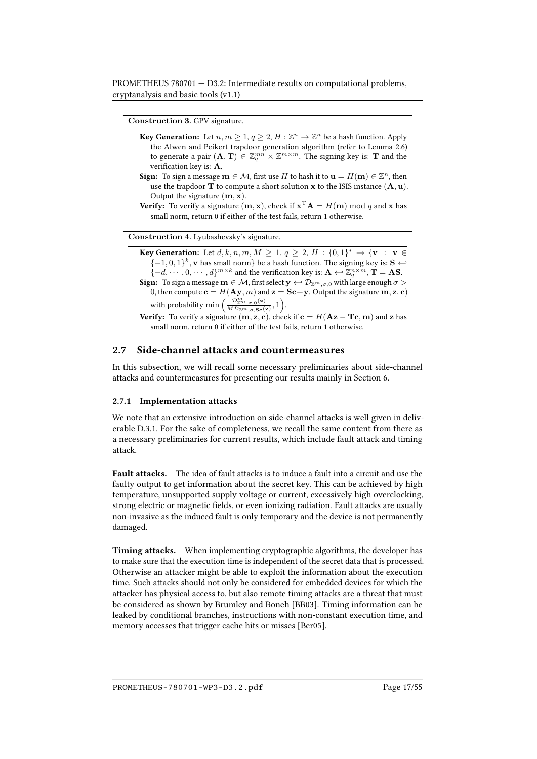Construction 3. GPV signature.

| <b>Key Generation:</b> Let $n, m \geq 1, q \geq 2, H : \mathbb{Z}^n \to \mathbb{Z}^n$ be a hash function. Apply         |
|-------------------------------------------------------------------------------------------------------------------------|
| the Alwen and Peikert trapdoor generation algorithm (refer to Lemma 2.6)                                                |
| to generate a pair $(A, T) \in \mathbb{Z}_q^{mn} \times \mathbb{Z}^{m \times m}$ . The signing key is: <b>T</b> and the |
| verification key is: $A$ .                                                                                              |

- **Sign:** To sign a message  $\mathbf{m} \in \mathcal{M}$ , first use H to hash it to  $\mathbf{u} = H(\mathbf{m}) \in \mathbb{Z}^n$ , then use the trapdoor  $T$  to compute a short solution x to the ISIS instance  $(A, u)$ . Output the signature  $(m, x)$ .
- **Verify:** To verify a signature  $(\mathbf{m}, \mathbf{x})$ , check if  $\mathbf{x}^{\mathrm{T}} \mathbf{A} = H(\mathbf{m}) \bmod q$  and  $\mathbf{x}$  has small norm, return 0 if either of the test fails, return 1 otherwise.

Construction 4. Lyubashevsky's signature.

Key Generation: Let  $d, k, n, m, M \geq 1, q \geq 2, H : \{0,1\}^* \to \{v : v \in$ {−1, 0, 1}<sup>k</sup>, **v** has small norm} be a hash function. The signing key is: **S**  $\leftrightarrow$  $\{-d,\cdots,0,\cdots,d\}^{m\times k}$  and the verification key is:  $\mathbf{A}\leftarrow \mathbb{Z}_q^{n\times m}$ ,  $\mathbf{T} = \mathbf{A}\mathbf{S}$ . **Sign:** To sign a message  $\mathbf{m} \in \mathcal{M}$ , first select  $\mathbf{y} \leftrightarrow \mathcal{D}_{\mathbb{Z}^m, \sigma, 0}$  with large enough  $\sigma >$ 0, then compute  $\mathbf{c} = H(\mathbf{A}\mathbf{y}, m)$  and  $\mathbf{z} = \mathbf{S}\mathbf{c} + \mathbf{y}$ . Output the signature  $\mathbf{m}, \mathbf{z}, \mathbf{c}$ ) with probability min  $\left(\frac{\mathcal{D}_{\mathbb{Z}^m,\sigma,0}^m(\mathbf{z})}{MD_{\mathbb{Z}^m,\sigma,0}}\right)$  $\frac{\mathcal{D}^m_{\mathbb{Z}^m,\sigma,0}(\mathbf{z})}{M\mathcal{D}_{\mathbb{Z}^m,\sigma,\mathbf{Sc}}(\mathbf{z})},1 \bigg).$ **Verify:** To verify a signature  $(m, z, c)$ , check if  $c = H(Az - Tc, m)$  and z has small norm, return 0 if either of the test fails, return 1 otherwise.

### <span id="page-22-0"></span>2.7 Side-channel attacks and countermeasures

In this subsection, we will recall some necessary preliminaries about side-channel attacks and countermeasures for presenting our results mainly in Section [6.](#page-43-1)

#### 2.7.1 Implementation attacks

We note that an extensive introduction on side-channel attacks is well given in deliverable D.3.1. For the sake of completeness, we recall the same content from there as a necessary preliminaries for current results, which include fault attack and timing attack.

Fault attacks. The idea of fault attacks is to induce a fault into a circuit and use the faulty output to get information about the secret key. This can be achieved by high temperature, unsupported supply voltage or current, excessively high overclocking, strong electric or magnetic fields, or even ionizing radiation. Fault attacks are usually non-invasive as the induced fault is only temporary and the device is not permanently damaged.

Timing attacks. When implementing cryptographic algorithms, the developer has to make sure that the execution time is independent of the secret data that is processed. Otherwise an attacker might be able to exploit the information about the execution time. Such attacks should not only be considered for embedded devices for which the attacker has physical access to, but also remote timing attacks are a threat that must be considered as shown by Brumley and Boneh [\[BB03\]](#page-52-1). Timing information can be leaked by conditional branches, instructions with non-constant execution time, and memory accesses that trigger cache hits or misses [\[Ber05\]](#page-52-2).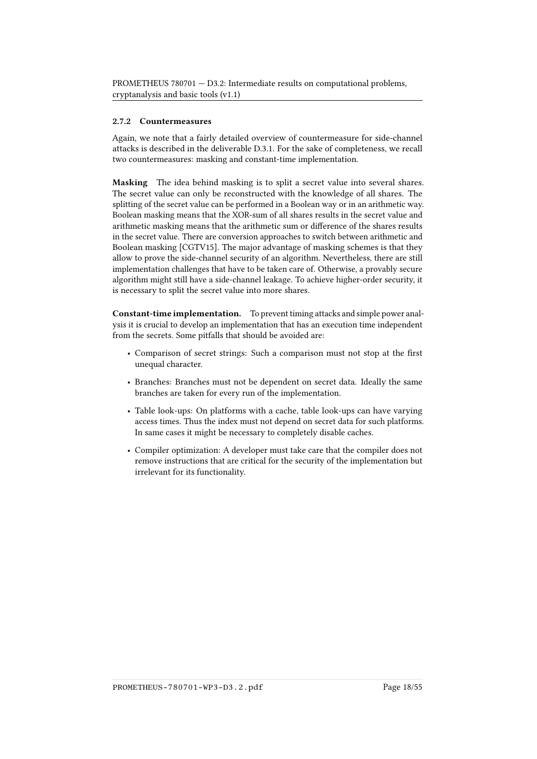#### 2.7.2 Countermeasures

Again, we note that a fairly detailed overview of countermeasure for side-channel attacks is described in the deliverable D.3.1. For the sake of completeness, we recall two countermeasures: masking and constant-time implementation.

Masking The idea behind masking is to split a secret value into several shares. The secret value can only be reconstructed with the knowledge of all shares. The splitting of the secret value can be performed in a Boolean way or in an arithmetic way. Boolean masking means that the XOR-sum of all shares results in the secret value and arithmetic masking means that the arithmetic sum or difference of the shares results in the secret value. There are conversion approaches to switch between arithmetic and Boolean masking [\[CGTV15\]](#page-54-3). The major advantage of masking schemes is that they allow to prove the side-channel security of an algorithm. Nevertheless, there are still implementation challenges that have to be taken care of. Otherwise, a provably secure algorithm might still have a side-channel leakage. To achieve higher-order security, it is necessary to split the secret value into more shares.

Constant-time implementation. To prevent timing attacks and simple power analysis it is crucial to develop an implementation that has an execution time independent from the secrets. Some pitfalls that should be avoided are:

- Comparison of secret strings: Such a comparison must not stop at the first unequal character.
- Branches: Branches must not be dependent on secret data. Ideally the same branches are taken for every run of the implementation.
- Table look-ups: On platforms with a cache, table look-ups can have varying access times. Thus the index must not depend on secret data for such platforms. In same cases it might be necessary to completely disable caches.
- Compiler optimization: A developer must take care that the compiler does not remove instructions that are critical for the security of the implementation but irrelevant for its functionality.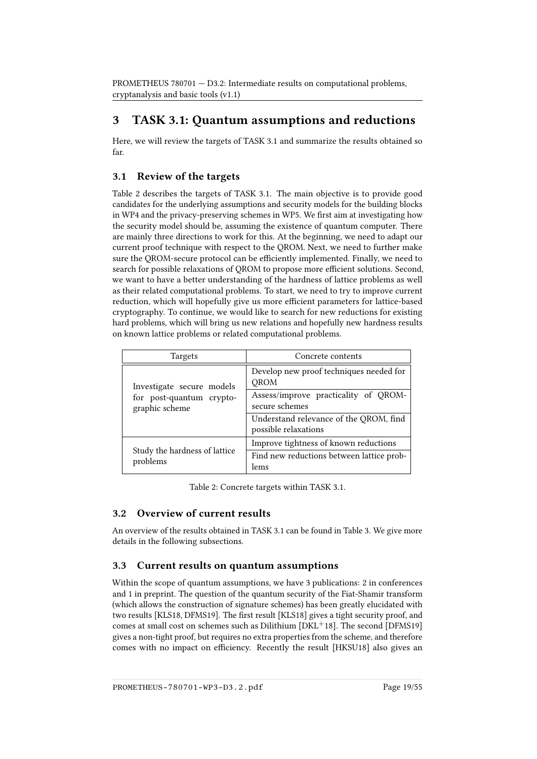## <span id="page-24-0"></span>3 TASK 3.1: Quantum assumptions and reductions

Here, we will review the targets of TASK 3.1 and summarize the results obtained so far.

### <span id="page-24-1"></span>3.1 Review of the targets

Table [2](#page-24-4) describes the targets of TASK 3.1. The main objective is to provide good candidates for the underlying assumptions and security models for the building blocks in WP4 and the privacy-preserving schemes in WP5. We first aim at investigating how the security model should be, assuming the existence of quantum computer. There are mainly three directions to work for this. At the beginning, we need to adapt our current proof technique with respect to the QROM. Next, we need to further make sure the QROM-secure protocol can be efficiently implemented. Finally, we need to search for possible relaxations of QROM to propose more efficient solutions. Second, we want to have a better understanding of the hardness of lattice problems as well as their related computational problems. To start, we need to try to improve current reduction, which will hopefully give us more efficient parameters for lattice-based cryptography. To continue, we would like to search for new reductions for existing hard problems, which will bring us new relations and hopefully new hardness results on known lattice problems or related computational problems.

| Targets                                    | Concrete contents                                              |
|--------------------------------------------|----------------------------------------------------------------|
| Investigate secure models                  | Develop new proof techniques needed for<br><b>OROM</b>         |
| for post-quantum crypto-<br>graphic scheme | Assess/improve practicality of QROM-<br>secure schemes         |
|                                            | Understand relevance of the QROM, find<br>possible relaxations |
|                                            | Improve tightness of known reductions                          |
| Study the hardness of lattice<br>problems  | Find new reductions between lattice prob-<br>lems              |

<span id="page-24-4"></span>Table 2: Concrete targets within TASK 3.1.

### <span id="page-24-2"></span>3.2 Overview of current results

An overview of the results obtained in TASK 3.1 can be found in Table [3.](#page-25-0) We give more details in the following subsections.

### <span id="page-24-3"></span>3.3 Current results on quantum assumptions

Within the scope of quantum assumptions, we have 3 publications: 2 in conferences and 1 in preprint. The question of the quantum security of the Fiat-Shamir transform (which allows the construction of signature schemes) has been greatly elucidated with two results [\[KLS18,](#page-57-5) [DFMS19\]](#page-54-4). The first result [\[KLS18\]](#page-57-5) gives a tight security proof, and comes at small cost on schemes such as Dilithium [\[DKL](#page-54-2)<sup>+</sup>18]. The second [\[DFMS19\]](#page-54-4) gives a non-tight proof, but requires no extra properties from the scheme, and therefore comes with no impact on efficiency. Recently the result [\[HKSU18\]](#page-56-5) also gives an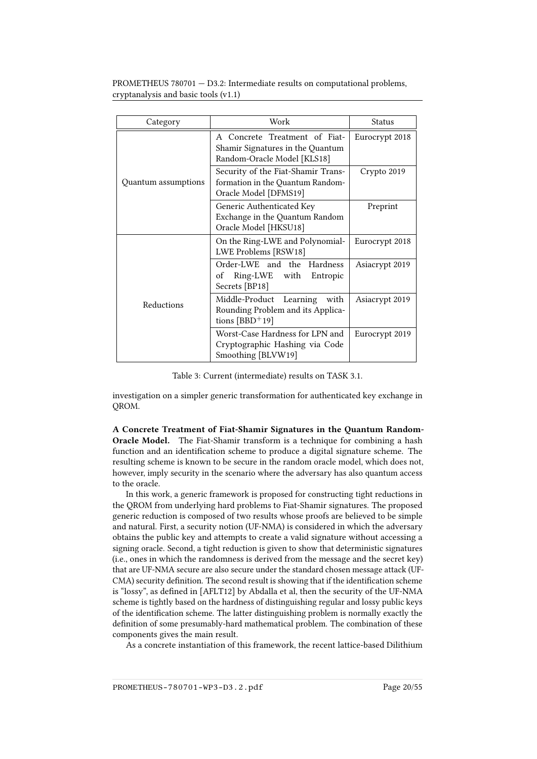| Category            | Work                                                                                             | Status         |
|---------------------|--------------------------------------------------------------------------------------------------|----------------|
|                     | A Concrete Treatment of Fiat-<br>Shamir Signatures in the Quantum<br>Random-Oracle Model [KLS18] | Eurocrypt 2018 |
| Quantum assumptions | Security of the Fiat-Shamir Trans-<br>formation in the Quantum Random-<br>Oracle Model [DFMS19]  | Crypto 2019    |
|                     | Generic Authenticated Key<br>Exchange in the Quantum Random<br>Oracle Model [HKSU18]             | Preprint       |
|                     | On the Ring-LWE and Polynomial-<br>LWE Problems [RSW18]                                          | Eurocrypt 2018 |
| Reductions          | Order-LWE and the Hardness<br>Ring-LWE with Entropic<br>of<br>Secrets [BP18]                     | Asiacrypt 2019 |
|                     | Middle-Product Learning<br>with<br>Rounding Problem and its Applica-<br>tions $[BBD+19]$         | Asiacrypt 2019 |
|                     | Worst-Case Hardness for LPN and<br>Cryptographic Hashing via Code<br>Smoothing [BLVW19]          | Eurocrypt 2019 |

<span id="page-25-0"></span>Table 3: Current (intermediate) results on TASK 3.1.

investigation on a simpler generic transformation for authenticated key exchange in QROM.

A Concrete Treatment of Fiat-Shamir Signatures in the Quantum Random-Oracle Model. The Fiat-Shamir transform is a technique for combining a hash function and an identification scheme to produce a digital signature scheme. The resulting scheme is known to be secure in the random oracle model, which does not, however, imply security in the scenario where the adversary has also quantum access to the oracle.

In this work, a generic framework is proposed for constructing tight reductions in the QROM from underlying hard problems to Fiat-Shamir signatures. The proposed generic reduction is composed of two results whose proofs are believed to be simple and natural. First, a security notion (UF-NMA) is considered in which the adversary obtains the public key and attempts to create a valid signature without accessing a signing oracle. Second, a tight reduction is given to show that deterministic signatures (i.e., ones in which the randomness is derived from the message and the secret key) that are UF-NMA secure are also secure under the standard chosen message attack (UF-CMA) security definition. The second result is showing that if the identification scheme is "lossy", as defined in [\[AFLT12\]](#page-51-6) by Abdalla et al, then the security of the UF-NMA scheme is tightly based on the hardness of distinguishing regular and lossy public keys of the identification scheme. The latter distinguishing problem is normally exactly the definition of some presumably-hard mathematical problem. The combination of these components gives the main result.

As a concrete instantiation of this framework, the recent lattice-based Dilithium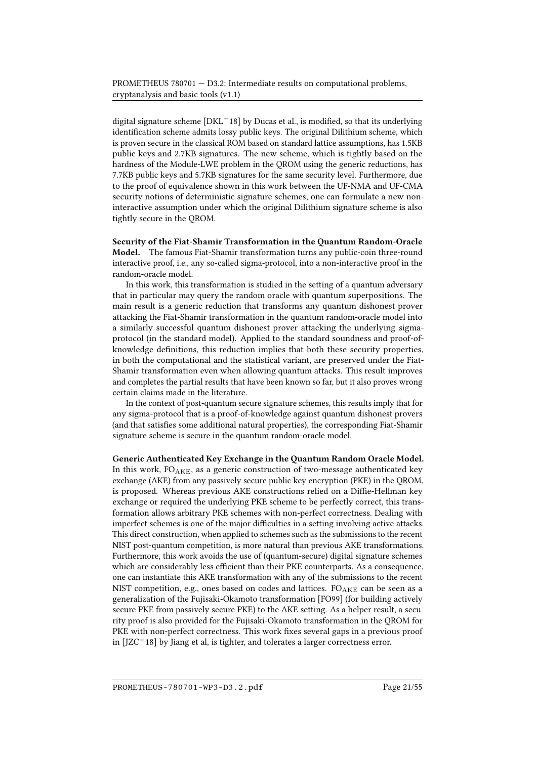digital signature scheme  $[DKL<sup>+</sup>18]$  $[DKL<sup>+</sup>18]$  by Ducas et al., is modified, so that its underlying identification scheme admits lossy public keys. The original Dilithium scheme, which is proven secure in the classical ROM based on standard lattice assumptions, has 1.5KB public keys and 2.7KB signatures. The new scheme, which is tightly based on the hardness of the Module-LWE problem in the QROM using the generic reductions, has 7.7KB public keys and 5.7KB signatures for the same security level. Furthermore, due to the proof of equivalence shown in this work between the UF-NMA and UF-CMA security notions of deterministic signature schemes, one can formulate a new noninteractive assumption under which the original Dilithium signature scheme is also tightly secure in the QROM.

Security of the Fiat-Shamir Transformation in the Quantum Random-Oracle Model. The famous Fiat-Shamir transformation turns any public-coin three-round interactive proof, i.e., any so-called sigma-protocol, into a non-interactive proof in the random-oracle model.

In this work, this transformation is studied in the setting of a quantum adversary that in particular may query the random oracle with quantum superpositions. The main result is a generic reduction that transforms any quantum dishonest prover attacking the Fiat-Shamir transformation in the quantum random-oracle model into a similarly successful quantum dishonest prover attacking the underlying sigmaprotocol (in the standard model). Applied to the standard soundness and proof-ofknowledge definitions, this reduction implies that both these security properties, in both the computational and the statistical variant, are preserved under the Fiat-Shamir transformation even when allowing quantum attacks. This result improves and completes the partial results that have been known so far, but it also proves wrong certain claims made in the literature.

In the context of post-quantum secure signature schemes, this results imply that for any sigma-protocol that is a proof-of-knowledge against quantum dishonest provers (and that satisfies some additional natural properties), the corresponding Fiat-Shamir signature scheme is secure in the quantum random-oracle model.

Generic Authenticated Key Exchange in the Quantum Random Oracle Model. In this work,  $FO_{AKE}$ , as a generic construction of two-message authenticated key exchange (AKE) from any passively secure public key encryption (PKE) in the QROM, is proposed. Whereas previous AKE constructions relied on a Diffie-Hellman key exchange or required the underlying PKE scheme to be perfectly correct, this transformation allows arbitrary PKE schemes with non-perfect correctness. Dealing with imperfect schemes is one of the major difficulties in a setting involving active attacks. This direct construction, when applied to schemes such as the submissions to the recent NIST post-quantum competition, is more natural than previous AKE transformations. Furthermore, this work avoids the use of (quantum-secure) digital signature schemes which are considerably less efficient than their PKE counterparts. As a consequence, one can instantiate this AKE transformation with any of the submissions to the recent NIST competition, e.g., ones based on codes and lattices.  $FO_{AKE}$  can be seen as a generalization of the Fujisaki-Okamoto transformation [\[FO99\]](#page-55-3) (for building actively secure PKE from passively secure PKE) to the AKE setting. As a helper result, a security proof is also provided for the Fujisaki-Okamoto transformation in the QROM for PKE with non-perfect correctness. This work fixes several gaps in a previous proof in  $[JZC^+18]$  $[JZC^+18]$  by Jiang et al, is tighter, and tolerates a larger correctness error.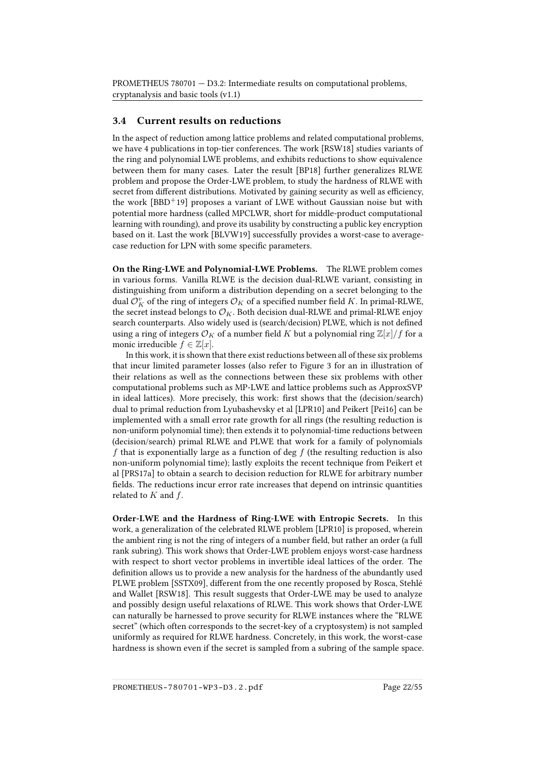### <span id="page-27-0"></span>3.4 Current results on reductions

In the aspect of reduction among lattice problems and related computational problems, we have 4 publications in top-tier conferences. The work [\[RSW18\]](#page-60-2) studies variants of the ring and polynomial LWE problems, and exhibits reductions to show equivalence between them for many cases. Later the result [\[BP18\]](#page-53-2) further generalizes RLWE problem and propose the Order-LWE problem, to study the hardness of RLWE with secret from different distributions. Motivated by gaining security as well as efficiency, the work  $[BBD<sup>+</sup>19]$  $[BBD<sup>+</sup>19]$  proposes a variant of LWE without Gaussian noise but with potential more hardness (called MPCLWR, short for middle-product computational learning with rounding), and prove its usability by constructing a public key encryption based on it. Last the work [\[BLVW19\]](#page-53-3) successfully provides a worst-case to averagecase reduction for LPN with some specific parameters.

On the Ring-LWE and Polynomial-LWE Problems. The RLWE problem comes in various forms. Vanilla RLWE is the decision dual-RLWE variant, consisting in distinguishing from uniform a distribution depending on a secret belonging to the dual  ${\mathcal O}_K^v$  of the ring of integers  ${\mathcal O}_K$  of a specified number field  $K.$  In primal-RLWE, the secret instead belongs to  $\mathcal{O}_K$ . Both decision dual-RLWE and primal-RLWE enjoy search counterparts. Also widely used is (search/decision) PLWE, which is not defined using a ring of integers  $\mathcal{O}_K$  of a number field K but a polynomial ring  $\mathbb{Z}[x]/f$  for a monic irreducible  $f \in \mathbb{Z}[x]$ .

In this work, it is shown that there exist reductions between all of these six problems that incur limited parameter losses (also refer to Figure 3 for an in illustration of their relations as well as the connections between these six problems with other computational problems such as MP-LWE and lattice problems such as ApproxSVP in ideal lattices). More precisely, this work: first shows that the (decision/search) dual to primal reduction from Lyubashevsky et al [\[LPR10\]](#page-58-3) and Peikert [\[Pei16\]](#page-58-6) can be implemented with a small error rate growth for all rings (the resulting reduction is non-uniform polynomial time); then extends it to polynomial-time reductions between (decision/search) primal RLWE and PLWE that work for a family of polynomials f that is exponentially large as a function of deg f (the resulting reduction is also non-uniform polynomial time); lastly exploits the recent technique from Peikert et al [\[PRS17a\]](#page-59-3) to obtain a search to decision reduction for RLWE for arbitrary number fields. The reductions incur error rate increases that depend on intrinsic quantities related to  $K$  and  $f$ .

Order-LWE and the Hardness of Ring-LWE with Entropic Secrets. In this work, a generalization of the celebrated RLWE problem [\[LPR10\]](#page-58-3) is proposed, wherein the ambient ring is not the ring of integers of a number field, but rather an order (a full rank subring). This work shows that Order-LWE problem enjoys worst-case hardness with respect to short vector problems in invertible ideal lattices of the order. The definition allows us to provide a new analysis for the hardness of the abundantly used PLWE problem [\[SSTX09\]](#page-60-1), different from the one recently proposed by Rosca, Stehlé and Wallet [\[RSW18\]](#page-60-2). This result suggests that Order-LWE may be used to analyze and possibly design useful relaxations of RLWE. This work shows that Order-LWE can naturally be harnessed to prove security for RLWE instances where the "RLWE secret" (which often corresponds to the secret-key of a cryptosystem) is not sampled uniformly as required for RLWE hardness. Concretely, in this work, the worst-case hardness is shown even if the secret is sampled from a subring of the sample space.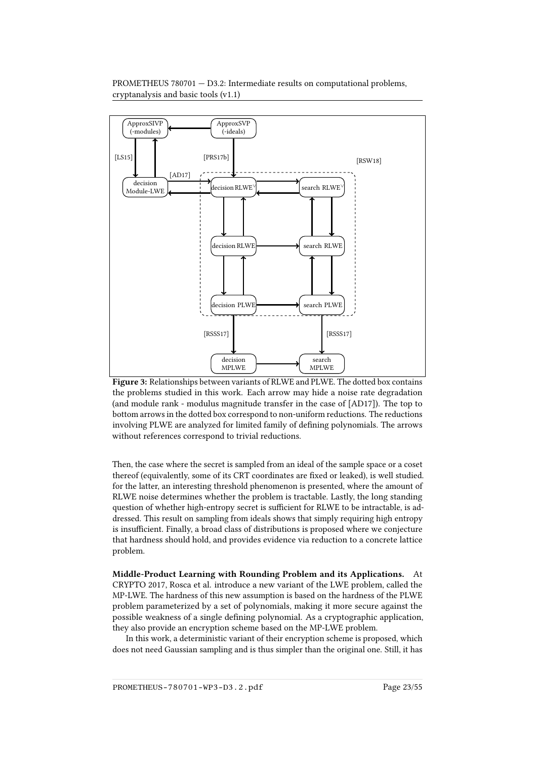

<span id="page-28-0"></span>Figure 3: Relationships between variants of RLWE and PLWE. The dotted box contains the problems studied in this work. Each arrow may hide a noise rate degradation (and module rank - modulus magnitude transfer in the case of [\[AD17\]](#page-50-1)). The top to bottom arrows in the dotted box correspond to non-uniform reductions. The reductions involving PLWE are analyzed for limited family of defining polynomials. The arrows without references correspond to trivial reductions.

Then, the case where the secret is sampled from an ideal of the sample space or a coset thereof (equivalently, some of its CRT coordinates are fixed or leaked), is well studied. for the latter, an interesting threshold phenomenon is presented, where the amount of RLWE noise determines whether the problem is tractable. Lastly, the long standing question of whether high-entropy secret is sufficient for RLWE to be intractable, is addressed. This result on sampling from ideals shows that simply requiring high entropy is insufficient. Finally, a broad class of distributions is proposed where we conjecture that hardness should hold, and provides evidence via reduction to a concrete lattice problem.

Middle-Product Learning with Rounding Problem and its Applications. At CRYPTO 2017, Rosca et al. introduce a new variant of the LWE problem, called the MP-LWE. The hardness of this new assumption is based on the hardness of the PLWE problem parameterized by a set of polynomials, making it more secure against the possible weakness of a single dening polynomial. As a cryptographic application, they also provide an encryption scheme based on the MP-LWE problem.

In this work, a deterministic variant of their encryption scheme is proposed, which does not need Gaussian sampling and is thus simpler than the original one. Still, it has

PROMETHEUS-780701-WP3-D3.2.pdf Page 23/55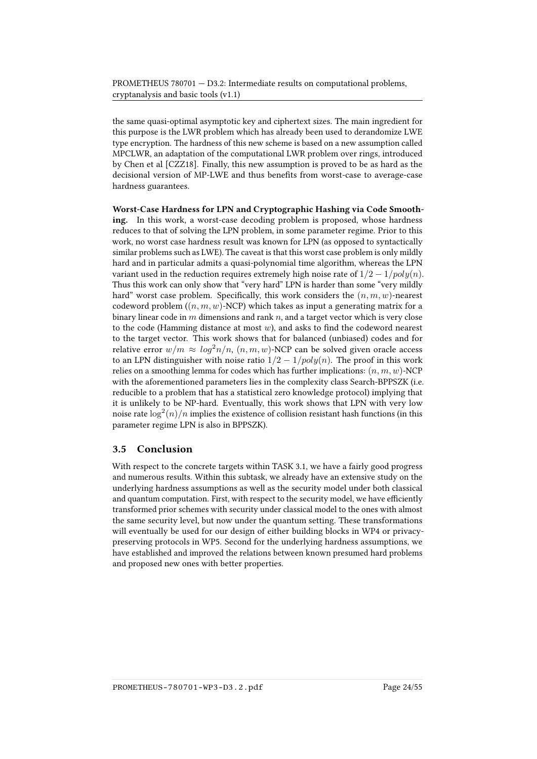the same quasi-optimal asymptotic key and ciphertext sizes. The main ingredient for this purpose is the LWR problem which has already been used to derandomize LWE type encryption. The hardness of this new scheme is based on a new assumption called MPCLWR, an adaptation of the computational LWR problem over rings, introduced by Chen et al [\[CZZ18\]](#page-54-5). Finally, this new assumption is proved to be as hard as the decisional version of MP-LWE and thus benefits from worst-case to average-case hardness guarantees.

Worst-Case Hardness for LPN and Cryptographic Hashing via Code Smoothing. In this work, a worst-case decoding problem is proposed, whose hardness reduces to that of solving the LPN problem, in some parameter regime. Prior to this work, no worst case hardness result was known for LPN (as opposed to syntactically similar problems such as LWE). The caveat is that this worst case problem is only mildly hard and in particular admits a quasi-polynomial time algorithm, whereas the LPN variant used in the reduction requires extremely high noise rate of  $1/2 - 1/poly(n)$ . Thus this work can only show that "very hard" LPN is harder than some "very mildly hard" worst case problem. Specifically, this work considers the  $(n, m, w)$ -nearest codeword problem  $((n, m, w)$ -NCP) which takes as input a generating matrix for a binary linear code in  $m$  dimensions and rank  $n$ , and a target vector which is very close to the code (Hamming distance at most  $w$ ), and asks to find the codeword nearest to the target vector. This work shows that for balanced (unbiased) codes and for relative error  $w/m \approx log^2 n/n$ ,  $(n, m, w)$ -NCP can be solved given oracle access to an LPN distinguisher with noise ratio  $1/2 - 1/poly(n)$ . The proof in this work relies on a smoothing lemma for codes which has further implications:  $(n, m, w)$ -NCP with the aforementioned parameters lies in the complexity class Search-BPPSZK (i.e. reducible to a problem that has a statistical zero knowledge protocol) implying that it is unlikely to be NP-hard. Eventually, this work shows that LPN with very low noise rate  $\log^2(n)/n$  implies the existence of collision resistant hash functions (in this parameter regime LPN is also in BPPSZK).

### <span id="page-29-0"></span>3.5 Conclusion

With respect to the concrete targets within TASK 3.1, we have a fairly good progress and numerous results. Within this subtask, we already have an extensive study on the underlying hardness assumptions as well as the security model under both classical and quantum computation. First, with respect to the security model, we have efficiently transformed prior schemes with security under classical model to the ones with almost the same security level, but now under the quantum setting. These transformations will eventually be used for our design of either building blocks in WP4 or privacypreserving protocols in WP5. Second for the underlying hardness assumptions, we have established and improved the relations between known presumed hard problems and proposed new ones with better properties.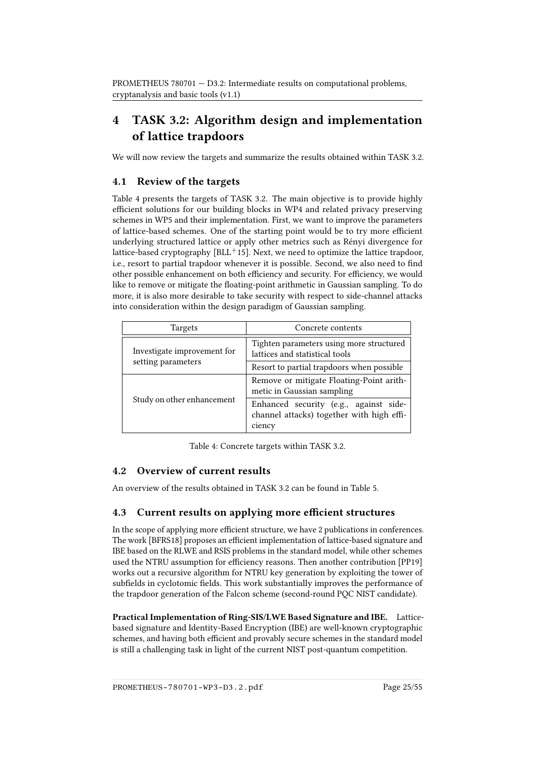## <span id="page-30-0"></span>4 TASK 3.2: Algorithm design and implementation of lattice trapdoors

We will now review the targets and summarize the results obtained within TASK 3.2.

### <span id="page-30-1"></span>4.1 Review of the targets

Table [4](#page-30-4) presents the targets of TASK 3.2. The main objective is to provide highly efficient solutions for our building blocks in WP4 and related privacy preserving schemes in WP5 and their implementation. First, we want to improve the parameters of lattice-based schemes. One of the starting point would be to try more efficient underlying structured lattice or apply other metrics such as Rényi divergence for lattice-based cryptography  $[BLL^+15]$  $[BLL^+15]$ . Next, we need to optimize the lattice trapdoor, i.e., resort to partial trapdoor whenever it is possible. Second, we also need to find other possible enhancement on both efficiency and security. For efficiency, we would like to remove or mitigate the floating-point arithmetic in Gaussian sampling. To do more, it is also more desirable to take security with respect to side-channel attacks into consideration within the design paradigm of Gaussian sampling.

| Targets                                           | Concrete contents                                                                             |
|---------------------------------------------------|-----------------------------------------------------------------------------------------------|
| Investigate improvement for<br>setting parameters | Tighten parameters using more structured<br>lattices and statistical tools                    |
|                                                   | Resort to partial trapdoors when possible                                                     |
|                                                   | Remove or mitigate Floating-Point arith-<br>metic in Gaussian sampling                        |
| Study on other enhancement                        | Enhanced security (e.g., against side-<br>channel attacks) together with high effi-<br>ciency |

<span id="page-30-4"></span>Table 4: Concrete targets within TASK 3.2.

### <span id="page-30-2"></span>4.2 Overview of current results

An overview of the results obtained in TASK 3.2 can be found in Table [5.](#page-31-0)

### <span id="page-30-3"></span>4.3 Current results on applying more efficient structures

In the scope of applying more efficient structure, we have 2 publications in conferences. The work [\[BFRS18\]](#page-52-4) proposes an efficient implementation of lattice-based signature and IBE based on the RLWE and RSIS problems in the standard model, while other schemes used the NTRU assumption for efficiency reasons. Then another contribution [\[PP19\]](#page-59-5) works out a recursive algorithm for NTRU key generation by exploiting the tower of subfields in cyclotomic fields. This work substantially improves the performance of the trapdoor generation of the Falcon scheme (second-round PQC NIST candidate).

Practical Implementation of Ring-SIS/LWE Based Signature and IBE. Latticebased signature and Identity-Based Encryption (IBE) are well-known cryptographic schemes, and having both efficient and provably secure schemes in the standard model is still a challenging task in light of the current NIST post-quantum competition.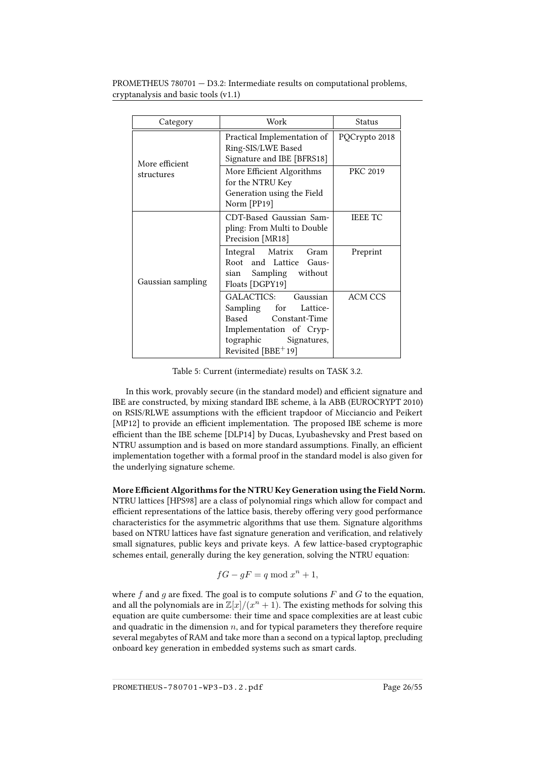| Category                     | Work                                                                                                                                               | Status          |
|------------------------------|----------------------------------------------------------------------------------------------------------------------------------------------------|-----------------|
| More efficient<br>structures | Practical Implementation of<br>Ring-SIS/LWE Based<br>Signature and IBE [BFRS18]                                                                    | PQCrypto 2018   |
|                              | More Efficient Algorithms<br>for the NTRU Key<br>Generation using the Field<br>Norm [PP19]                                                         | <b>PKC 2019</b> |
|                              | CDT-Based Gaussian Sam-<br>pling: From Multi to Double<br>Precision [MR18]                                                                         | <b>IEEE TC</b>  |
| Gaussian sampling            | Integral Matrix Gram<br>Root and Lattice Gaus-<br>sian Sampling without<br>Floats [DGPY19]                                                         | Preprint        |
|                              | GALACTICS: Gaussian<br>Sampling for Lattice-<br>Based Constant-Time<br>Implementation of Cryp-<br>tographic<br>Signatures,<br>Revisited $[BBE+19]$ | ACM CCS         |

<span id="page-31-0"></span>Table 5: Current (intermediate) results on TASK 3.2.

In this work, provably secure (in the standard model) and efficient signature and IBE are constructed, by mixing standard IBE scheme, à la ABB (EUROCRYPT 2010) on RSIS/RLWE assumptions with the efficient trapdoor of Micciancio and Peikert [\[MP12\]](#page-58-8) to provide an efficient implementation. The proposed IBE scheme is more efficient than the IBE scheme [\[DLP14\]](#page-54-0) by Ducas, Lyubashevsky and Prest based on NTRU assumption and is based on more standard assumptions. Finally, an efficient implementation together with a formal proof in the standard model is also given for the underlying signature scheme.

More Efficient Algorithms for the NTRU Key Generation using the Field Norm. NTRU lattices [\[HPS98\]](#page-56-6) are a class of polynomial rings which allow for compact and efficient representations of the lattice basis, thereby offering very good performance characteristics for the asymmetric algorithms that use them. Signature algorithms based on NTRU lattices have fast signature generation and verification, and relatively small signatures, public keys and private keys. A few lattice-based cryptographic schemes entail, generally during the key generation, solving the NTRU equation:

$$
fG-gF=q\bmod x^n+1,
$$

where f and g are fixed. The goal is to compute solutions  $F$  and  $G$  to the equation, and all the polynomials are in  $\mathbb{Z}[x]/(x^n + 1)$ . The existing methods for solving this equation are quite cumbersome: their time and space complexities are at least cubic and quadratic in the dimension  $n$ , and for typical parameters they therefore require several megabytes of RAM and take more than a second on a typical laptop, precluding onboard key generation in embedded systems such as smart cards.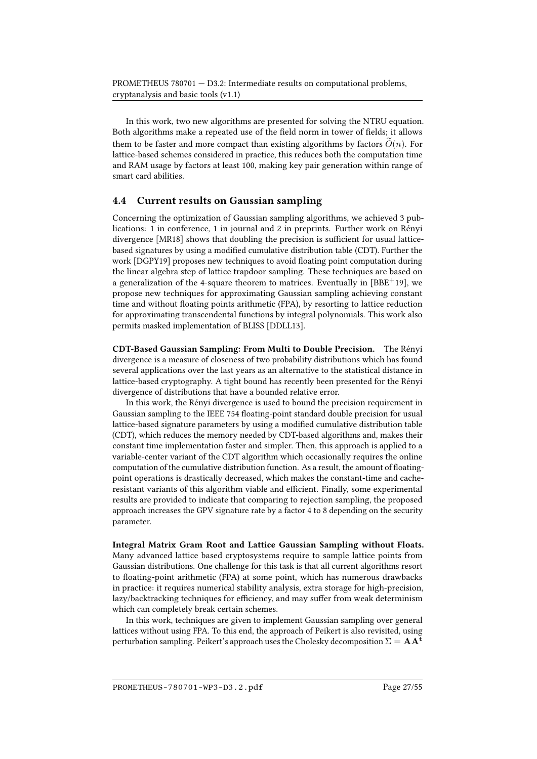In this work, two new algorithms are presented for solving the NTRU equation. Both algorithms make a repeated use of the field norm in tower of fields; it allows them to be faster and more compact than existing algorithms by factors  $\tilde{O}(n)$ . For lattice-based schemes considered in practice, this reduces both the computation time and RAM usage by factors at least 100, making key pair generation within range of smart card abilities.

### <span id="page-32-0"></span>4.4 Current results on Gaussian sampling

Concerning the optimization of Gaussian sampling algorithms, we achieved 3 publications: 1 in conference, 1 in journal and 2 in preprints. Further work on Rényi divergence [\[MR18\]](#page-58-7) shows that doubling the precision is sufficient for usual latticebased signatures by using a modified cumulative distribution table (CDT). Further the work [\[DGPY19\]](#page-54-6) proposes new techniques to avoid floating point computation during the linear algebra step of lattice trapdoor sampling. These techniques are based on a generalization of the 4-square theorem to matrices. Eventually in  $[BBE^+19]$  $[BBE^+19]$ , we propose new techniques for approximating Gaussian sampling achieving constant time and without floating points arithmetic (FPA), by resorting to lattice reduction for approximating transcendental functions by integral polynomials. This work also permits masked implementation of BLISS [\[DDLL13\]](#page-54-1).

CDT-Based Gaussian Sampling: From Multi to Double Precision. The Rényi divergence is a measure of closeness of two probability distributions which has found several applications over the last years as an alternative to the statistical distance in lattice-based cryptography. A tight bound has recently been presented for the Rényi divergence of distributions that have a bounded relative error.

In this work, the Rényi divergence is used to bound the precision requirement in Gaussian sampling to the IEEE 754 floating-point standard double precision for usual lattice-based signature parameters by using a modified cumulative distribution table (CDT), which reduces the memory needed by CDT-based algorithms and, makes their constant time implementation faster and simpler. Then, this approach is applied to a variable-center variant of the CDT algorithm which occasionally requires the online computation of the cumulative distribution function. As a result, the amount of floatingpoint operations is drastically decreased, which makes the constant-time and cacheresistant variants of this algorithm viable and efficient. Finally, some experimental results are provided to indicate that comparing to rejection sampling, the proposed approach increases the GPV signature rate by a factor 4 to 8 depending on the security parameter.

Integral Matrix Gram Root and Lattice Gaussian Sampling without Floats. Many advanced lattice based cryptosystems require to sample lattice points from Gaussian distributions. One challenge for this task is that all current algorithms resort to floating-point arithmetic (FPA) at some point, which has numerous drawbacks in practice: it requires numerical stability analysis, extra storage for high-precision, lazy/backtracking techniques for efficiency, and may suffer from weak determinism which can completely break certain schemes.

In this work, techniques are given to implement Gaussian sampling over general lattices without using FPA. To this end, the approach of Peikert is also revisited, using perturbation sampling. Peikert's approach uses the Cholesky decomposition  $\Sigma = AA^t$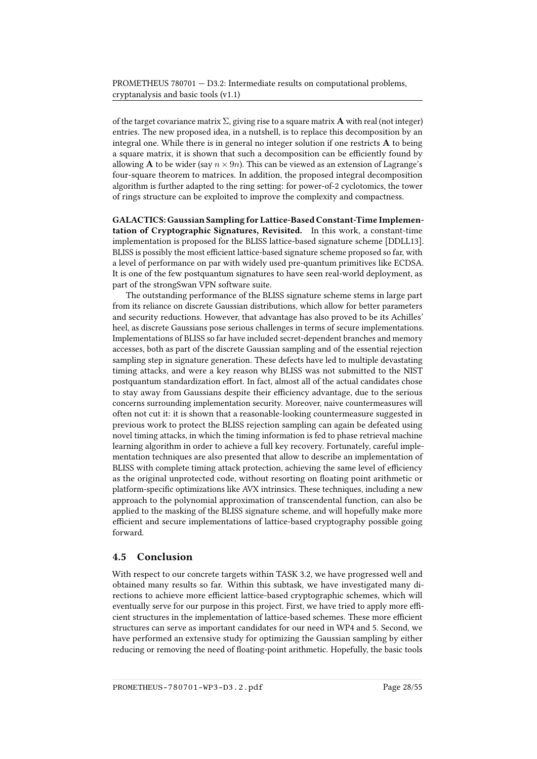of the target covariance matrix  $\Sigma$ , giving rise to a square matrix **A** with real (not integer) entries. The new proposed idea, in a nutshell, is to replace this decomposition by an integral one. While there is in general no integer solution if one restricts  $A$  to being a square matrix, it is shown that such a decomposition can be efficiently found by allowing **A** to be wider (say  $n \times 9n$ ). This can be viewed as an extension of Lagrange's four-square theorem to matrices. In addition, the proposed integral decomposition algorithm is further adapted to the ring setting: for power-of-2 cyclotomics, the tower of rings structure can be exploited to improve the complexity and compactness.

GALACTICS: Gaussian Sampling for Lattice-Based Constant-Time Implementation of Cryptographic Signatures, Revisited. In this work, a constant-time implementation is proposed for the BLISS lattice-based signature scheme [\[DDLL13\]](#page-54-1). BLISS is possibly the most efficient lattice-based signature scheme proposed so far, with a level of performance on par with widely used pre-quantum primitives like ECDSA. It is one of the few postquantum signatures to have seen real-world deployment, as part of the strongSwan VPN software suite.

The outstanding performance of the BLISS signature scheme stems in large part from its reliance on discrete Gaussian distributions, which allow for better parameters and security reductions. However, that advantage has also proved to be its Achilles' heel, as discrete Gaussians pose serious challenges in terms of secure implementations. Implementations of BLISS so far have included secret-dependent branches and memory accesses, both as part of the discrete Gaussian sampling and of the essential rejection sampling step in signature generation. These defects have led to multiple devastating timing attacks, and were a key reason why BLISS was not submitted to the NIST postquantum standardization effort. In fact, almost all of the actual candidates chose to stay away from Gaussians despite their efficiency advantage, due to the serious concerns surrounding implementation security. Moreover, naive countermeasures will often not cut it: it is shown that a reasonable-looking countermeasure suggested in previous work to protect the BLISS rejection sampling can again be defeated using novel timing attacks, in which the timing information is fed to phase retrieval machine learning algorithm in order to achieve a full key recovery. Fortunately, careful implementation techniques are also presented that allow to describe an implementation of BLISS with complete timing attack protection, achieving the same level of efficiency as the original unprotected code, without resorting on floating point arithmetic or platform-specific optimizations like AVX intrinsics. These techniques, including a new approach to the polynomial approximation of transcendental function, can also be applied to the masking of the BLISS signature scheme, and will hopefully make more efficient and secure implementations of lattice-based cryptography possible going forward.

#### <span id="page-33-0"></span>4.5 Conclusion

With respect to our concrete targets within TASK 3.2, we have progressed well and obtained many results so far. Within this subtask, we have investigated many directions to achieve more efficient lattice-based cryptographic schemes, which will eventually serve for our purpose in this project. First, we have tried to apply more efficient structures in the implementation of lattice-based schemes. These more efficient structures can serve as important candidates for our need in WP4 and 5. Second, we have performed an extensive study for optimizing the Gaussian sampling by either reducing or removing the need of floating-point arithmetic. Hopefully, the basic tools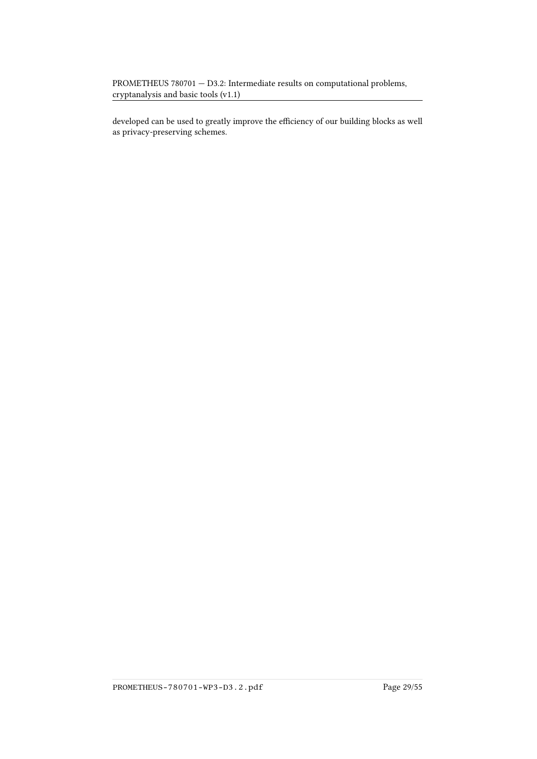developed can be used to greatly improve the efficiency of our building blocks as well as privacy-preserving schemes.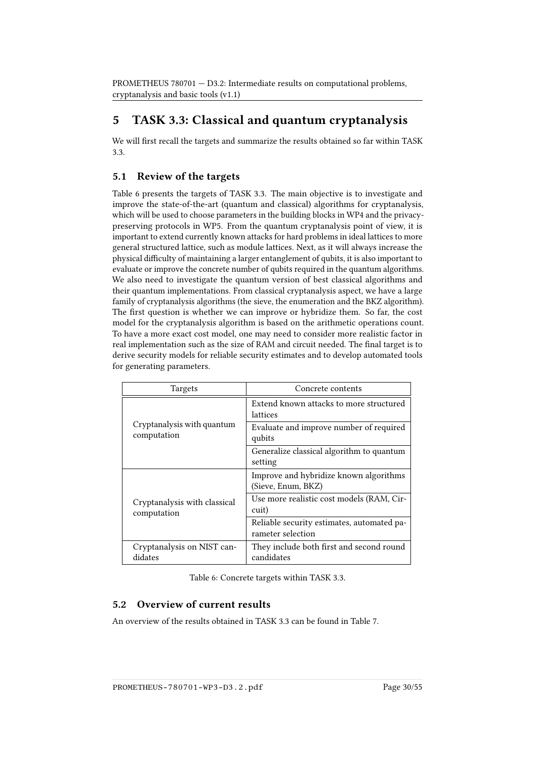## <span id="page-35-0"></span>5 TASK 3.3: Classical and quantum cryptanalysis

We will first recall the targets and summarize the results obtained so far within TASK 3.3.

### <span id="page-35-1"></span>5.1 Review of the targets

Table [6](#page-35-3) presents the targets of TASK 3.3. The main objective is to investigate and improve the state-of-the-art (quantum and classical) algorithms for cryptanalysis, which will be used to choose parameters in the building blocks in WP4 and the privacypreserving protocols in WP5. From the quantum cryptanalysis point of view, it is important to extend currently known attacks for hard problems in ideal lattices to more general structured lattice, such as module lattices. Next, as it will always increase the physical difficulty of maintaining a larger entanglement of qubits, it is also important to evaluate or improve the concrete number of qubits required in the quantum algorithms. We also need to investigate the quantum version of best classical algorithms and their quantum implementations. From classical cryptanalysis aspect, we have a large family of cryptanalysis algorithms (the sieve, the enumeration and the BKZ algorithm). The first question is whether we can improve or hybridize them. So far, the cost model for the cryptanalysis algorithm is based on the arithmetic operations count. To have a more exact cost model, one may need to consider more realistic factor in real implementation such as the size of RAM and circuit needed. The final target is to derive security models for reliable security estimates and to develop automated tools for generating parameters.

| <b>Targets</b>                              | Concrete contents                                               |
|---------------------------------------------|-----------------------------------------------------------------|
|                                             | Extend known attacks to more structured<br>lattices             |
| Cryptanalysis with quantum<br>computation   | Evaluate and improve number of required<br>qubits               |
|                                             | Generalize classical algorithm to quantum<br>setting            |
|                                             | Improve and hybridize known algorithms<br>(Sieve, Enum, BKZ)    |
| Cryptanalysis with classical<br>computation | Use more realistic cost models (RAM, Cir-<br>cuit)              |
|                                             | Reliable security estimates, automated pa-<br>rameter selection |
| Cryptanalysis on NIST can-<br>didates       | They include both first and second round<br>candidates          |

<span id="page-35-3"></span>Table 6: Concrete targets within TASK 3.3.

### <span id="page-35-2"></span>5.2 Overview of current results

An overview of the results obtained in TASK 3.3 can be found in Table [7.](#page-36-1)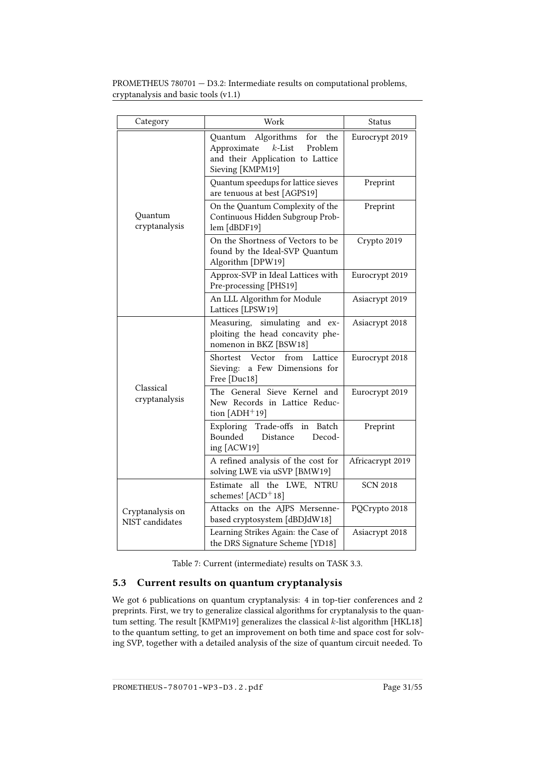| PROMETHEUS $780701 - D3.2$ : Intermediate results on computational problems, |
|------------------------------------------------------------------------------|
| cryptanalysis and basic tools (v1.1)                                         |

| Category                            | Work                                                                                                                               | Status           |
|-------------------------------------|------------------------------------------------------------------------------------------------------------------------------------|------------------|
| Ouantum<br>cryptanalysis            | Algorithms<br>for<br>the<br>Quantum<br>$k$ -List<br>Approximate<br>Problem<br>and their Application to Lattice<br>Sieving [KMPM19] | Eurocrypt 2019   |
|                                     | Quantum speedups for lattice sieves<br>are tenuous at best [AGPS19]                                                                | Preprint         |
|                                     | On the Quantum Complexity of the<br>Continuous Hidden Subgroup Prob-<br>lem [dBDF19]                                               | Preprint         |
|                                     | On the Shortness of Vectors to be<br>found by the Ideal-SVP Quantum<br>Algorithm [DPW19]                                           | Crypto 2019      |
|                                     | Approx-SVP in Ideal Lattices with<br>Pre-processing [PHS19]                                                                        | Eurocrypt 2019   |
|                                     | An LLL Algorithm for Module<br>Lattices [LPSW19]                                                                                   | Asiacrypt 2019   |
| Classical<br>cryptanalysis          | simulating and ex-<br>Measuring,<br>ploiting the head concavity phe-<br>nomenon in BKZ [BSW18]                                     | Asiacrypt 2018   |
|                                     | Shortest Vector<br>from<br>Lattice<br>a Few Dimensions for<br>Sieving:<br>Free [Duc18]                                             | Eurocrypt 2018   |
|                                     | The General Sieve Kernel and<br>New Records in Lattice Reduc-<br>tion $[ADH^+19]$                                                  | Eurocrypt 2019   |
|                                     | Exploring Trade-offs<br>Batch<br>in<br>Bounded<br>Distance<br>Decod-<br>ing [ACW19]                                                | Preprint         |
|                                     | A refined analysis of the cost for<br>solving LWE via uSVP [BMW19]                                                                 | Africacrypt 2019 |
| Cryptanalysis on<br>NIST candidates | Estimate all the LWE, NTRU<br>schemes! [ACD+18]                                                                                    | <b>SCN 2018</b>  |
|                                     | Attacks on the AJPS Mersenne-<br>based cryptosystem [dBDJdW18]                                                                     | PQCrypto 2018    |
|                                     | Learning Strikes Again: the Case of<br>the DRS Signature Scheme [YD18]                                                             | Asiacrypt 2018   |

<span id="page-36-1"></span>Table 7: Current (intermediate) results on TASK 3.3.

### <span id="page-36-0"></span>5.3 Current results on quantum cryptanalysis

We got 6 publications on quantum cryptanalysis: 4 in top-tier conferences and 2 preprints. First, we try to generalize classical algorithms for cryptanalysis to the quan-tum setting. The result [\[KMPM19\]](#page-57-1) generalizes the classical  $k$ -list algorithm [\[HKL18\]](#page-56-7) to the quantum setting, to get an improvement on both time and space cost for solving SVP, together with a detailed analysis of the size of quantum circuit needed. To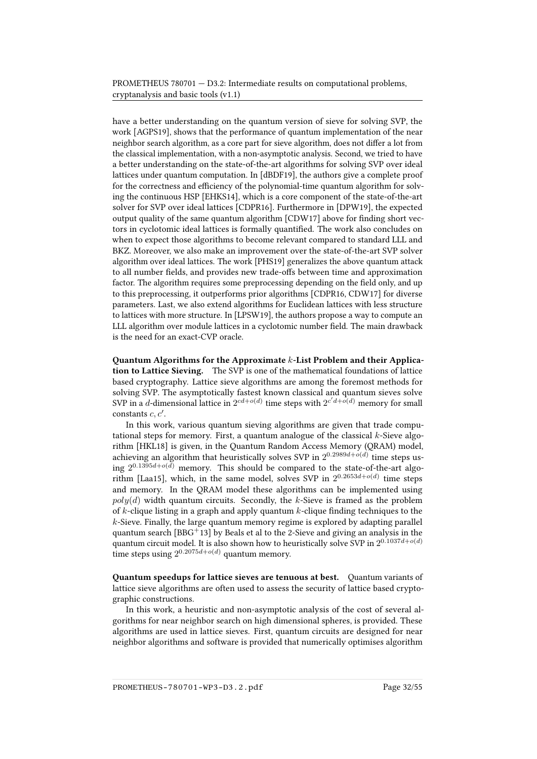have a better understanding on the quantum version of sieve for solving SVP, the work [\[AGPS19\]](#page-51-7), shows that the performance of quantum implementation of the near neighbor search algorithm, as a core part for sieve algorithm, does not differ a lot from the classical implementation, with a non-asymptotic analysis. Second, we tried to have a better understanding on the state-of-the-art algorithms for solving SVP over ideal lattices under quantum computation. In [\[dBDF19\]](#page-54-7), the authors give a complete proof for the correctness and efficiency of the polynomial-time quantum algorithm for solving the continuous HSP [\[EHKS14\]](#page-55-2), which is a core component of the state-of-the-art solver for SVP over ideal lattices [\[CDPR16\]](#page-53-7). Furthermore in [\[DPW19\]](#page-55-4), the expected output quality of the same quantum algorithm [\[CDW17\]](#page-53-8) above for finding short vectors in cyclotomic ideal lattices is formally quantified. The work also concludes on when to expect those algorithms to become relevant compared to standard LLL and BKZ. Moreover, we also make an improvement over the state-of-the-art SVP solver algorithm over ideal lattices. The work [\[PHS19\]](#page-59-6) generalizes the above quantum attack to all number fields, and provides new trade-offs between time and approximation factor. The algorithm requires some preprocessing depending on the field only, and up to this preprocessing, it outperforms prior algorithms [\[CDPR16,](#page-53-7) [CDW17\]](#page-53-8) for diverse parameters. Last, we also extend algorithms for Euclidean lattices with less structure to lattices with more structure. In [\[LPSW19\]](#page-58-9), the authors propose a way to compute an LLL algorithm over module lattices in a cyclotomic number field. The main drawback is the need for an exact-CVP oracle.

Quantum Algorithms for the Approximate k-List Problem and their Application to Lattice Sieving. The SVP is one of the mathematical foundations of lattice based cryptography. Lattice sieve algorithms are among the foremost methods for solving SVP. The asymptotically fastest known classical and quantum sieves solve SVP in a d-dimensional lattice in  $2^{cd+o(d)}$  time steps with  $2^{c'd+o(d)}$  memory for small constants  $c, c'$ .

In this work, various quantum sieving algorithms are given that trade computational steps for memory. First, a quantum analogue of the classical  $k$ -Sieve algorithm [\[HKL18\]](#page-56-7) is given, in the Quantum Random Access Memory (QRAM) model, achieving an algorithm that heuristically solves SVP in  $2^{0.2989d + o(d)}$  time steps using  $2^{0.1395d + o(d)}$  memory. This should be compared to the state-of-the-art algo-rithm [\[Laa15\]](#page-57-7), which, in the same model, solves SVP in  $2^{0.2653d + o(d)}$  time steps and memory. In the QRAM model these algorithms can be implemented using  $poly(d)$  width quantum circuits. Secondly, the k-Sieve is framed as the problem of  $k$ -clique listing in a graph and apply quantum  $k$ -clique finding techniques to the  $k$ -Sieve. Finally, the large quantum memory regime is explored by adapting parallel quantum search  $[BBG^+13]$  $[BBG^+13]$  by Beals et al to the 2-Sieve and giving an analysis in the quantum circuit model. It is also shown how to heuristically solve SVP in  $2^{0.1037d + o(d)}$ time steps using  $2^{0.2075d + o(d)}$  quantum memory.

Quantum speedups for lattice sieves are tenuous at best. Quantum variants of lattice sieve algorithms are often used to assess the security of lattice based cryptographic constructions.

In this work, a heuristic and non-asymptotic analysis of the cost of several algorithms for near neighbor search on high dimensional spheres, is provided. These algorithms are used in lattice sieves. First, quantum circuits are designed for near neighbor algorithms and software is provided that numerically optimises algorithm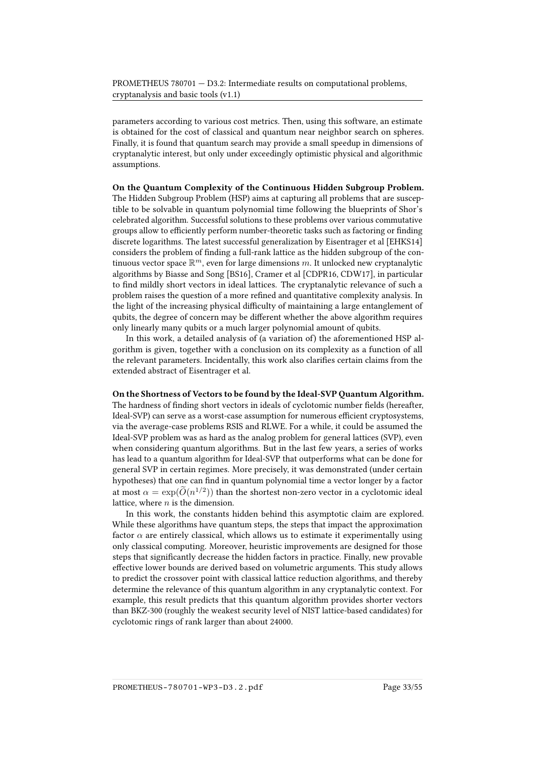parameters according to various cost metrics. Then, using this software, an estimate is obtained for the cost of classical and quantum near neighbor search on spheres. Finally, it is found that quantum search may provide a small speedup in dimensions of cryptanalytic interest, but only under exceedingly optimistic physical and algorithmic assumptions.

On the Quantum Complexity of the Continuous Hidden Subgroup Problem. The Hidden Subgroup Problem (HSP) aims at capturing all problems that are susceptible to be solvable in quantum polynomial time following the blueprints of Shor's celebrated algorithm. Successful solutions to these problems over various commutative groups allow to efficiently perform number-theoretic tasks such as factoring or finding discrete logarithms. The latest successful generalization by Eisentrager et al [\[EHKS14\]](#page-55-2) considers the problem of finding a full-rank lattice as the hidden subgroup of the continuous vector space  $\mathbb{R}^m$ , even for large dimensions  $m$ . It unlocked new cryptanalytic algorithms by Biasse and Song [\[BS16\]](#page-53-9), Cramer et al [\[CDPR16,](#page-53-7) [CDW17\]](#page-53-8), in particular to find mildly short vectors in ideal lattices. The cryptanalytic relevance of such a problem raises the question of a more refined and quantitative complexity analysis. In the light of the increasing physical difficulty of maintaining a large entanglement of qubits, the degree of concern may be different whether the above algorithm requires only linearly many qubits or a much larger polynomial amount of qubits.

In this work, a detailed analysis of (a variation of) the aforementioned HSP algorithm is given, together with a conclusion on its complexity as a function of all the relevant parameters. Incidentally, this work also claries certain claims from the extended abstract of Eisentrager et al.

On the Shortness of Vectors to be found by the Ideal-SVP Quantum Algorithm. The hardness of finding short vectors in ideals of cyclotomic number fields (hereafter, Ideal-SVP) can serve as a worst-case assumption for numerous efficient cryptosystems, via the average-case problems RSIS and RLWE. For a while, it could be assumed the Ideal-SVP problem was as hard as the analog problem for general lattices (SVP), even when considering quantum algorithms. But in the last few years, a series of works has lead to a quantum algorithm for Ideal-SVP that outperforms what can be done for general SVP in certain regimes. More precisely, it was demonstrated (under certain hypotheses) that one can find in quantum polynomial time a vector longer by a factor at most  $\alpha = \exp(\tilde{O}(n^{1/2}))$  than the shortest non-zero vector in a cyclotomic ideal lattice, where  $n$  is the dimension.

In this work, the constants hidden behind this asymptotic claim are explored. While these algorithms have quantum steps, the steps that impact the approximation factor  $\alpha$  are entirely classical, which allows us to estimate it experimentally using only classical computing. Moreover, heuristic improvements are designed for those steps that significantly decrease the hidden factors in practice. Finally, new provable effective lower bounds are derived based on volumetric arguments. This study allows to predict the crossover point with classical lattice reduction algorithms, and thereby determine the relevance of this quantum algorithm in any cryptanalytic context. For example, this result predicts that this quantum algorithm provides shorter vectors than BKZ-300 (roughly the weakest security level of NIST lattice-based candidates) for cyclotomic rings of rank larger than about 24000.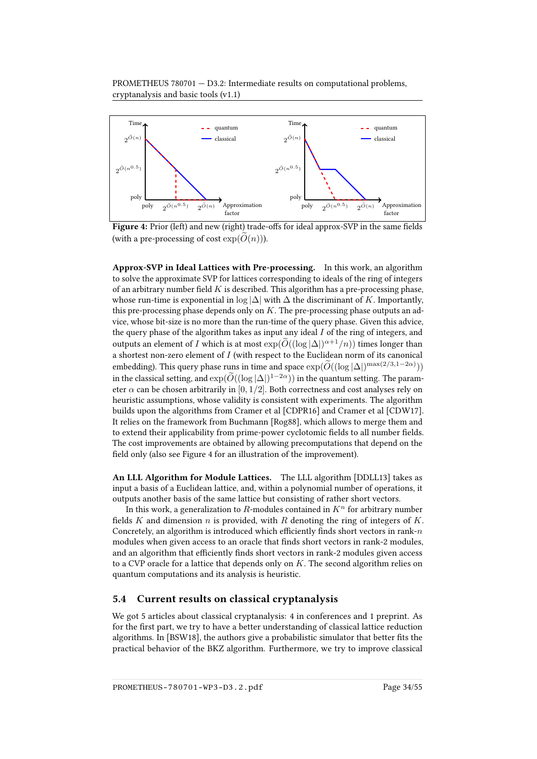

<span id="page-39-1"></span>Figure 4: Prior (left) and new (right) trade-offs for ideal approx-SVP in the same fields (with a pre-processing of cost  $exp(O(n))$ ).

Approx-SVP in Ideal Lattices with Pre-processing. In this work, an algorithm to solve the approximate SVP for lattices corresponding to ideals of the ring of integers of an arbitrary number field  $K$  is described. This algorithm has a pre-processing phase, whose run-time is exponential in log  $|\Delta|$  with  $\Delta$  the discriminant of K. Importantly, this pre-processing phase depends only on  $K$ . The pre-processing phase outputs an advice, whose bit-size is no more than the run-time of the query phase. Given this advice, the query phase of the algorithm takes as input any ideal  $I$  of the ring of integers, and outputs an element of I which is at most  $\exp(\widetilde{O}((\log |\Delta|)^{\alpha+1}/n))$  times longer than a shortest non-zero element of I (with respect to the Euclidean norm of its canonical embedding). This query phase runs in time and space  $\exp(\widetilde{O}((\log |\Delta|)^{\max(2/3,1-2\alpha)}))$ in the classical setting, and  $\exp(\widetilde{O}((\log |\Delta|)^{1-2\alpha}))$  in the quantum setting. The parameter  $\alpha$  can be chosen arbitrarily in [0, 1/2]. Both correctness and cost analyses rely on heuristic assumptions, whose validity is consistent with experiments. The algorithm builds upon the algorithms from Cramer et al [\[CDPR16\]](#page-53-7) and Cramer et al [\[CDW17\]](#page-53-8). It relies on the framework from Buchmann [\[Rog88\]](#page-59-7), which allows to merge them and to extend their applicability from prime-power cyclotomic fields to all number fields. The cost improvements are obtained by allowing precomputations that depend on the field only (also see Figure [4](#page-39-1) for an illustration of the improvement).

An LLL Algorithm for Module Lattices. The LLL algorithm [\[DDLL13\]](#page-54-1) takes as input a basis of a Euclidean lattice, and, within a polynomial number of operations, it outputs another basis of the same lattice but consisting of rather short vectors.

In this work, a generalization to  $R$ -modules contained in  $K<sup>n</sup>$  for arbitrary number fields K and dimension n is provided, with R denoting the ring of integers of K. Concretely, an algorithm is introduced which efficiently finds short vectors in rank- $n$ modules when given access to an oracle that finds short vectors in rank-2 modules, and an algorithm that efficiently finds short vectors in rank-2 modules given access to a CVP oracle for a lattice that depends only on  $K$ . The second algorithm relies on quantum computations and its analysis is heuristic.

#### <span id="page-39-0"></span>5.4 Current results on classical cryptanalysis

We got 5 articles about classical cryptanalysis: 4 in conferences and 1 preprint. As for the first part, we try to have a better understanding of classical lattice reduction algorithms. In [\[BSW18\]](#page-53-5), the authors give a probabilistic simulator that better fits the practical behavior of the BKZ algorithm. Furthermore, we try to improve classical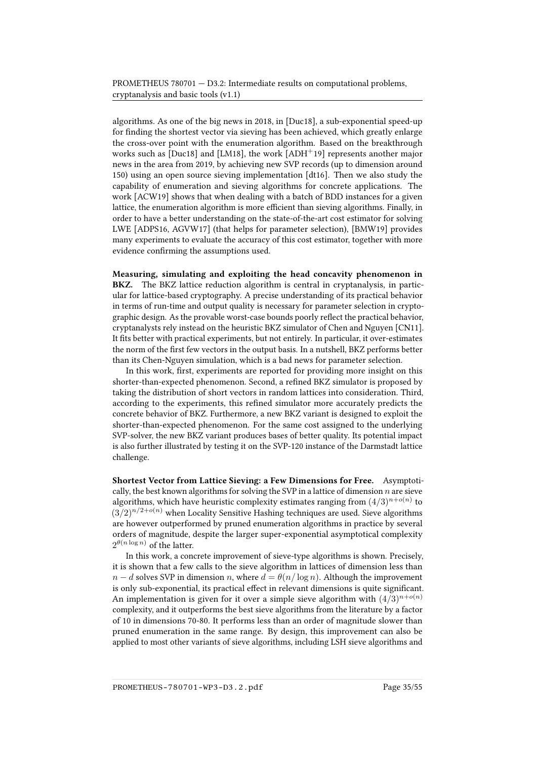algorithms. As one of the big news in 2018, in [\[Duc18\]](#page-55-1), a sub-exponential speed-up for finding the shortest vector via sieving has been achieved, which greatly enlarge the cross-over point with the enumeration algorithm. Based on the breakthrough works such as  $[Duc18]$  and  $[LM18]$ , the work  $[ADH<sup>+</sup>19]$  $[ADH<sup>+</sup>19]$  represents another major news in the area from 2019, by achieving new SVP records (up to dimension around 150) using an open source sieving implementation [\[dt16\]](#page-55-5). Then we also study the capability of enumeration and sieving algorithms for concrete applications. The work [\[ACW19\]](#page-50-3) shows that when dealing with a batch of BDD instances for a given lattice, the enumeration algorithm is more efficient than sieving algorithms. Finally, in order to have a better understanding on the state-of-the-art cost estimator for solving LWE [\[ADPS16,](#page-51-4) [AGVW17\]](#page-51-8) (that helps for parameter selection), [\[BMW19\]](#page-53-6) provides many experiments to evaluate the accuracy of this cost estimator, together with more evidence confirming the assumptions used.

Measuring, simulating and exploiting the head concavity phenomenon in BKZ. The BKZ lattice reduction algorithm is central in cryptanalysis, in particular for lattice-based cryptography. A precise understanding of its practical behavior in terms of run-time and output quality is necessary for parameter selection in cryptographic design. As the provable worst-case bounds poorly reflect the practical behavior, cryptanalysts rely instead on the heuristic BKZ simulator of Chen and Nguyen [\[CN11\]](#page-54-9). It fits better with practical experiments, but not entirely. In particular, it over-estimates the norm of the first few vectors in the output basis. In a nutshell, BKZ performs better than its Chen-Nguyen simulation, which is a bad news for parameter selection.

In this work, first, experiments are reported for providing more insight on this shorter-than-expected phenomenon. Second, a refined BKZ simulator is proposed by taking the distribution of short vectors in random lattices into consideration. Third, according to the experiments, this refined simulator more accurately predicts the concrete behavior of BKZ. Furthermore, a new BKZ variant is designed to exploit the shorter-than-expected phenomenon. For the same cost assigned to the underlying SVP-solver, the new BKZ variant produces bases of better quality. Its potential impact is also further illustrated by testing it on the SVP-120 instance of the Darmstadt lattice challenge.

Shortest Vector from Lattice Sieving: a Few Dimensions for Free. Asymptotically, the best known algorithms for solving the SVP in a lattice of dimension  $n$  are sieve algorithms, which have heuristic complexity estimates ranging from  $(4/3)^{n+o(n)}$  to  $(3/2)^{n/2+o(n)}$  when Locality Sensitive Hashing techniques are used. Sieve algorithms are however outperformed by pruned enumeration algorithms in practice by several orders of magnitude, despite the larger super-exponential asymptotical complexity  $2^{\theta(n\log n)}$  of the latter.

In this work, a concrete improvement of sieve-type algorithms is shown. Precisely, it is shown that a few calls to the sieve algorithm in lattices of dimension less than  $n - d$  solves SVP in dimension n, where  $d = \theta(n/\log n)$ . Although the improvement is only sub-exponential, its practical effect in relevant dimensions is quite significant. An implementation is given for it over a simple sieve algorithm with  $(4/3)^{n+o(n)}$ complexity, and it outperforms the best sieve algorithms from the literature by a factor of 10 in dimensions 70-80. It performs less than an order of magnitude slower than pruned enumeration in the same range. By design, this improvement can also be applied to most other variants of sieve algorithms, including LSH sieve algorithms and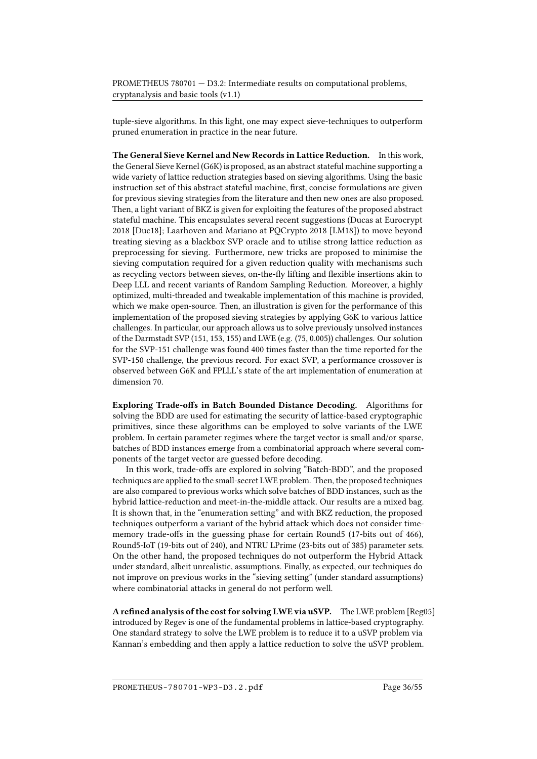tuple-sieve algorithms. In this light, one may expect sieve-techniques to outperform pruned enumeration in practice in the near future.

The General Sieve Kernel and New Records in Lattice Reduction. In this work, the General Sieve Kernel (G6K) is proposed, as an abstract stateful machine supporting a wide variety of lattice reduction strategies based on sieving algorithms. Using the basic instruction set of this abstract stateful machine, first, concise formulations are given for previous sieving strategies from the literature and then new ones are also proposed. Then, a light variant of BKZ is given for exploiting the features of the proposed abstract stateful machine. This encapsulates several recent suggestions (Ducas at Eurocrypt 2018 [\[Duc18\]](#page-55-1); Laarhoven and Mariano at PQCrypto 2018 [\[LM18\]](#page-57-8)) to move beyond treating sieving as a blackbox SVP oracle and to utilise strong lattice reduction as preprocessing for sieving. Furthermore, new tricks are proposed to minimise the sieving computation required for a given reduction quality with mechanisms such as recycling vectors between sieves, on-the-fly lifting and flexible insertions akin to Deep LLL and recent variants of Random Sampling Reduction. Moreover, a highly optimized, multi-threaded and tweakable implementation of this machine is provided, which we make open-source. Then, an illustration is given for the performance of this implementation of the proposed sieving strategies by applying G6K to various lattice challenges. In particular, our approach allows us to solve previously unsolved instances of the Darmstadt SVP (151, 153, 155) and LWE (e.g. (75, 0.005)) challenges. Our solution for the SVP-151 challenge was found 400 times faster than the time reported for the SVP-150 challenge, the previous record. For exact SVP, a performance crossover is observed between G6K and FPLLL's state of the art implementation of enumeration at dimension 70.

Exploring Trade-offs in Batch Bounded Distance Decoding. Algorithms for solving the BDD are used for estimating the security of lattice-based cryptographic primitives, since these algorithms can be employed to solve variants of the LWE problem. In certain parameter regimes where the target vector is small and/or sparse, batches of BDD instances emerge from a combinatorial approach where several components of the target vector are guessed before decoding.

In this work, trade-offs are explored in solving "Batch-BDD", and the proposed techniques are applied to the small-secret LWE problem. Then, the proposed techniques are also compared to previous works which solve batches of BDD instances, such as the hybrid lattice-reduction and meet-in-the-middle attack. Our results are a mixed bag. It is shown that, in the "enumeration setting" and with BKZ reduction, the proposed techniques outperform a variant of the hybrid attack which does not consider timememory trade-offs in the guessing phase for certain Round5 (17-bits out of 466), Round5-IoT (19-bits out of 240), and NTRU LPrime (23-bits out of 385) parameter sets. On the other hand, the proposed techniques do not outperform the Hybrid Attack under standard, albeit unrealistic, assumptions. Finally, as expected, our techniques do not improve on previous works in the "sieving setting" (under standard assumptions) where combinatorial attacks in general do not perform well.

A refined analysis of the cost for solving LWE via uSVP. The LWE problem [\[Reg05\]](#page-59-8) introduced by Regev is one of the fundamental problems in lattice-based cryptography. One standard strategy to solve the LWE problem is to reduce it to a uSVP problem via Kannan's embedding and then apply a lattice reduction to solve the uSVP problem.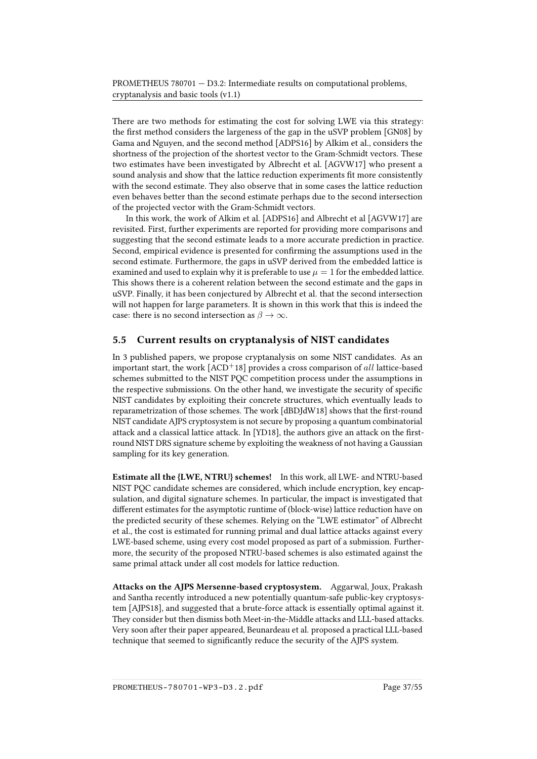There are two methods for estimating the cost for solving LWE via this strategy: the first method considers the largeness of the gap in the uSVP problem [\[GN08\]](#page-56-8) by Gama and Nguyen, and the second method [\[ADPS16\]](#page-51-4) by Alkim et al., considers the shortness of the projection of the shortest vector to the Gram-Schmidt vectors. These two estimates have been investigated by Albrecht et al. [\[AGVW17\]](#page-51-8) who present a sound analysis and show that the lattice reduction experiments fit more consistently with the second estimate. They also observe that in some cases the lattice reduction even behaves better than the second estimate perhaps due to the second intersection of the projected vector with the Gram-Schmidt vectors.

In this work, the work of Alkim et al. [\[ADPS16\]](#page-51-4) and Albrecht et al [\[AGVW17\]](#page-51-8) are revisited. First, further experiments are reported for providing more comparisons and suggesting that the second estimate leads to a more accurate prediction in practice. Second, empirical evidence is presented for confirming the assumptions used in the second estimate. Furthermore, the gaps in uSVP derived from the embedded lattice is examined and used to explain why it is preferable to use  $\mu = 1$  for the embedded lattice. This shows there is a coherent relation between the second estimate and the gaps in uSVP. Finally, it has been conjectured by Albrecht et al. that the second intersection will not happen for large parameters. It is shown in this work that this is indeed the case: there is no second intersection as  $\beta \to \infty$ .

### <span id="page-42-0"></span>5.5 Current results on cryptanalysis of NIST candidates

In 3 published papers, we propose cryptanalysis on some NIST candidates. As an important start, the work  $[ACD<sup>+</sup>18]$  $[ACD<sup>+</sup>18]$  provides a cross comparison of all lattice-based schemes submitted to the NIST PQC competition process under the assumptions in the respective submissions. On the other hand, we investigate the security of specific NIST candidates by exploiting their concrete structures, which eventually leads to reparametrization of those schemes. The work  $[dBDJdW18]$  shows that the first-round NIST candidate AJPS cryptosystem is not secure by proposing a quantum combinatorial attack and a classical lattice attack. In [\[YD18\]](#page-60-7), the authors give an attack on the firstround NIST DRS signature scheme by exploiting the weakness of not having a Gaussian sampling for its key generation.

Estimate all the {LWE, NTRU} schemes! In this work, all LWE- and NTRU-based NIST PQC candidate schemes are considered, which include encryption, key encapsulation, and digital signature schemes. In particular, the impact is investigated that different estimates for the asymptotic runtime of (block-wise) lattice reduction have on the predicted security of these schemes. Relying on the "LWE estimator" of Albrecht et al., the cost is estimated for running primal and dual lattice attacks against every LWE-based scheme, using every cost model proposed as part of a submission. Furthermore, the security of the proposed NTRU-based schemes is also estimated against the same primal attack under all cost models for lattice reduction.

Attacks on the AJPS Mersenne-based cryptosystem. Aggarwal, Joux, Prakash and Santha recently introduced a new potentially quantum-safe public-key cryptosystem [\[AJPS18\]](#page-51-9), and suggested that a brute-force attack is essentially optimal against it. They consider but then dismiss both Meet-in-the-Middle attacks and LLL-based attacks. Very soon after their paper appeared, Beunardeau et al. proposed a practical LLL-based technique that seemed to significantly reduce the security of the AJPS system.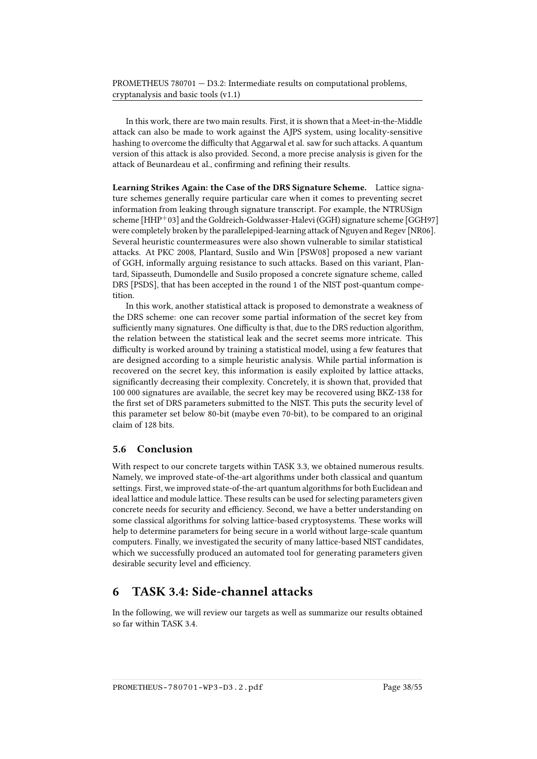In this work, there are two main results. First, it is shown that a Meet-in-the-Middle attack can also be made to work against the AJPS system, using locality-sensitive hashing to overcome the difficulty that Aggarwal et al. saw for such attacks. A quantum version of this attack is also provided. Second, a more precise analysis is given for the attack of Beunardeau et al., confirming and refining their results.

Learning Strikes Again: the Case of the DRS Signature Scheme. Lattice signature schemes generally require particular care when it comes to preventing secret information from leaking through signature transcript. For example, the NTRUSign scheme [\[HHP](#page-56-9)+03] and the Goldreich-Goldwasser-Halevi (GGH) signature scheme [\[GGH97\]](#page-55-6) were completely broken by the parallelepiped-learning attack of Nguyen and Regev [\[NR06\]](#page-58-10). Several heuristic countermeasures were also shown vulnerable to similar statistical attacks. At PKC 2008, Plantard, Susilo and Win [\[PSW08\]](#page-59-9) proposed a new variant of GGH, informally arguing resistance to such attacks. Based on this variant, Plantard, Sipasseuth, Dumondelle and Susilo proposed a concrete signature scheme, called DRS [\[PSDS\]](#page-59-1), that has been accepted in the round 1 of the NIST post-quantum competition.

In this work, another statistical attack is proposed to demonstrate a weakness of the DRS scheme: one can recover some partial information of the secret key from sufficiently many signatures. One difficulty is that, due to the DRS reduction algorithm, the relation between the statistical leak and the secret seems more intricate. This difficulty is worked around by training a statistical model, using a few features that are designed according to a simple heuristic analysis. While partial information is recovered on the secret key, this information is easily exploited by lattice attacks, significantly decreasing their complexity. Concretely, it is shown that, provided that 100 000 signatures are available, the secret key may be recovered using BKZ-138 for the first set of DRS parameters submitted to the NIST. This puts the security level of this parameter set below 80-bit (maybe even 70-bit), to be compared to an original claim of 128 bits.

#### <span id="page-43-0"></span>5.6 Conclusion

With respect to our concrete targets within TASK 3.3, we obtained numerous results. Namely, we improved state-of-the-art algorithms under both classical and quantum settings. First, we improved state-of-the-art quantum algorithms for both Euclidean and ideal lattice and module lattice. These results can be used for selecting parameters given concrete needs for security and efficiency. Second, we have a better understanding on some classical algorithms for solving lattice-based cryptosystems. These works will help to determine parameters for being secure in a world without large-scale quantum computers. Finally, we investigated the security of many lattice-based NIST candidates, which we successfully produced an automated tool for generating parameters given desirable security level and efficiency.

## <span id="page-43-1"></span>6 TASK 3.4: Side-channel attacks

In the following, we will review our targets as well as summarize our results obtained so far within TASK 3.4.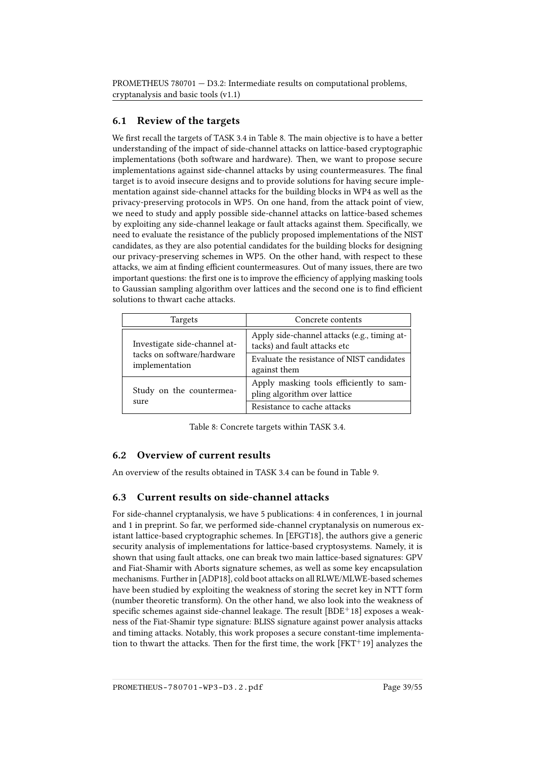## <span id="page-44-0"></span>6.1 Review of the targets

We first recall the targets of TASK 3.4 in Table [8.](#page-44-3) The main objective is to have a better understanding of the impact of side-channel attacks on lattice-based cryptographic implementations (both software and hardware). Then, we want to propose secure implementations against side-channel attacks by using countermeasures. The final target is to avoid insecure designs and to provide solutions for having secure implementation against side-channel attacks for the building blocks in WP4 as well as the privacy-preserving protocols in WP5. On one hand, from the attack point of view, we need to study and apply possible side-channel attacks on lattice-based schemes by exploiting any side-channel leakage or fault attacks against them. Specifically, we need to evaluate the resistance of the publicly proposed implementations of the NIST candidates, as they are also potential candidates for the building blocks for designing our privacy-preserving schemes in WP5. On the other hand, with respect to these attacks, we aim at finding efficient countermeasures. Out of many issues, there are two important questions: the first one is to improve the efficiency of applying masking tools to Gaussian sampling algorithm over lattices and the second one is to find efficient solutions to thwart cache attacks.

| Targets                                      | Concrete contents                                                            |
|----------------------------------------------|------------------------------------------------------------------------------|
| Investigate side-channel at-                 | Apply side-channel attacks (e.g., timing at-<br>tacks) and fault attacks etc |
| tacks on software/hardware<br>implementation | Evaluate the resistance of NIST candidates<br>against them                   |
| Study on the countermea-                     | Apply masking tools efficiently to sam-<br>pling algorithm over lattice      |
| sure                                         | Resistance to cache attacks                                                  |

<span id="page-44-3"></span>Table 8: Concrete targets within TASK 3.4.

## <span id="page-44-1"></span>6.2 Overview of current results

An overview of the results obtained in TASK 3.4 can be found in Table [9.](#page-45-0)

### <span id="page-44-2"></span>6.3 Current results on side-channel attacks

For side-channel cryptanalysis, we have 5 publications: 4 in conferences, 1 in journal and 1 in preprint. So far, we performed side-channel cryptanalysis on numerous existant lattice-based cryptographic schemes. In [\[EFGT18\]](#page-55-7), the authors give a generic security analysis of implementations for lattice-based cryptosystems. Namely, it is shown that using fault attacks, one can break two main lattice-based signatures: GPV and Fiat-Shamir with Aborts signature schemes, as well as some key encapsulation mechanisms. Further in [\[ADP18\]](#page-50-5), cold boot attacks on all RLWE/MLWE-based schemes have been studied by exploiting the weakness of storing the secret key in NTT form (number theoretic transform). On the other hand, we also look into the weakness of specific schemes against side-channel leakage. The result  $[BDE^+18]$  $[BDE^+18]$  exposes a weakness of the Fiat-Shamir type signature: BLISS signature against power analysis attacks and timing attacks. Notably, this work proposes a secure constant-time implementation to thwart the attacks. Then for the first time, the work  $[FKT^+19]$  $[FKT^+19]$  analyzes the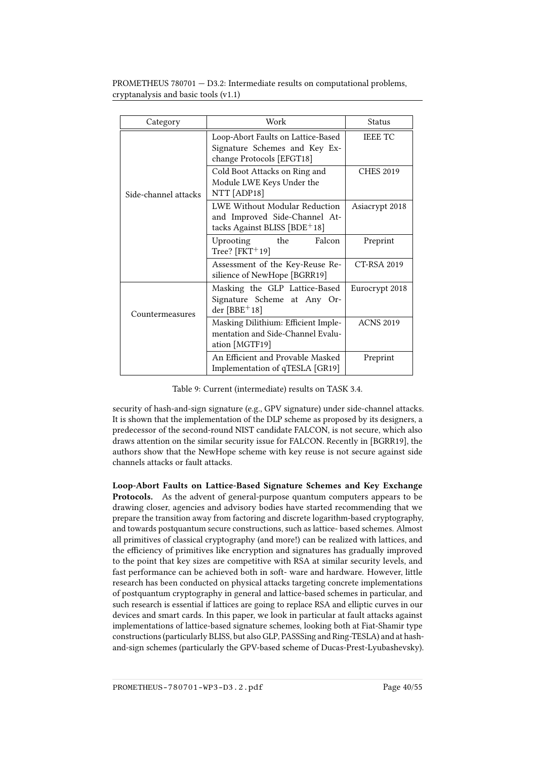| Category             | Work                                                                                             | <b>Status</b>    |
|----------------------|--------------------------------------------------------------------------------------------------|------------------|
| Side-channel attacks | Loop-Abort Faults on Lattice-Based<br>Signature Schemes and Key Ex-<br>change Protocols [EFGT18] | <b>IEEE TC</b>   |
|                      | Cold Boot Attacks on Ring and<br>Module LWE Keys Under the<br>NTT [ADP18]                        | <b>CHES 2019</b> |
|                      | LWE Without Modular Reduction<br>and Improved Side-Channel At-<br>tacks Against BLISS [BDE+18]   | Asiacrypt 2018   |
|                      | the<br>Falcon<br>Uprooting<br>Tree? $[$ FKT <sup><math>+</math></sup> 19 $]$                     | Preprint         |
|                      | Assessment of the Key-Reuse Re-<br>silience of NewHope [BGRR19]                                  | CT-RSA 2019      |
| Countermeasures      | Masking the GLP Lattice-Based<br>Signature Scheme at Any Or-<br>der $[BBE+18]$                   | Eurocrypt 2018   |
|                      | Masking Dilithium: Efficient Imple-<br>mentation and Side-Channel Evalu-<br>ation [MGTF19]       | <b>ACNS 2019</b> |
|                      | An Efficient and Provable Masked<br>Implementation of qTESLA [GR19]                              | Preprint         |

<span id="page-45-0"></span>Table 9: Current (intermediate) results on TASK 3.4.

security of hash-and-sign signature (e.g., GPV signature) under side-channel attacks. It is shown that the implementation of the DLP scheme as proposed by its designers, a predecessor of the second-round NIST candidate FALCON, is not secure, which also draws attention on the similar security issue for FALCON. Recently in [\[BGRR19\]](#page-52-8), the authors show that the NewHope scheme with key reuse is not secure against side channels attacks or fault attacks.

Loop-Abort Faults on Lattice-Based Signature Schemes and Key Exchange Protocols. As the advent of general-purpose quantum computers appears to be drawing closer, agencies and advisory bodies have started recommending that we prepare the transition away from factoring and discrete logarithm-based cryptography, and towards postquantum secure constructions, such as lattice- based schemes. Almost all primitives of classical cryptography (and more!) can be realized with lattices, and the efficiency of primitives like encryption and signatures has gradually improved to the point that key sizes are competitive with RSA at similar security levels, and fast performance can be achieved both in soft- ware and hardware. However, little research has been conducted on physical attacks targeting concrete implementations of postquantum cryptography in general and lattice-based schemes in particular, and such research is essential if lattices are going to replace RSA and elliptic curves in our devices and smart cards. In this paper, we look in particular at fault attacks against implementations of lattice-based signature schemes, looking both at Fiat-Shamir type constructions (particularly BLISS, but also GLP, PASSSing and Ring-TESLA) and at hashand-sign schemes (particularly the GPV-based scheme of Ducas-Prest-Lyubashevsky).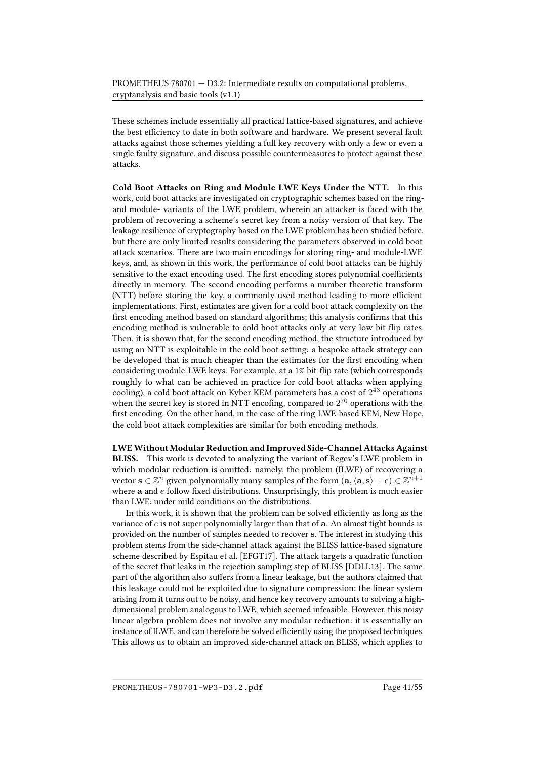These schemes include essentially all practical lattice-based signatures, and achieve the best efficiency to date in both software and hardware. We present several fault attacks against those schemes yielding a full key recovery with only a few or even a single faulty signature, and discuss possible countermeasures to protect against these attacks.

Cold Boot Attacks on Ring and Module LWE Keys Under the NTT. In this work, cold boot attacks are investigated on cryptographic schemes based on the ringand module- variants of the LWE problem, wherein an attacker is faced with the problem of recovering a scheme's secret key from a noisy version of that key. The leakage resilience of cryptography based on the LWE problem has been studied before, but there are only limited results considering the parameters observed in cold boot attack scenarios. There are two main encodings for storing ring- and module-LWE keys, and, as shown in this work, the performance of cold boot attacks can be highly sensitive to the exact encoding used. The first encoding stores polynomial coefficients directly in memory. The second encoding performs a number theoretic transform (NTT) before storing the key, a commonly used method leading to more efficient implementations. First, estimates are given for a cold boot attack complexity on the first encoding method based on standard algorithms; this analysis confirms that this encoding method is vulnerable to cold boot attacks only at very low bit-flip rates. Then, it is shown that, for the second encoding method, the structure introduced by using an NTT is exploitable in the cold boot setting: a bespoke attack strategy can be developed that is much cheaper than the estimates for the first encoding when considering module-LWE keys. For example, at a 1% bit-flip rate (which corresponds roughly to what can be achieved in practice for cold boot attacks when applying cooling), a cold boot attack on Kyber KEM parameters has a cost of  $2^{43}$  operations when the secret key is stored in NTT encofing, compared to  $2^{70}$  operations with the first encoding. On the other hand, in the case of the ring-LWE-based KEM, New Hope, the cold boot attack complexities are similar for both encoding methods.

LWEWithout Modular Reduction and Improved Side-Channel Attacks Against BLISS. This work is devoted to analyzing the variant of Regev's LWE problem in which modular reduction is omitted: namely, the problem (ILWE) of recovering a vector  $\mathbf{s}\in\mathbb{Z}^n$  given polynomially many samples of the form  $(\mathbf{a},\langle\mathbf{a},\mathbf{s}\rangle + e)\in\mathbb{Z}^{n+1}$ where  $a$  and  $e$  follow fixed distributions. Unsurprisingly, this problem is much easier than LWE: under mild conditions on the distributions.

In this work, it is shown that the problem can be solved efficiently as long as the variance of  $e$  is not super polynomially larger than that of  $a$ . An almost tight bounds is provided on the number of samples needed to recover s. The interest in studying this problem stems from the side-channel attack against the BLISS lattice-based signature scheme described by Espitau et al. [\[EFGT17\]](#page-55-9). The attack targets a quadratic function of the secret that leaks in the rejection sampling step of BLISS [\[DDLL13\]](#page-54-1). The same part of the algorithm also suffers from a linear leakage, but the authors claimed that this leakage could not be exploited due to signature compression: the linear system arising from it turns out to be noisy, and hence key recovery amounts to solving a highdimensional problem analogous to LWE, which seemed infeasible. However, this noisy linear algebra problem does not involve any modular reduction: it is essentially an instance of ILWE, and can therefore be solved efficiently using the proposed techniques. This allows us to obtain an improved side-channel attack on BLISS, which applies to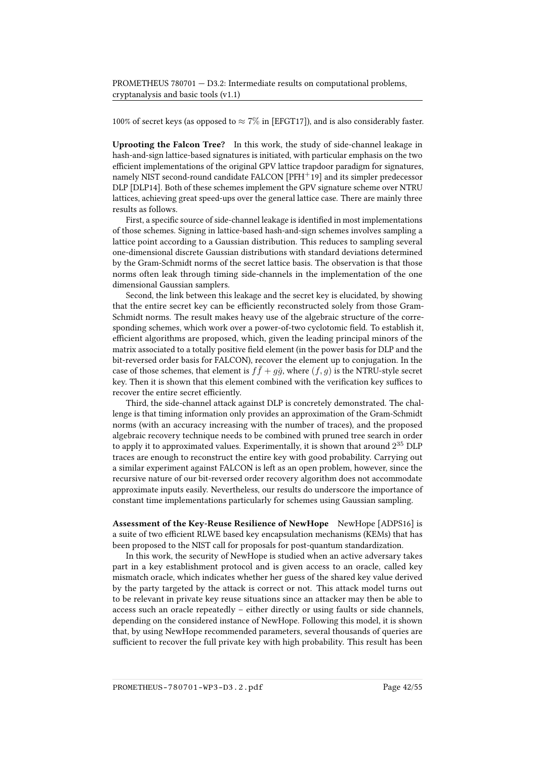100% of secret keys (as opposed to  $\approx 7\%$  in [\[EFGT17\]](#page-55-9)), and is also considerably faster.

Uprooting the Falcon Tree? In this work, the study of side-channel leakage in hash-and-sign lattice-based signatures is initiated, with particular emphasis on the two efficient implementations of the original GPV lattice trapdoor paradigm for signatures, namely NIST second-round candidate FALCON  $[PFH^+19]$  $[PFH^+19]$  and its simpler predecessor DLP [\[DLP14\]](#page-54-0). Both of these schemes implement the GPV signature scheme over NTRU lattices, achieving great speed-ups over the general lattice case. There are mainly three results as follows.

First, a specific source of side-channel leakage is identified in most implementations of those schemes. Signing in lattice-based hash-and-sign schemes involves sampling a lattice point according to a Gaussian distribution. This reduces to sampling several one-dimensional discrete Gaussian distributions with standard deviations determined by the Gram-Schmidt norms of the secret lattice basis. The observation is that those norms often leak through timing side-channels in the implementation of the one dimensional Gaussian samplers.

Second, the link between this leakage and the secret key is elucidated, by showing that the entire secret key can be efficiently reconstructed solely from those Gram-Schmidt norms. The result makes heavy use of the algebraic structure of the corresponding schemes, which work over a power-of-two cyclotomic field. To establish it, efficient algorithms are proposed, which, given the leading principal minors of the matrix associated to a totally positive field element (in the power basis for DLP and the bit-reversed order basis for FALCON), recover the element up to conjugation. In the case of those schemes, that element is  $f\bar{f} + g\bar{g}$ , where  $(f, g)$  is the NTRU-style secret key. Then it is shown that this element combined with the verification key suffices to recover the entire secret efficiently.

Third, the side-channel attack against DLP is concretely demonstrated. The challenge is that timing information only provides an approximation of the Gram-Schmidt norms (with an accuracy increasing with the number of traces), and the proposed algebraic recovery technique needs to be combined with pruned tree search in order to apply it to approximated values. Experimentally, it is shown that around  $2^{35}$  DLP traces are enough to reconstruct the entire key with good probability. Carrying out a similar experiment against FALCON is left as an open problem, however, since the recursive nature of our bit-reversed order recovery algorithm does not accommodate approximate inputs easily. Nevertheless, our results do underscore the importance of constant time implementations particularly for schemes using Gaussian sampling.

Assessment of the Key-Reuse Resilience of NewHope NewHope [\[ADPS16\]](#page-51-4) is a suite of two efficient RLWE based key encapsulation mechanisms (KEMs) that has been proposed to the NIST call for proposals for post-quantum standardization.

In this work, the security of NewHope is studied when an active adversary takes part in a key establishment protocol and is given access to an oracle, called key mismatch oracle, which indicates whether her guess of the shared key value derived by the party targeted by the attack is correct or not. This attack model turns out to be relevant in private key reuse situations since an attacker may then be able to access such an oracle repeatedly – either directly or using faults or side channels, depending on the considered instance of NewHope. Following this model, it is shown that, by using NewHope recommended parameters, several thousands of queries are sufficient to recover the full private key with high probability. This result has been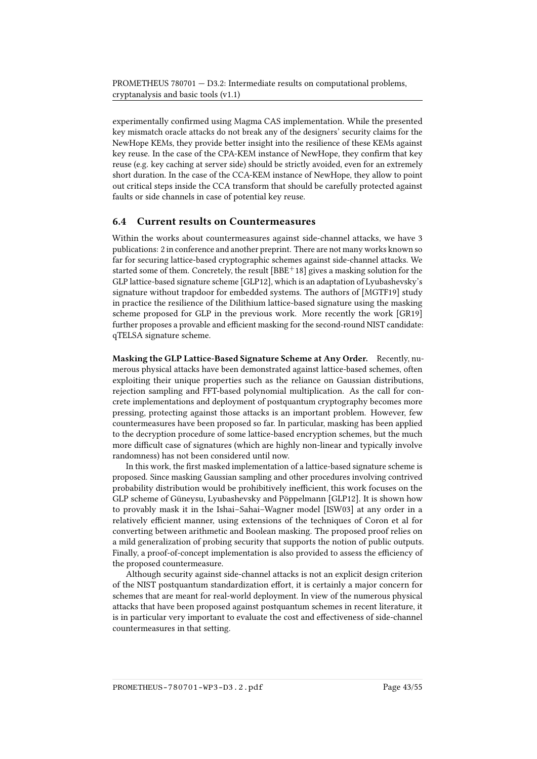experimentally confirmed using Magma CAS implementation. While the presented key mismatch oracle attacks do not break any of the designers' security claims for the NewHope KEMs, they provide better insight into the resilience of these KEMs against key reuse. In the case of the CPA-KEM instance of NewHope, they confirm that key reuse (e.g. key caching at server side) should be strictly avoided, even for an extremely short duration. In the case of the CCA-KEM instance of NewHope, they allow to point out critical steps inside the CCA transform that should be carefully protected against faults or side channels in case of potential key reuse.

#### <span id="page-48-0"></span>6.4 Current results on Countermeasures

Within the works about countermeasures against side-channel attacks, we have 3 publications: 2 in conference and another preprint. There are not many works known so far for securing lattice-based cryptographic schemes against side-channel attacks. We started some of them. Concretely, the result  $[BBE^+18]$  $[BBE^+18]$  gives a masking solution for the GLP lattice-based signature scheme [\[GLP12\]](#page-56-4), which is an adaptation of Lyubashevsky's signature without trapdoor for embedded systems. The authors of [\[MGTF19\]](#page-58-11) study in practice the resilience of the Dilithium lattice-based signature using the masking scheme proposed for GLP in the previous work. More recently the work [\[GR19\]](#page-56-10) further proposes a provable and efficient masking for the second-round NIST candidate: qTELSA signature scheme.

Masking the GLP Lattice-Based Signature Scheme at Any Order. Recently, numerous physical attacks have been demonstrated against lattice-based schemes, often exploiting their unique properties such as the reliance on Gaussian distributions, rejection sampling and FFT-based polynomial multiplication. As the call for concrete implementations and deployment of postquantum cryptography becomes more pressing, protecting against those attacks is an important problem. However, few countermeasures have been proposed so far. In particular, masking has been applied to the decryption procedure of some lattice-based encryption schemes, but the much more difficult case of signatures (which are highly non-linear and typically involve randomness) has not been considered until now.

In this work, the first masked implementation of a lattice-based signature scheme is proposed. Since masking Gaussian sampling and other procedures involving contrived probability distribution would be prohibitively inefficient, this work focuses on the GLP scheme of Güneysu, Lyubashevsky and Pöppelmann [\[GLP12\]](#page-56-4). It is shown how to provably mask it in the Ishai–Sahai–Wagner model [\[ISW03\]](#page-57-9) at any order in a relatively efficient manner, using extensions of the techniques of Coron et al for converting between arithmetic and Boolean masking. The proposed proof relies on a mild generalization of probing security that supports the notion of public outputs. Finally, a proof-of-concept implementation is also provided to assess the efficiency of the proposed countermeasure.

Although security against side-channel attacks is not an explicit design criterion of the NIST postquantum standardization effort, it is certainly a major concern for schemes that are meant for real-world deployment. In view of the numerous physical attacks that have been proposed against postquantum schemes in recent literature, it is in particular very important to evaluate the cost and effectiveness of side-channel countermeasures in that setting.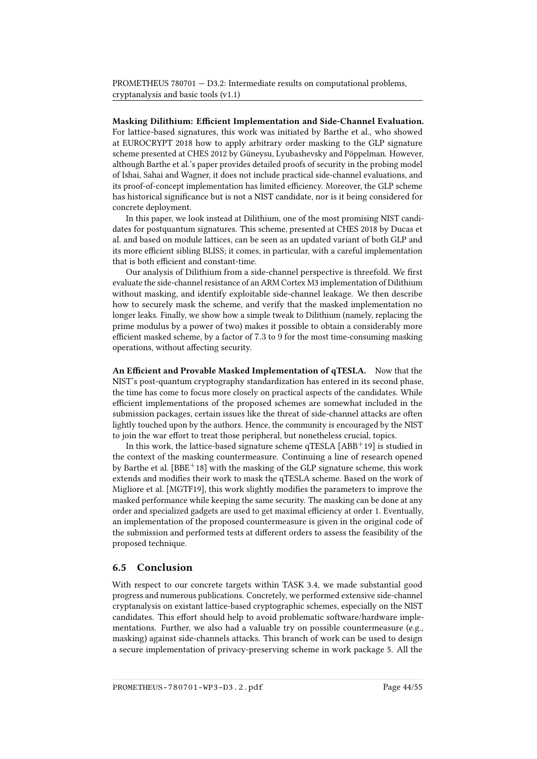Masking Dilithium: Ecient Implementation and Side-Channel Evaluation. For lattice-based signatures, this work was initiated by Barthe et al., who showed at EUROCRYPT 2018 how to apply arbitrary order masking to the GLP signature scheme presented at CHES 2012 by Güneysu, Lyubashevsky and Pöppelman. However, although Barthe et al.'s paper provides detailed proofs of security in the probing model of Ishai, Sahai and Wagner, it does not include practical side-channel evaluations, and its proof-of-concept implementation has limited efficiency. Moreover, the GLP scheme has historical significance but is not a NIST candidate, nor is it being considered for concrete deployment.

In this paper, we look instead at Dilithium, one of the most promising NIST candidates for postquantum signatures. This scheme, presented at CHES 2018 by Ducas et al. and based on module lattices, can be seen as an updated variant of both GLP and its more efficient sibling BLISS; it comes, in particular, with a careful implementation that is both efficient and constant-time.

Our analysis of Dilithium from a side-channel perspective is threefold. We first evaluate the side-channel resistance of an ARM Cortex M3 implementation of Dilithium without masking, and identify exploitable side-channel leakage. We then describe how to securely mask the scheme, and verify that the masked implementation no longer leaks. Finally, we show how a simple tweak to Dilithium (namely, replacing the prime modulus by a power of two) makes it possible to obtain a considerably more efficient masked scheme, by a factor of  $7.3$  to  $9$  for the most time-consuming masking operations, without affecting security.

An Efficient and Provable Masked Implementation of qTESLA. Now that the NIST's post-quantum cryptography standardization has entered in its second phase, the time has come to focus more closely on practical aspects of the candidates. While efficient implementations of the proposed schemes are somewhat included in the submission packages, certain issues like the threat of side-channel attacks are often lightly touched upon by the authors. Hence, the community is encouraged by the NIST to join the war effort to treat those peripheral, but nonetheless crucial, topics.

In this work, the lattice-based signature scheme qTESLA  $[ABB<sup>+</sup>19]$  $[ABB<sup>+</sup>19]$  is studied in the context of the masking countermeasure. Continuing a line of research opened by Barthe et al.  $[BBE^+18]$  $[BBE^+18]$  with the masking of the GLP signature scheme, this work extends and modifies their work to mask the qTESLA scheme. Based on the work of Migliore et al. [\[MGTF19\]](#page-58-11), this work slightly modifies the parameters to improve the masked performance while keeping the same security. The masking can be done at any order and specialized gadgets are used to get maximal efficiency at order 1. Eventually, an implementation of the proposed countermeasure is given in the original code of the submission and performed tests at different orders to assess the feasibility of the proposed technique.

#### <span id="page-49-0"></span>6.5 Conclusion

With respect to our concrete targets within TASK 3.4, we made substantial good progress and numerous publications. Concretely, we performed extensive side-channel cryptanalysis on existant lattice-based cryptographic schemes, especially on the NIST candidates. This effort should help to avoid problematic software/hardware implementations. Further, we also had a valuable try on possible countermeasure (e.g., masking) against side-channels attacks. This branch of work can be used to design a secure implementation of privacy-preserving scheme in work package 5. All the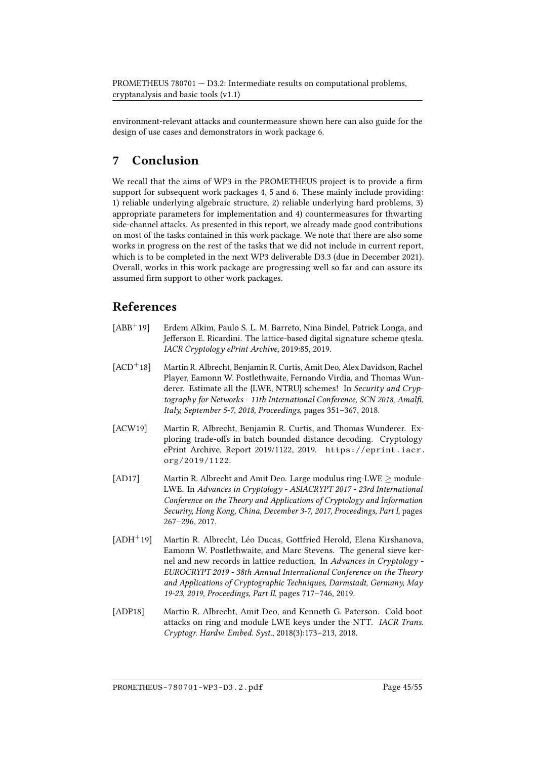environment-relevant attacks and countermeasure shown here can also guide for the design of use cases and demonstrators in work package 6.

## <span id="page-50-0"></span>7 Conclusion

We recall that the aims of WP3 in the PROMETHEUS project is to provide a firm support for subsequent work packages 4, 5 and 6. These mainly include providing: 1) reliable underlying algebraic structure, 2) reliable underlying hard problems, 3) appropriate parameters for implementation and 4) countermeasures for thwarting side-channel attacks. As presented in this report, we already made good contributions on most of the tasks contained in this work package. We note that there are also some works in progress on the rest of the tasks that we did not include in current report, which is to be completed in the next WP3 deliverable D3.3 (due in December 2021). Overall, works in this work package are progressing well so far and can assure its assumed firm support to other work packages.

## References

- <span id="page-50-6"></span>[ABB<sup>+</sup>19] Erdem Alkim, Paulo S. L. M. Barreto, Nina Bindel, Patrick Longa, and Jefferson E. Ricardini. The lattice-based digital signature scheme qtesla. IACR Cryptology ePrint Archive, 2019:85, 2019.
- <span id="page-50-4"></span>[ACD<sup>+</sup>18] Martin R. Albrecht, Benjamin R. Curtis, Amit Deo, Alex Davidson, Rachel Player, Eamonn W. Postlethwaite, Fernando Virdia, and Thomas Wunderer. Estimate all the {LWE, NTRU} schemes! In Security and Cryptography for Networks - 11th International Conference, SCN 2018, Amalfi, Italy, September 5-7, 2018, Proceedings, pages 351–367, 2018.
- <span id="page-50-3"></span>[ACW19] Martin R. Albrecht, Benjamin R. Curtis, and Thomas Wunderer. Exploring trade-offs in batch bounded distance decoding. Cryptology ePrint Archive, Report 2019/1122, 2019. [https://eprint.iacr.](https://eprint.iacr.org/2019/1122) [org/2019/1122](https://eprint.iacr.org/2019/1122).
- <span id="page-50-1"></span>[AD17] Martin R. Albrecht and Amit Deo. Large modulus ring-LWE ≥ module-LWE. In Advances in Cryptology - ASIACRYPT 2017 - 23rd International Conference on the Theory and Applications of Cryptology and Information Security, Hong Kong, China, December 3-7, 2017, Proceedings, Part I, pages 267–296, 2017.
- <span id="page-50-2"></span>[ADH<sup>+</sup>19] Martin R. Albrecht, Léo Ducas, Gottfried Herold, Elena Kirshanova, Eamonn W. Postlethwaite, and Marc Stevens. The general sieve kernel and new records in lattice reduction. In Advances in Cryptology - EUROCRYPT 2019 - 38th Annual International Conference on the Theory and Applications of Cryptographic Techniques, Darmstadt, Germany, May 19-23, 2019, Proceedings, Part II, pages 717–746, 2019.
- <span id="page-50-5"></span>[ADP18] Martin R. Albrecht, Amit Deo, and Kenneth G. Paterson. Cold boot attacks on ring and module LWE keys under the NTT. IACR Trans. Cryptogr. Hardw. Embed. Syst., 2018(3):173–213, 2018.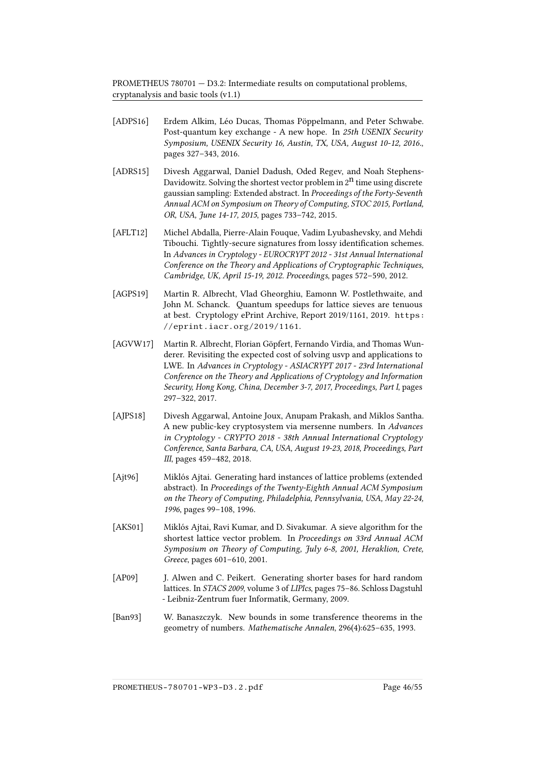- <span id="page-51-4"></span>[ADPS16] Erdem Alkim, Léo Ducas, Thomas Pöppelmann, and Peter Schwabe. Post-quantum key exchange - A new hope. In 25th USENIX Security Symposium, USENIX Security 16, Austin, TX, USA, August 10-12, 2016., pages 327–343, 2016.
- <span id="page-51-2"></span>[ADRS15] Divesh Aggarwal, Daniel Dadush, Oded Regev, and Noah Stephens-Davidowitz. Solving the shortest vector problem in  $2<sup>n</sup>$  time using discrete gaussian sampling: Extended abstract. In Proceedings of the Forty-Seventh Annual ACM on Symposium on Theory of Computing, STOC 2015, Portland, OR, USA, June 14-17, 2015, pages 733–742, 2015.
- <span id="page-51-6"></span>[AFLT12] Michel Abdalla, Pierre-Alain Fouque, Vadim Lyubashevsky, and Mehdi Tibouchi. Tightly-secure signatures from lossy identification schemes. In Advances in Cryptology - EUROCRYPT 2012 - 31st Annual International Conference on the Theory and Applications of Cryptographic Techniques, Cambridge, UK, April 15-19, 2012. Proceedings, pages 572–590, 2012.
- <span id="page-51-7"></span>[AGPS19] Martin R. Albrecht, Vlad Gheorghiu, Eamonn W. Postlethwaite, and John M. Schanck. Quantum speedups for lattice sieves are tenuous at best. Cryptology ePrint Archive, Report 2019/1161, 2019. [https:](https://eprint.iacr.org/2019/1161) [//eprint.iacr.org/2019/1161](https://eprint.iacr.org/2019/1161).
- <span id="page-51-8"></span>[AGVW17] Martin R. Albrecht, Florian Göpfert, Fernando Virdia, and Thomas Wunderer. Revisiting the expected cost of solving usvp and applications to LWE. In Advances in Cryptology - ASIACRYPT 2017 - 23rd International Conference on the Theory and Applications of Cryptology and Information Security, Hong Kong, China, December 3-7, 2017, Proceedings, Part I, pages 297–322, 2017.
- <span id="page-51-9"></span>[AJPS18] Divesh Aggarwal, Antoine Joux, Anupam Prakash, and Miklos Santha. A new public-key cryptosystem via mersenne numbers. In Advances in Cryptology - CRYPTO 2018 - 38th Annual International Cryptology Conference, Santa Barbara, CA, USA, August 19-23, 2018, Proceedings, Part III, pages 459–482, 2018.
- <span id="page-51-5"></span>[Ajt96] Miklós Ajtai. Generating hard instances of lattice problems (extended abstract). In Proceedings of the Twenty-Eighth Annual ACM Symposium on the Theory of Computing, Philadelphia, Pennsylvania, USA, May 22-24, 1996, pages 99–108, 1996.
- <span id="page-51-3"></span>[AKS01] Miklós Ajtai, Ravi Kumar, and D. Sivakumar. A sieve algorithm for the shortest lattice vector problem. In Proceedings on 33rd Annual ACM Symposium on Theory of Computing, July 6-8, 2001, Heraklion, Crete, Greece, pages 601–610, 2001.
- <span id="page-51-1"></span>[AP09] J. Alwen and C. Peikert. Generating shorter bases for hard random lattices. In STACS 2009, volume 3 of LIPIcs, pages 75–86. Schloss Dagstuhl - Leibniz-Zentrum fuer Informatik, Germany, 2009.
- <span id="page-51-0"></span>[Ban93] W. Banaszczyk. New bounds in some transference theorems in the geometry of numbers. Mathematische Annalen, 296(4):625–635, 1993.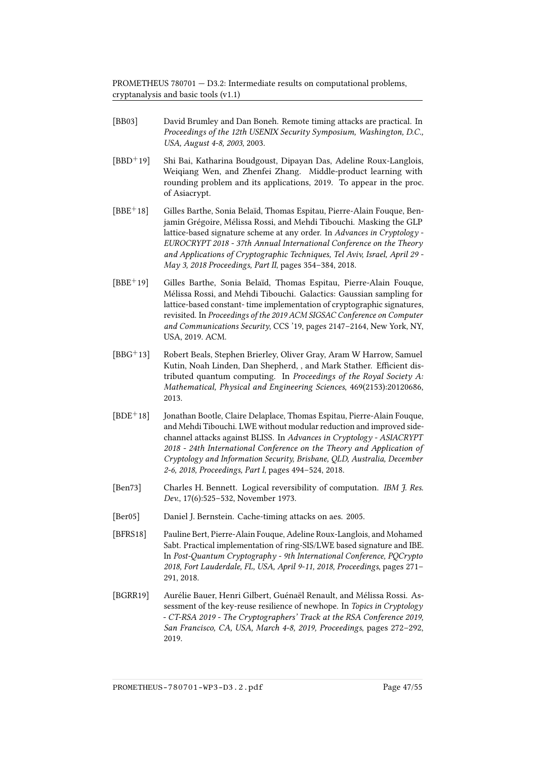- <span id="page-52-1"></span>[BB03] David Brumley and Dan Boneh. Remote timing attacks are practical. In Proceedings of the 12th USENIX Security Symposium, Washington, D.C., USA, August 4-8, 2003, 2003.
- <span id="page-52-3"></span>[BBD+19] Shi Bai, Katharina Boudgoust, Dipayan Das, Adeline Roux-Langlois, Weiqiang Wen, and Zhenfei Zhang. Middle-product learning with rounding problem and its applications, 2019. To appear in the proc. of Asiacrypt.
- <span id="page-52-9"></span>[BBE+18] Gilles Barthe, Sonia Belaïd, Thomas Espitau, Pierre-Alain Fouque, Benjamin Grégoire, Mélissa Rossi, and Mehdi Tibouchi. Masking the GLP lattice-based signature scheme at any order. In Advances in Cryptology - EUROCRYPT 2018 - 37th Annual International Conference on the Theory and Applications of Cryptographic Techniques, Tel Aviv, Israel, April 29 - May 3, 2018 Proceedings, Part II, pages 354–384, 2018.
- <span id="page-52-5"></span>[BBE+19] Gilles Barthe, Sonia Belaïd, Thomas Espitau, Pierre-Alain Fouque, Mélissa Rossi, and Mehdi Tibouchi. Galactics: Gaussian sampling for lattice-based constant- time implementation of cryptographic signatures, revisited. In Proceedings of the 2019 ACM SIGSAC Conference on Computer and Communications Security, CCS '19, pages 2147–2164, New York, NY, USA, 2019. ACM.
- <span id="page-52-6"></span>[BBG<sup>+</sup>13] Robert Beals, Stephen Brierley, Oliver Gray, Aram W Harrow, Samuel Kutin, Noah Linden, Dan Shepherd, , and Mark Stather. Efficient distributed quantum computing. In Proceedings of the Royal Society A: Mathematical, Physical and Engineering Sciences, 469(2153):20120686, 2013.
- <span id="page-52-7"></span>[BDE<sup>+</sup>18] Jonathan Bootle, Claire Delaplace, Thomas Espitau, Pierre-Alain Fouque, and Mehdi Tibouchi. LWE without modular reduction and improved sidechannel attacks against BLISS. In Advances in Cryptology - ASIACRYPT 2018 - 24th International Conference on the Theory and Application of Cryptology and Information Security, Brisbane, QLD, Australia, December 2-6, 2018, Proceedings, Part I, pages 494–524, 2018.
- <span id="page-52-0"></span>[Ben73] Charles H. Bennett. Logical reversibility of computation. IBM J. Res. Dev., 17(6):525–532, November 1973.
- <span id="page-52-2"></span>[Ber05] Daniel J. Bernstein. Cache-timing attacks on aes. 2005.
- <span id="page-52-4"></span>[BFRS18] Pauline Bert, Pierre-Alain Fouque, Adeline Roux-Langlois, and Mohamed Sabt. Practical implementation of ring-SIS/LWE based signature and IBE. In Post-Quantum Cryptography - 9th International Conference, PQCrypto 2018, Fort Lauderdale, FL, USA, April 9-11, 2018, Proceedings, pages 271– 291, 2018.
- <span id="page-52-8"></span>[BGRR19] Aurélie Bauer, Henri Gilbert, Guénaël Renault, and Mélissa Rossi. Assessment of the key-reuse resilience of newhope. In Topics in Cryptology - CT-RSA 2019 - The Cryptographers' Track at the RSA Conference 2019, San Francisco, CA, USA, March 4-8, 2019, Proceedings, pages 272–292, 2019.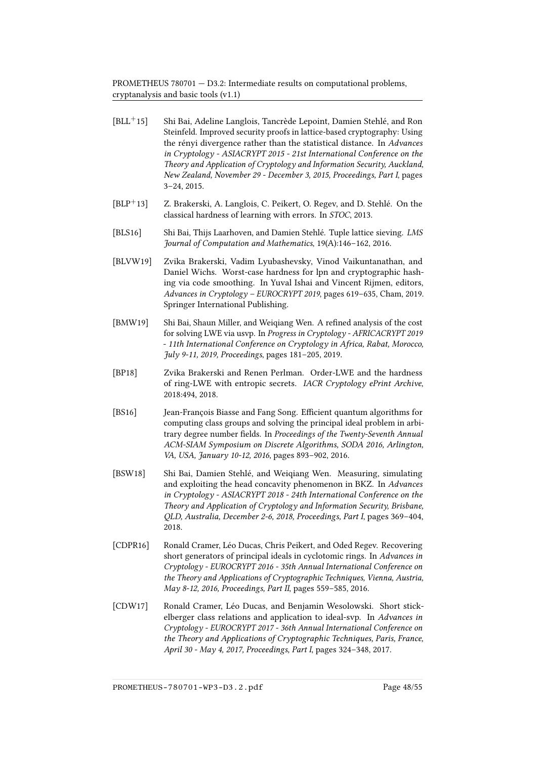- <span id="page-53-4"></span>[BLL+15] Shi Bai, Adeline Langlois, Tancrède Lepoint, Damien Stehlé, and Ron Steinfeld. Improved security proofs in lattice-based cryptography: Using the rényi divergence rather than the statistical distance. In Advances in Cryptology - ASIACRYPT 2015 - 21st International Conference on the Theory and Application of Cryptology and Information Security, Auckland, New Zealand, November 29 - December 3, 2015, Proceedings, Part I, pages 3–24, 2015.
- <span id="page-53-0"></span>[BLP+13] Z. Brakerski, A. Langlois, C. Peikert, O. Regev, and D. Stehlé. On the classical hardness of learning with errors. In STOC, 2013.
- <span id="page-53-1"></span>[BLS16] Shi Bai, Thijs Laarhoven, and Damien Stehlé. Tuple lattice sieving. LMS Journal of Computation and Mathematics, 19(A):146–162, 2016.
- <span id="page-53-3"></span>[BLVW19] Zvika Brakerski, Vadim Lyubashevsky, Vinod Vaikuntanathan, and Daniel Wichs. Worst-case hardness for lpn and cryptographic hashing via code smoothing. In Yuval Ishai and Vincent Rijmen, editors, Advances in Cryptology – EUROCRYPT 2019, pages 619–635, Cham, 2019. Springer International Publishing.
- <span id="page-53-6"></span>[BMW19] Shi Bai, Shaun Miller, and Weigiang Wen. A refined analysis of the cost for solving LWE via usvp. In Progress in Cryptology - AFRICACRYPT 2019 - 11th International Conference on Cryptology in Africa, Rabat, Morocco, July 9-11, 2019, Proceedings, pages 181–205, 2019.
- <span id="page-53-2"></span>[BP18] Zvika Brakerski and Renen Perlman. Order-LWE and the hardness of ring-LWE with entropic secrets. IACR Cryptology ePrint Archive, 2018:494, 2018.
- <span id="page-53-9"></span>[BS16] Jean-François Biasse and Fang Song. Efficient quantum algorithms for computing class groups and solving the principal ideal problem in arbitrary degree number fields. In Proceedings of the Twenty-Seventh Annual ACM-SIAM Symposium on Discrete Algorithms, SODA 2016, Arlington, VA, USA, January 10-12, 2016, pages 893–902, 2016.
- <span id="page-53-5"></span>[BSW18] Shi Bai, Damien Stehlé, and Weiqiang Wen. Measuring, simulating and exploiting the head concavity phenomenon in BKZ. In Advances in Cryptology - ASIACRYPT 2018 - 24th International Conference on the Theory and Application of Cryptology and Information Security, Brisbane, QLD, Australia, December 2-6, 2018, Proceedings, Part I, pages 369–404, 2018.
- <span id="page-53-7"></span>[CDPR16] Ronald Cramer, Léo Ducas, Chris Peikert, and Oded Regev. Recovering short generators of principal ideals in cyclotomic rings. In Advances in Cryptology - EUROCRYPT 2016 - 35th Annual International Conference on the Theory and Applications of Cryptographic Techniques, Vienna, Austria, May 8-12, 2016, Proceedings, Part II, pages 559–585, 2016.
- <span id="page-53-8"></span>[CDW17] Ronald Cramer, Léo Ducas, and Benjamin Wesolowski. Short stickelberger class relations and application to ideal-svp. In Advances in Cryptology - EUROCRYPT 2017 - 36th Annual International Conference on the Theory and Applications of Cryptographic Techniques, Paris, France, April 30 - May 4, 2017, Proceedings, Part I, pages 324–348, 2017.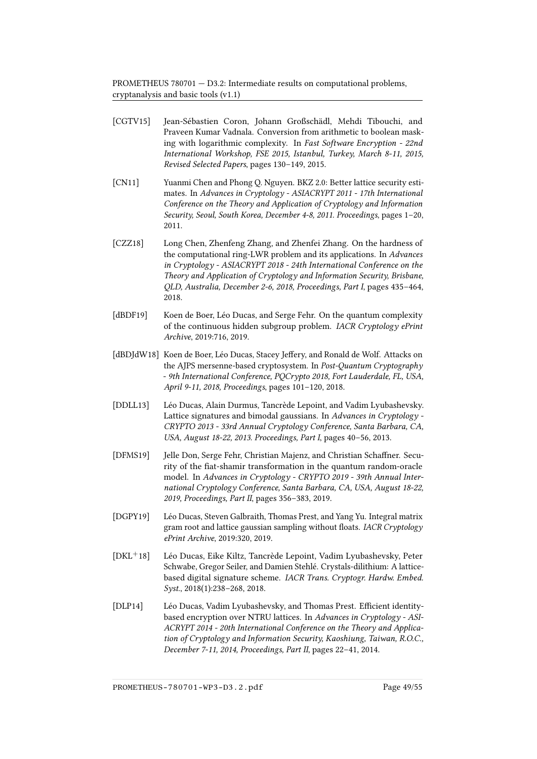- <span id="page-54-3"></span>[CGTV15] Jean-Sébastien Coron, Johann Großschädl, Mehdi Tibouchi, and Praveen Kumar Vadnala. Conversion from arithmetic to boolean masking with logarithmic complexity. In Fast Software Encryption - 22nd International Workshop, FSE 2015, Istanbul, Turkey, March 8-11, 2015, Revised Selected Papers, pages 130–149, 2015.
- <span id="page-54-9"></span>[CN11] Yuanmi Chen and Phong Q. Nguyen. BKZ 2.0: Better lattice security estimates. In Advances in Cryptology - ASIACRYPT 2011 - 17th International Conference on the Theory and Application of Cryptology and Information Security, Seoul, South Korea, December 4-8, 2011. Proceedings, pages 1–20, 2011.
- <span id="page-54-5"></span>[CZZ18] Long Chen, Zhenfeng Zhang, and Zhenfei Zhang. On the hardness of the computational ring-LWR problem and its applications. In Advances in Cryptology - ASIACRYPT 2018 - 24th International Conference on the Theory and Application of Cryptology and Information Security, Brisbane, QLD, Australia, December 2-6, 2018, Proceedings, Part I, pages 435–464, 2018.
- <span id="page-54-7"></span>[dBDF19] Koen de Boer, Léo Ducas, and Serge Fehr. On the quantum complexity of the continuous hidden subgroup problem. IACR Cryptology ePrint Archive, 2019:716, 2019.
- <span id="page-54-8"></span>[dBDJdW18] Koen de Boer, Léo Ducas, Stacey Jeffery, and Ronald de Wolf. Attacks on the AJPS mersenne-based cryptosystem. In Post-Quantum Cryptography - 9th International Conference, PQCrypto 2018, Fort Lauderdale, FL, USA, April 9-11, 2018, Proceedings, pages 101–120, 2018.
- <span id="page-54-1"></span>[DDLL13] Léo Ducas, Alain Durmus, Tancrède Lepoint, and Vadim Lyubashevsky. Lattice signatures and bimodal gaussians. In Advances in Cryptology - CRYPTO 2013 - 33rd Annual Cryptology Conference, Santa Barbara, CA, USA, August 18-22, 2013. Proceedings, Part I, pages 40–56, 2013.
- <span id="page-54-4"></span>[DFMS19] Jelle Don, Serge Fehr, Christian Majenz, and Christian Schaffner. Security of the fiat-shamir transformation in the quantum random-oracle model. In Advances in Cryptology - CRYPTO 2019 - 39th Annual International Cryptology Conference, Santa Barbara, CA, USA, August 18-22, 2019, Proceedings, Part II, pages 356–383, 2019.
- <span id="page-54-6"></span>[DGPY19] Léo Ducas, Steven Galbraith, Thomas Prest, and Yang Yu. Integral matrix gram root and lattice gaussian sampling without floats. IACR Cryptology ePrint Archive, 2019:320, 2019.
- <span id="page-54-2"></span>[DKL<sup>+</sup>18] Léo Ducas, Eike Kiltz, Tancrède Lepoint, Vadim Lyubashevsky, Peter Schwabe, Gregor Seiler, and Damien Stehlé. Crystals-dilithium: A latticebased digital signature scheme. IACR Trans. Cryptogr. Hardw. Embed. Syst., 2018(1):238–268, 2018.
- <span id="page-54-0"></span>[DLP14] Léo Ducas, Vadim Lyubashevsky, and Thomas Prest. Efficient identitybased encryption over NTRU lattices. In Advances in Cryptology - ASI-ACRYPT 2014 - 20th International Conference on the Theory and Application of Cryptology and Information Security, Kaoshiung, Taiwan, R.O.C., December 7-11, 2014, Proceedings, Part II, pages 22–41, 2014.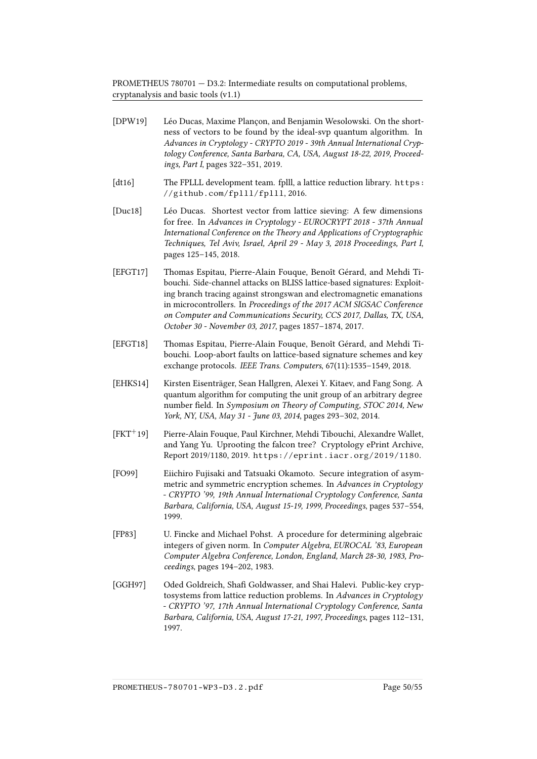- <span id="page-55-9"></span><span id="page-55-5"></span><span id="page-55-4"></span><span id="page-55-1"></span>[DPW19] Léo Ducas, Maxime Plançon, and Benjamin Wesolowski. On the shortness of vectors to be found by the ideal-svp quantum algorithm. In Advances in Cryptology - CRYPTO 2019 - 39th Annual International Cryptology Conference, Santa Barbara, CA, USA, August 18-22, 2019, Proceedings, Part I, pages 322–351, 2019. [dt16] The FPLLL development team. fplll, a lattice reduction library. [https:](https://github.com/fplll/fplll) [//github.com/fplll/fplll](https://github.com/fplll/fplll), 2016. [Duc18] Léo Ducas. Shortest vector from lattice sieving: A few dimensions for free. In Advances in Cryptology - EUROCRYPT 2018 - 37th Annual International Conference on the Theory and Applications of Cryptographic Techniques, Tel Aviv, Israel, April 29 - May 3, 2018 Proceedings, Part I, pages 125–145, 2018. [EFGT17] Thomas Espitau, Pierre-Alain Fouque, Benoît Gérard, and Mehdi Tibouchi. Side-channel attacks on BLISS lattice-based signatures: Exploiting branch tracing against strongswan and electromagnetic emanations in microcontrollers. In Proceedings of the 2017 ACM SIGSAC Conference on Computer and Communications Security, CCS 2017, Dallas, TX, USA, October 30 - November 03, 2017, pages 1857–1874, 2017. [EFGT18] Thomas Espitau, Pierre-Alain Fouque, Benoît Gérard, and Mehdi Tibouchi. Loop-abort faults on lattice-based signature schemes and key exchange protocols. IEEE Trans. Computers, 67(11):1535–1549, 2018. [EHKS14] Kirsten Eisenträger, Sean Hallgren, Alexei Y. Kitaev, and Fang Song. A quantum algorithm for computing the unit group of an arbitrary degree number field. In Symposium on Theory of Computing, STOC 2014, New York, NY, USA, May 31 - June 03, 2014, pages 293–302, 2014. [FKT<sup>+</sup>19] Pierre-Alain Fouque, Paul Kirchner, Mehdi Tibouchi, Alexandre Wallet, and Yang Yu. Uprooting the falcon tree? Cryptology ePrint Archive, Report 2019/1180, 2019. <https://eprint.iacr.org/2019/1180>.
- <span id="page-55-8"></span><span id="page-55-7"></span><span id="page-55-3"></span><span id="page-55-2"></span>[FO99] Eiichiro Fujisaki and Tatsuaki Okamoto. Secure integration of asymmetric and symmetric encryption schemes. In Advances in Cryptology - CRYPTO '99, 19th Annual International Cryptology Conference, Santa Barbara, California, USA, August 15-19, 1999, Proceedings, pages 537–554, 1999.
- <span id="page-55-0"></span>[FP83] U. Fincke and Michael Pohst. A procedure for determining algebraic integers of given norm. In Computer Algebra, EUROCAL '83, European Computer Algebra Conference, London, England, March 28-30, 1983, Proceedings, pages 194–202, 1983.
- <span id="page-55-6"></span>[GGH97] Oded Goldreich, Shafi Goldwasser, and Shai Halevi. Public-key cryptosystems from lattice reduction problems. In Advances in Cryptology - CRYPTO '97, 17th Annual International Cryptology Conference, Santa Barbara, California, USA, August 17-21, 1997, Proceedings, pages 112–131, 1997.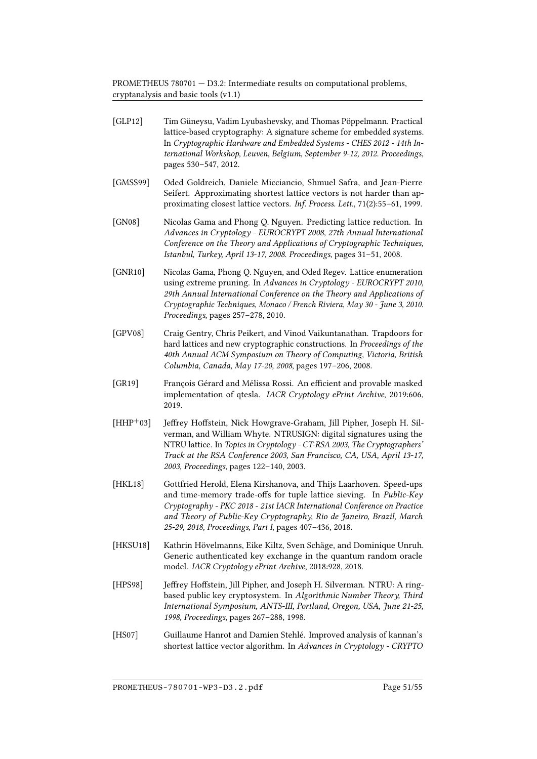<span id="page-56-4"></span>[GLP12] Tim Güneysu, Vadim Lyubashevsky, and Thomas Pöppelmann. Practical

<span id="page-56-10"></span><span id="page-56-8"></span><span id="page-56-3"></span><span id="page-56-2"></span><span id="page-56-0"></span>

|            | lattice-based cryptography: A signature scheme for embedded systems.<br>In Cryptographic Hardware and Embedded Systems - CHES 2012 - 14th In-<br>ternational Workshop, Leuven, Belgium, September 9-12, 2012. Proceedings,<br>pages 530-547, 2012.                                                                                                      |
|------------|---------------------------------------------------------------------------------------------------------------------------------------------------------------------------------------------------------------------------------------------------------------------------------------------------------------------------------------------------------|
| [GMSS99]   | Oded Goldreich, Daniele Micciancio, Shmuel Safra, and Jean-Pierre<br>Seifert. Approximating shortest lattice vectors is not harder than ap-<br>proximating closest lattice vectors. Inf. Process. Lett., 71(2):55-61, 1999.                                                                                                                             |
| [GN08]     | Nicolas Gama and Phong Q. Nguyen. Predicting lattice reduction. In<br>Advances in Cryptology - EUROCRYPT 2008, 27th Annual International<br>Conference on the Theory and Applications of Cryptographic Techniques,<br>Istanbul, Turkey, April 13-17, 2008. Proceedings, pages 31-51, 2008.                                                              |
| [GNR10]    | Nicolas Gama, Phong Q. Nguyen, and Oded Regev. Lattice enumeration<br>using extreme pruning. In Advances in Cryptology - EUROCRYPT 2010,<br>29th Annual International Conference on the Theory and Applications of<br>Cryptographic Techniques, Monaco / French Riviera, May 30 - June 3, 2010.<br>Proceedings, pages 257-278, 2010.                    |
| [GPV08]    | Craig Gentry, Chris Peikert, and Vinod Vaikuntanathan. Trapdoors for<br>hard lattices and new cryptographic constructions. In Proceedings of the<br>40th Annual ACM Symposium on Theory of Computing, Victoria, British<br>Columbia, Canada, May 17-20, 2008, pages 197-206, 2008.                                                                      |
| [GR19]     | François Gérard and Mélissa Rossi. An efficient and provable masked<br>implementation of qtesla. IACR Cryptology ePrint Archive, 2019:606,<br>2019.                                                                                                                                                                                                     |
| $[HHP+03]$ | Jeffrey Hoffstein, Nick Howgrave-Graham, Jill Pipher, Joseph H. Sil-<br>verman, and William Whyte. NTRUSIGN: digital signatures using the<br>NTRU lattice. In Topics in Cryptology - CT-RSA 2003, The Cryptographers'<br>Track at the RSA Conference 2003, San Francisco, CA, USA, April 13-17,<br>2003, Proceedings, pages 122-140, 2003.              |
| [HKL18]    | Gottfried Herold, Elena Kirshanova, and Thijs Laarhoven. Speed-ups<br>and time-memory trade-offs for tuple lattice sieving. In Public-Key<br>Cryptography - PKC 2018 - 21st IACR International Conference on Practice<br>and Theory of Public-Key Cryptography, Rio de Janeiro, Brazil, March<br>25-29, 2018, Proceedings, Part I, pages 407-436, 2018. |
| [HKSU18]   | Kathrin Hövelmanns, Eike Kiltz, Sven Schäge, and Dominique Unruh.<br>Generic authenticated key exchange in the quantum random oracle<br>model. IACR Cryptology ePrint Archive, 2018:928, 2018.                                                                                                                                                          |
| [HPS98]    | Jeffrey Hoffstein, Jill Pipher, and Joseph H. Silverman. NTRU: A ring-<br>based public key cryptosystem. In Algorithmic Number Theory, Third<br>International Symposium, ANTS-III, Portland, Oregon, USA, June 21-25,<br>1998, Proceedings, pages 267-288, 1998.                                                                                        |

<span id="page-56-9"></span><span id="page-56-7"></span><span id="page-56-6"></span><span id="page-56-5"></span><span id="page-56-1"></span>[HS07] Guillaume Hanrot and Damien Stehlé. Improved analysis of kannan's shortest lattice vector algorithm. In Advances in Cryptology - CRYPTO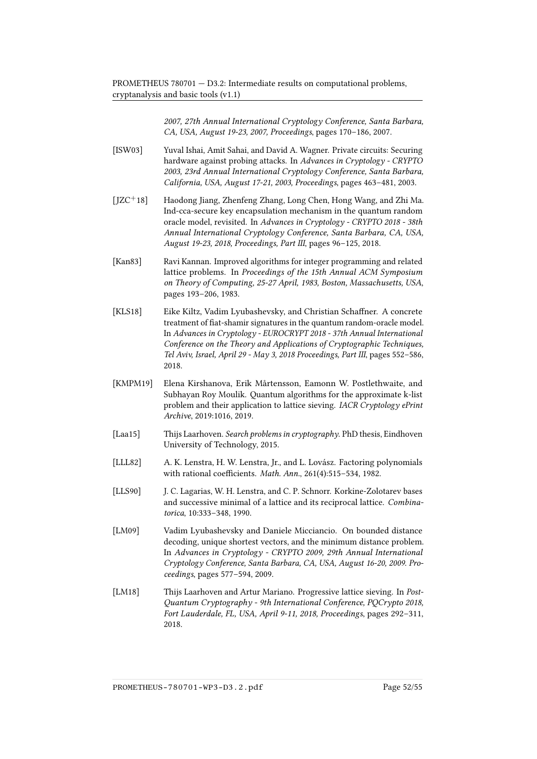> 2007, 27th Annual International Cryptology Conference, Santa Barbara, CA, USA, August 19-23, 2007, Proceedings, pages 170–186, 2007.

- <span id="page-57-9"></span>[ISW03] Yuval Ishai, Amit Sahai, and David A. Wagner. Private circuits: Securing hardware against probing attacks. In Advances in Cryptology - CRYPTO 2003, 23rd Annual International Cryptology Conference, Santa Barbara, California, USA, August 17-21, 2003, Proceedings, pages 463–481, 2003.
- <span id="page-57-6"></span>[JZC+18] Haodong Jiang, Zhenfeng Zhang, Long Chen, Hong Wang, and Zhi Ma. Ind-cca-secure key encapsulation mechanism in the quantum random oracle model, revisited. In Advances in Cryptology - CRYPTO 2018 - 38th Annual International Cryptology Conference, Santa Barbara, CA, USA, August 19-23, 2018, Proceedings, Part III, pages 96–125, 2018.
- <span id="page-57-0"></span>[Kan83] Ravi Kannan. Improved algorithms for integer programming and related lattice problems. In Proceedings of the 15th Annual ACM Symposium on Theory of Computing, 25-27 April, 1983, Boston, Massachusetts, USA, pages 193–206, 1983.
- <span id="page-57-5"></span>[KLS18] Eike Kiltz, Vadim Lyubashevsky, and Christian Schaffner. A concrete treatment of fiat-shamir signatures in the quantum random-oracle model. In Advances in Cryptology - EUROCRYPT 2018 - 37th Annual International Conference on the Theory and Applications of Cryptographic Techniques, Tel Aviv, Israel, April 29 - May 3, 2018 Proceedings, Part III, pages 552–586, 2018.
- <span id="page-57-1"></span>[KMPM19] Elena Kirshanova, Erik Mårtensson, Eamonn W. Postlethwaite, and Subhayan Roy Moulik. Quantum algorithms for the approximate k-list problem and their application to lattice sieving. IACR Cryptology ePrint Archive, 2019:1016, 2019.
- <span id="page-57-7"></span>[Laa15] Thijs Laarhoven. Search problems in cryptography. PhD thesis, Eindhoven University of Technology, 2015.
- <span id="page-57-3"></span>[LLL82] A. K. Lenstra, H. W. Lenstra, Jr., and L. Lovász. Factoring polynomials with rational coefficients. Math. Ann., 261(4):515-534, 1982.
- <span id="page-57-4"></span>[LLS90] J. C. Lagarias, W. H. Lenstra, and C. P. Schnorr. Korkine-Zolotarev bases and successive minimal of a lattice and its reciprocal lattice. Combinatorica, 10:333–348, 1990.
- <span id="page-57-2"></span>[LM09] Vadim Lyubashevsky and Daniele Micciancio. On bounded distance decoding, unique shortest vectors, and the minimum distance problem. In Advances in Cryptology - CRYPTO 2009, 29th Annual International Cryptology Conference, Santa Barbara, CA, USA, August 16-20, 2009. Proceedings, pages 577–594, 2009.
- <span id="page-57-8"></span>[LM18] Thijs Laarhoven and Artur Mariano. Progressive lattice sieving. In Post-Quantum Cryptography - 9th International Conference, PQCrypto 2018, Fort Lauderdale, FL, USA, April 9-11, 2018, Proceedings, pages 292–311, 2018.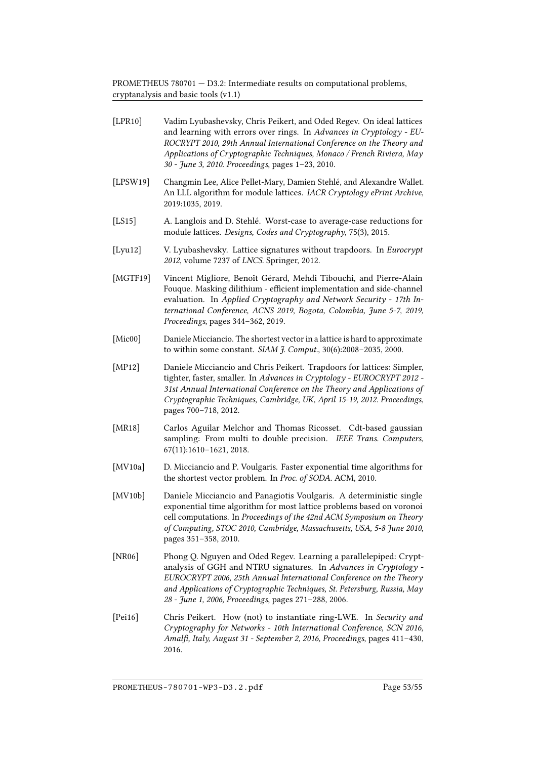<span id="page-58-11"></span><span id="page-58-10"></span><span id="page-58-9"></span><span id="page-58-8"></span><span id="page-58-7"></span><span id="page-58-6"></span><span id="page-58-5"></span><span id="page-58-4"></span><span id="page-58-3"></span><span id="page-58-2"></span><span id="page-58-1"></span><span id="page-58-0"></span>

| [LPR10]    | Vadim Lyubashevsky, Chris Peikert, and Oded Regev. On ideal lattices<br>and learning with errors over rings. In Advances in Cryptology - EU-<br>ROCRYPT 2010, 29th Annual International Conference on the Theory and<br>Applications of Cryptographic Techniques, Monaco / French Riviera, May<br>30 - June 3, 2010. Proceedings, pages 1-23, 2010. |
|------------|-----------------------------------------------------------------------------------------------------------------------------------------------------------------------------------------------------------------------------------------------------------------------------------------------------------------------------------------------------|
| [LPSW19]   | Changmin Lee, Alice Pellet-Mary, Damien Stehlé, and Alexandre Wallet.<br>An LLL algorithm for module lattices. IACR Cryptology ePrint Archive,<br>2019:1035, 2019.                                                                                                                                                                                  |
| [LS15]     | A. Langlois and D. Stehlé. Worst-case to average-case reductions for<br>module lattices. Designs, Codes and Cryptography, 75(3), 2015.                                                                                                                                                                                                              |
| [Lyu12]    | V. Lyubashevsky. Lattice signatures without trapdoors. In Eurocrypt<br>2012, volume 7237 of LNCS. Springer, 2012.                                                                                                                                                                                                                                   |
| [MGTF19]   | Vincent Migliore, Benoît Gérard, Mehdi Tibouchi, and Pierre-Alain<br>Fouque. Masking dilithium - efficient implementation and side-channel<br>evaluation. In Applied Cryptography and Network Security - 17th In-<br>ternational Conference, ACNS 2019, Bogota, Colombia, June 5-7, 2019,<br>Proceedings, pages 344-362, 2019.                      |
| [Mic00]    | Daniele Micciancio. The shortest vector in a lattice is hard to approximate<br>to within some constant. SIAM J. Comput., 30(6):2008-2035, 2000.                                                                                                                                                                                                     |
| [ $MP12$ ] | Daniele Micciancio and Chris Peikert. Trapdoors for lattices: Simpler,<br>tighter, faster, smaller. In Advances in Cryptology - EUROCRYPT 2012 -<br>31st Annual International Conference on the Theory and Applications of<br>Cryptographic Techniques, Cambridge, UK, April 15-19, 2012. Proceedings,<br>pages 700-718, 2012.                      |
| [MR18]     | Carlos Aguilar Melchor and Thomas Ricosset. Cdt-based gaussian<br>sampling: From multi to double precision. IEEE Trans. Computers,<br>67(11):1610-1621, 2018.                                                                                                                                                                                       |
| [MV10a]    | D. Micciancio and P. Voulgaris. Faster exponential time algorithms for<br>the shortest vector problem. In Proc. of SODA. ACM, 2010.                                                                                                                                                                                                                 |
| [MV10b]    | Daniele Micciancio and Panagiotis Voulgaris. A deterministic single<br>exponential time algorithm for most lattice problems based on voronoi<br>cell computations. In Proceedings of the 42nd ACM Symposium on Theory<br>of Computing, STOC 2010, Cambridge, Massachusetts, USA, 5-8 June 2010,<br>pages 351-358, 2010.                             |
| [NR06]     | Phong Q. Nguyen and Oded Regev. Learning a parallelepiped: Crypt-<br>analysis of GGH and NTRU signatures. In Advances in Cryptology -<br>EUROCRYPT 2006, 25th Annual International Conference on the Theory<br>and Applications of Cryptographic Techniques, St. Petersburg, Russia, May<br>28 - June 1, 2006, Proceedings, pages 271-288, 2006.    |
| [Pei16]    | Chris Peikert. How (not) to instantiate ring-LWE. In Security and<br>Cryptography for Networks - 10th International Conference, SCN 2016,<br>Amalfi, Italy, August 31 - September 2, 2016, Proceedings, pages 411-430,<br>2016.                                                                                                                     |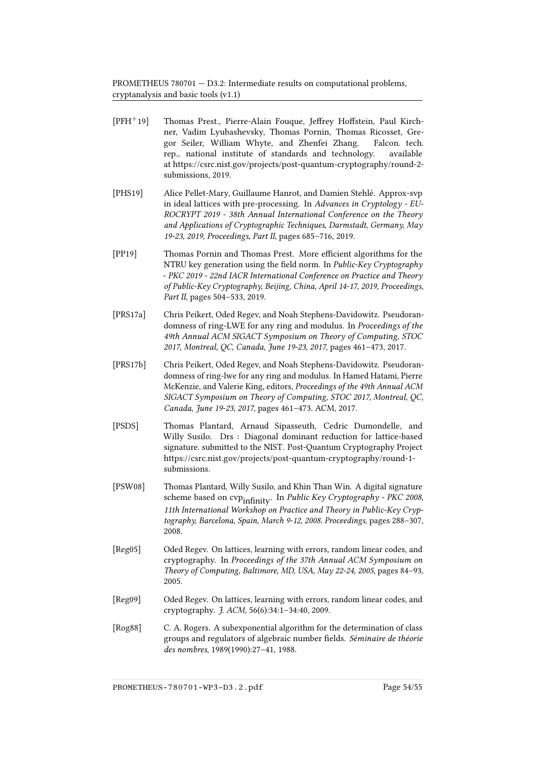- <span id="page-59-2"></span>[PFH<sup>+</sup>19] Thomas Prest., Pierre-Alain Fouque, Jeffrey Hoffstein, Paul Kirchner, Vadim Lyubashevsky, Thomas Pornin, Thomas Ricosset, Gregor Seiler, William Whyte, and Zhenfei Zhang. Falcon. tech. rep., national institute of standards and technology. available at https://csrc.nist.gov/projects/post-quantum-cryptography/round-2 submissions, 2019.
- <span id="page-59-6"></span>[PHS19] Alice Pellet-Mary, Guillaume Hanrot, and Damien Stehlé. Approx-svp in ideal lattices with pre-processing. In Advances in Cryptology - EU-ROCRYPT 2019 - 38th Annual International Conference on the Theory and Applications of Cryptographic Techniques, Darmstadt, Germany, May 19-23, 2019, Proceedings, Part II, pages 685–716, 2019.
- <span id="page-59-5"></span>[PP19] Thomas Pornin and Thomas Prest. More efficient algorithms for the NTRU key generation using the field norm. In *Public-Key Cryptography* - PKC 2019 - 22nd IACR International Conference on Practice and Theory of Public-Key Cryptography, Beijing, China, April 14-17, 2019, Proceedings, Part II, pages 504-533, 2019.
- <span id="page-59-3"></span>[PRS17a] Chris Peikert, Oded Regev, and Noah Stephens-Davidowitz. Pseudorandomness of ring-LWE for any ring and modulus. In Proceedings of the 49th Annual ACM SIGACT Symposium on Theory of Computing, STOC 2017, Montreal, QC, Canada, June 19-23, 2017, pages 461–473, 2017.
- <span id="page-59-4"></span>[PRS17b] Chris Peikert, Oded Regev, and Noah Stephens-Davidowitz. Pseudorandomness of ring-lwe for any ring and modulus. In Hamed Hatami, Pierre McKenzie, and Valerie King, editors, Proceedings of the 49th Annual ACM SIGACT Symposium on Theory of Computing, STOC 2017, Montreal, QC, Canada, June 19-23, 2017, pages 461–473. ACM, 2017.
- <span id="page-59-1"></span>[PSDS] Thomas Plantard, Arnaud Sipasseuth, Cedric Dumondelle, and Willy Susilo. Drs : Diagonal dominant reduction for lattice-based signature. submitted to the NIST. Post-Quantum Cryptography Project https://csrc.nist.gov/projects/post-quantum-cryptography/round-1 submissions.
- <span id="page-59-9"></span>[PSW08] Thomas Plantard, Willy Susilo, and Khin Than Win. A digital signature scheme based on cvp<sub>infinity</sub>. In Public Key Cryptography - PKC 2008, 11th International Workshop on Practice and Theory in Public-Key Cryptography, Barcelona, Spain, March 9-12, 2008. Proceedings, pages 288–307, 2008.
- <span id="page-59-8"></span>[Reg05] Oded Regev. On lattices, learning with errors, random linear codes, and cryptography. In Proceedings of the 37th Annual ACM Symposium on Theory of Computing, Baltimore, MD, USA, May 22-24, 2005, pages 84–93, 2005.
- <span id="page-59-0"></span>[Reg09] Oded Regev. On lattices, learning with errors, random linear codes, and cryptography. J. ACM, 56(6):34:1–34:40, 2009.
- <span id="page-59-7"></span>[Rog88] C. A. Rogers. A subexponential algorithm for the determination of class groups and regulators of algebraic number fields. Séminaire de théorie des nombres, 1989(1990):27–41, 1988.